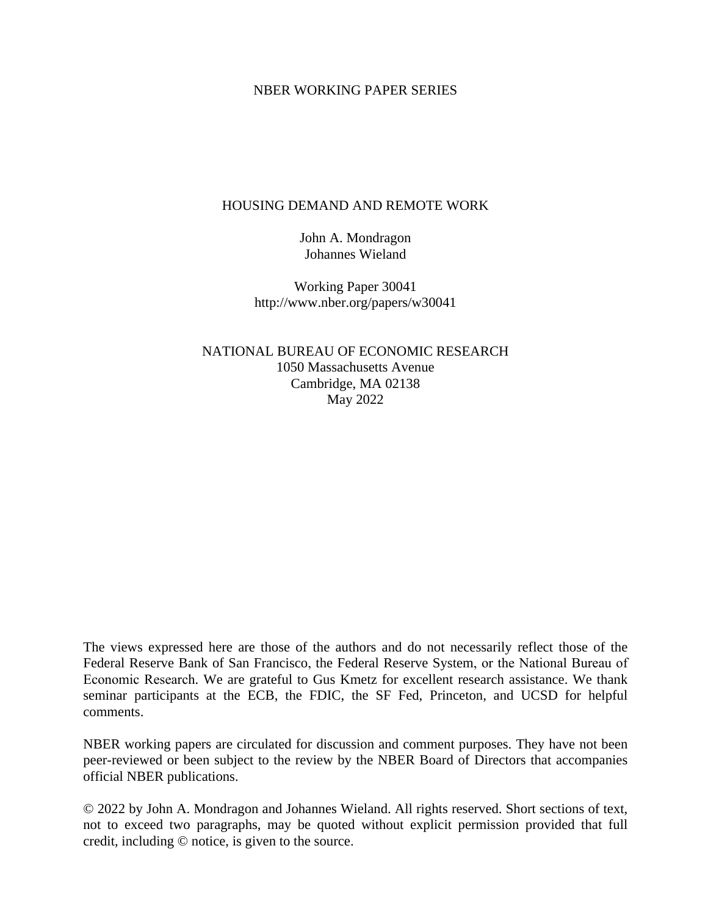#### NBER WORKING PAPER SERIES

### HOUSING DEMAND AND REMOTE WORK

John A. Mondragon Johannes Wieland

Working Paper 30041 http://www.nber.org/papers/w30041

NATIONAL BUREAU OF ECONOMIC RESEARCH 1050 Massachusetts Avenue Cambridge, MA 02138 May 2022

The views expressed here are those of the authors and do not necessarily reflect those of the Federal Reserve Bank of San Francisco, the Federal Reserve System, or the National Bureau of Economic Research. We are grateful to Gus Kmetz for excellent research assistance. We thank seminar participants at the ECB, the FDIC, the SF Fed, Princeton, and UCSD for helpful comments.

NBER working papers are circulated for discussion and comment purposes. They have not been peer-reviewed or been subject to the review by the NBER Board of Directors that accompanies official NBER publications.

© 2022 by John A. Mondragon and Johannes Wieland. All rights reserved. Short sections of text, not to exceed two paragraphs, may be quoted without explicit permission provided that full credit, including © notice, is given to the source.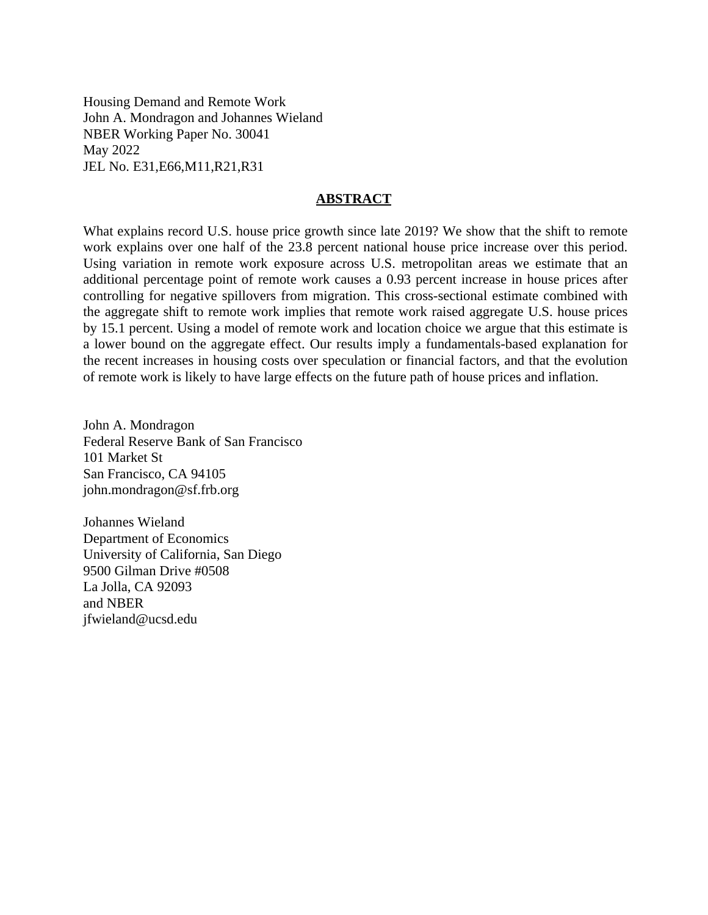Housing Demand and Remote Work John A. Mondragon and Johannes Wieland NBER Working Paper No. 30041 May 2022 JEL No. E31,E66,M11,R21,R31

#### **ABSTRACT**

What explains record U.S. house price growth since late 2019? We show that the shift to remote work explains over one half of the 23.8 percent national house price increase over this period. Using variation in remote work exposure across U.S. metropolitan areas we estimate that an additional percentage point of remote work causes a 0.93 percent increase in house prices after controlling for negative spillovers from migration. This cross-sectional estimate combined with the aggregate shift to remote work implies that remote work raised aggregate U.S. house prices by 15.1 percent. Using a model of remote work and location choice we argue that this estimate is a lower bound on the aggregate effect. Our results imply a fundamentals-based explanation for the recent increases in housing costs over speculation or financial factors, and that the evolution of remote work is likely to have large effects on the future path of house prices and inflation.

John A. Mondragon Federal Reserve Bank of San Francisco 101 Market St San Francisco, CA 94105 john.mondragon@sf.frb.org

Johannes Wieland Department of Economics University of California, San Diego 9500 Gilman Drive #0508 La Jolla, CA 92093 and NBER jfwieland@ucsd.edu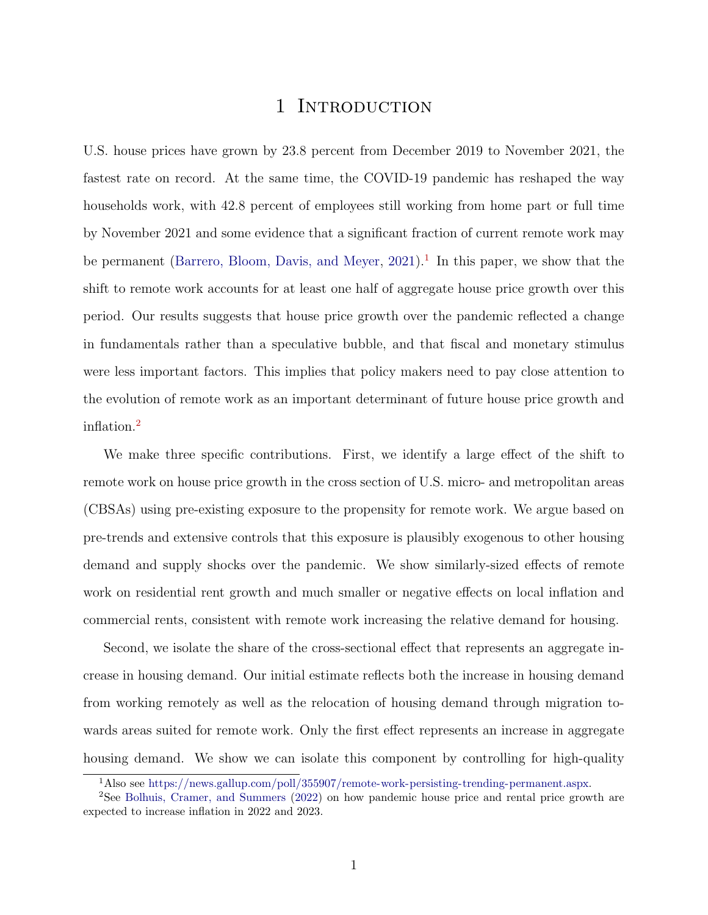## 1 INTRODUCTION

U.S. house prices have grown by 23.8 percent from December 2019 to November 2021, the fastest rate on record. At the same time, the COVID-19 pandemic has reshaped the way households work, with 42.8 percent of employees still working from home part or full time by November 2021 and some evidence that a significant fraction of current remote work may be permanent [\(Barrero, Bloom, Davis, and Meyer,](#page-31-0)  $2021$  $2021$ ).<sup>1</sup> In this paper, we show that the shift to remote work accounts for at least one half of aggregate house price growth over this period. Our results suggests that house price growth over the pandemic reflected a change in fundamentals rather than a speculative bubble, and that fiscal and monetary stimulus were less important factors. This implies that policy makers need to pay close attention to the evolution of remote work as an important determinant of future house price growth and inflation.[2](#page-2-1)

We make three specific contributions. First, we identify a large effect of the shift to remote work on house price growth in the cross section of U.S. micro- and metropolitan areas (CBSAs) using pre-existing exposure to the propensity for remote work. We argue based on pre-trends and extensive controls that this exposure is plausibly exogenous to other housing demand and supply shocks over the pandemic. We show similarly-sized effects of remote work on residential rent growth and much smaller or negative effects on local inflation and commercial rents, consistent with remote work increasing the relative demand for housing.

Second, we isolate the share of the cross-sectional effect that represents an aggregate increase in housing demand. Our initial estimate reflects both the increase in housing demand from working remotely as well as the relocation of housing demand through migration towards areas suited for remote work. Only the first effect represents an increase in aggregate housing demand. We show we can isolate this component by controlling for high-quality

<span id="page-2-1"></span><span id="page-2-0"></span><sup>1</sup>Also see [https://news.gallup.com/poll/355907/remote-work-persisting-trending-permanent.aspx.](https://news.gallup.com/poll/355907/remote-work-persisting-trending-permanent.aspx)

<sup>2</sup>See [Bolhuis, Cramer, and Summers](#page-31-1) [\(2022\)](#page-31-1) on how pandemic house price and rental price growth are expected to increase inflation in 2022 and 2023.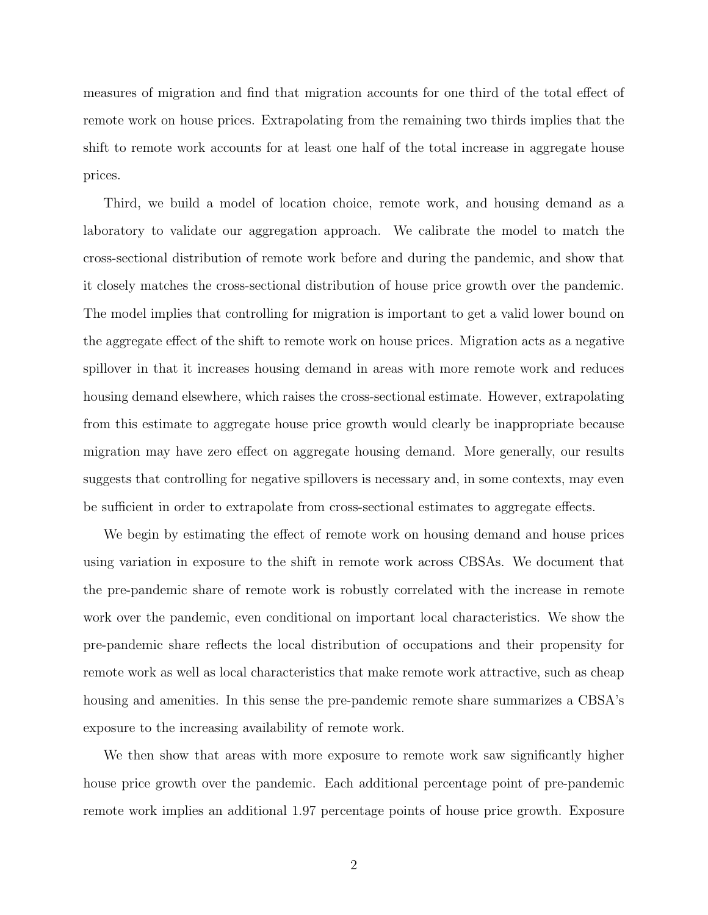measures of migration and find that migration accounts for one third of the total effect of remote work on house prices. Extrapolating from the remaining two thirds implies that the shift to remote work accounts for at least one half of the total increase in aggregate house prices.

Third, we build a model of location choice, remote work, and housing demand as a laboratory to validate our aggregation approach. We calibrate the model to match the cross-sectional distribution of remote work before and during the pandemic, and show that it closely matches the cross-sectional distribution of house price growth over the pandemic. The model implies that controlling for migration is important to get a valid lower bound on the aggregate effect of the shift to remote work on house prices. Migration acts as a negative spillover in that it increases housing demand in areas with more remote work and reduces housing demand elsewhere, which raises the cross-sectional estimate. However, extrapolating from this estimate to aggregate house price growth would clearly be inappropriate because migration may have zero effect on aggregate housing demand. More generally, our results suggests that controlling for negative spillovers is necessary and, in some contexts, may even be sufficient in order to extrapolate from cross-sectional estimates to aggregate effects.

We begin by estimating the effect of remote work on housing demand and house prices using variation in exposure to the shift in remote work across CBSAs. We document that the pre-pandemic share of remote work is robustly correlated with the increase in remote work over the pandemic, even conditional on important local characteristics. We show the pre-pandemic share reflects the local distribution of occupations and their propensity for remote work as well as local characteristics that make remote work attractive, such as cheap housing and amenities. In this sense the pre-pandemic remote share summarizes a CBSA's exposure to the increasing availability of remote work.

We then show that areas with more exposure to remote work saw significantly higher house price growth over the pandemic. Each additional percentage point of pre-pandemic remote work implies an additional 1.97 percentage points of house price growth. Exposure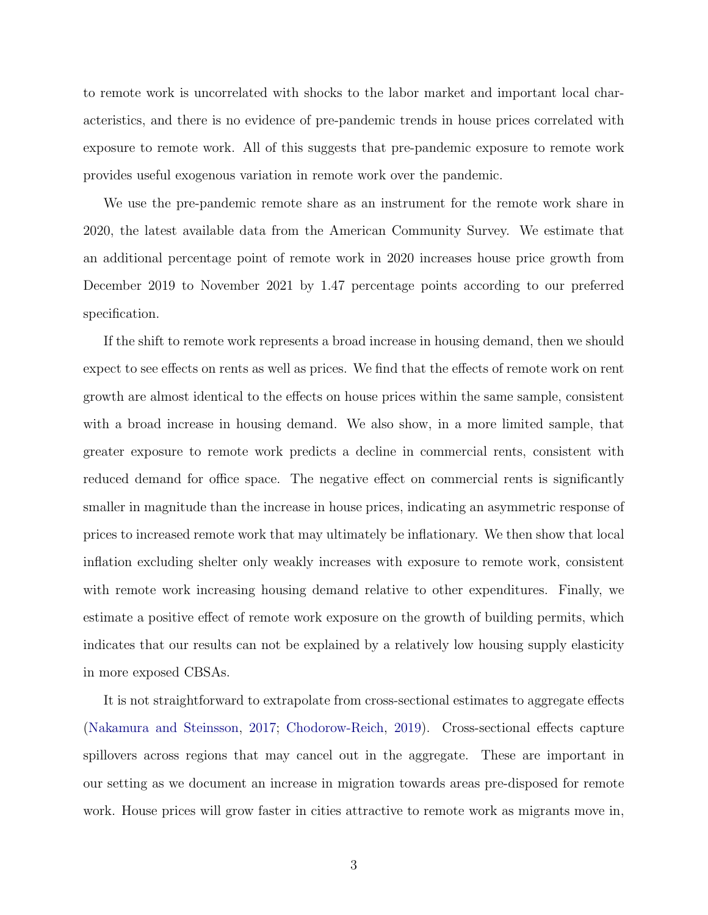to remote work is uncorrelated with shocks to the labor market and important local characteristics, and there is no evidence of pre-pandemic trends in house prices correlated with exposure to remote work. All of this suggests that pre-pandemic exposure to remote work provides useful exogenous variation in remote work over the pandemic.

We use the pre-pandemic remote share as an instrument for the remote work share in 2020, the latest available data from the American Community Survey. We estimate that an additional percentage point of remote work in 2020 increases house price growth from December 2019 to November 2021 by 1.47 percentage points according to our preferred specification.

If the shift to remote work represents a broad increase in housing demand, then we should expect to see effects on rents as well as prices. We find that the effects of remote work on rent growth are almost identical to the effects on house prices within the same sample, consistent with a broad increase in housing demand. We also show, in a more limited sample, that greater exposure to remote work predicts a decline in commercial rents, consistent with reduced demand for office space. The negative effect on commercial rents is significantly smaller in magnitude than the increase in house prices, indicating an asymmetric response of prices to increased remote work that may ultimately be inflationary. We then show that local inflation excluding shelter only weakly increases with exposure to remote work, consistent with remote work increasing housing demand relative to other expenditures. Finally, we estimate a positive effect of remote work exposure on the growth of building permits, which indicates that our results can not be explained by a relatively low housing supply elasticity in more exposed CBSAs.

It is not straightforward to extrapolate from cross-sectional estimates to aggregate effects [\(Nakamura and Steinsson,](#page-33-0) [2017;](#page-33-0) [Chodorow-Reich,](#page-31-2) [2019\)](#page-31-2). Cross-sectional effects capture spillovers across regions that may cancel out in the aggregate. These are important in our setting as we document an increase in migration towards areas pre-disposed for remote work. House prices will grow faster in cities attractive to remote work as migrants move in,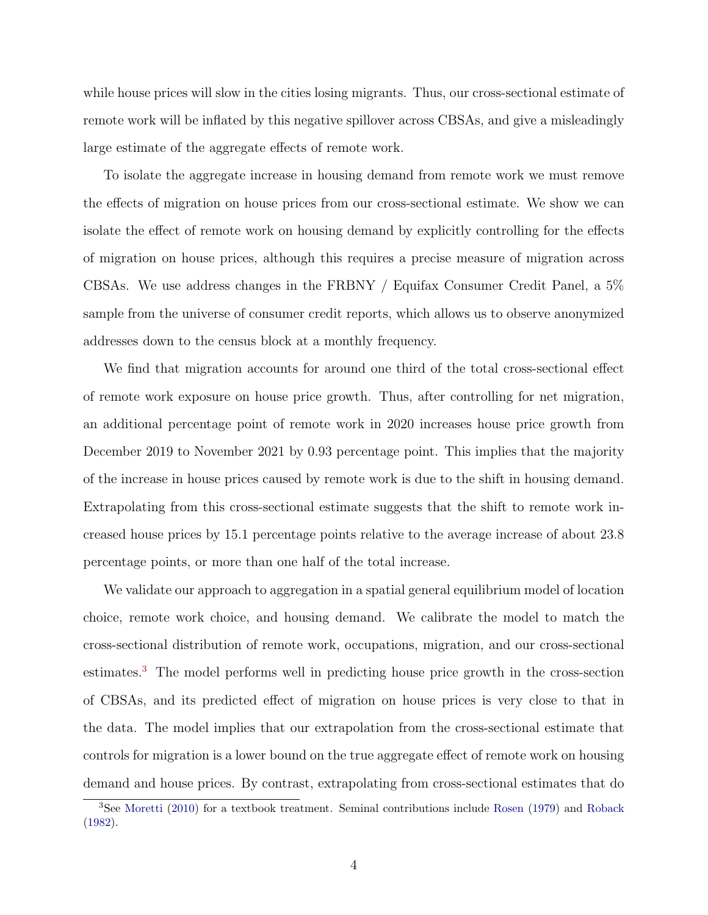while house prices will slow in the cities losing migrants. Thus, our cross-sectional estimate of remote work will be inflated by this negative spillover across CBSAs, and give a misleadingly large estimate of the aggregate effects of remote work.

To isolate the aggregate increase in housing demand from remote work we must remove the effects of migration on house prices from our cross-sectional estimate. We show we can isolate the effect of remote work on housing demand by explicitly controlling for the effects of migration on house prices, although this requires a precise measure of migration across CBSAs. We use address changes in the FRBNY / Equifax Consumer Credit Panel, a 5% sample from the universe of consumer credit reports, which allows us to observe anonymized addresses down to the census block at a monthly frequency.

We find that migration accounts for around one third of the total cross-sectional effect of remote work exposure on house price growth. Thus, after controlling for net migration, an additional percentage point of remote work in 2020 increases house price growth from December 2019 to November 2021 by 0.93 percentage point. This implies that the majority of the increase in house prices caused by remote work is due to the shift in housing demand. Extrapolating from this cross-sectional estimate suggests that the shift to remote work increased house prices by 15.1 percentage points relative to the average increase of about 23.8 percentage points, or more than one half of the total increase.

We validate our approach to aggregation in a spatial general equilibrium model of location choice, remote work choice, and housing demand. We calibrate the model to match the cross-sectional distribution of remote work, occupations, migration, and our cross-sectional estimates.[3](#page-5-0) The model performs well in predicting house price growth in the cross-section of CBSAs, and its predicted effect of migration on house prices is very close to that in the data. The model implies that our extrapolation from the cross-sectional estimate that controls for migration is a lower bound on the true aggregate effect of remote work on housing demand and house prices. By contrast, extrapolating from cross-sectional estimates that do

<span id="page-5-0"></span><sup>&</sup>lt;sup>3</sup>See [Moretti](#page-33-1) [\(2010\)](#page-33-1) for a textbook treatment. Seminal contributions include [Rosen](#page-33-2) [\(1979\)](#page-33-2) and [Roback](#page-33-3) [\(1982\)](#page-33-3).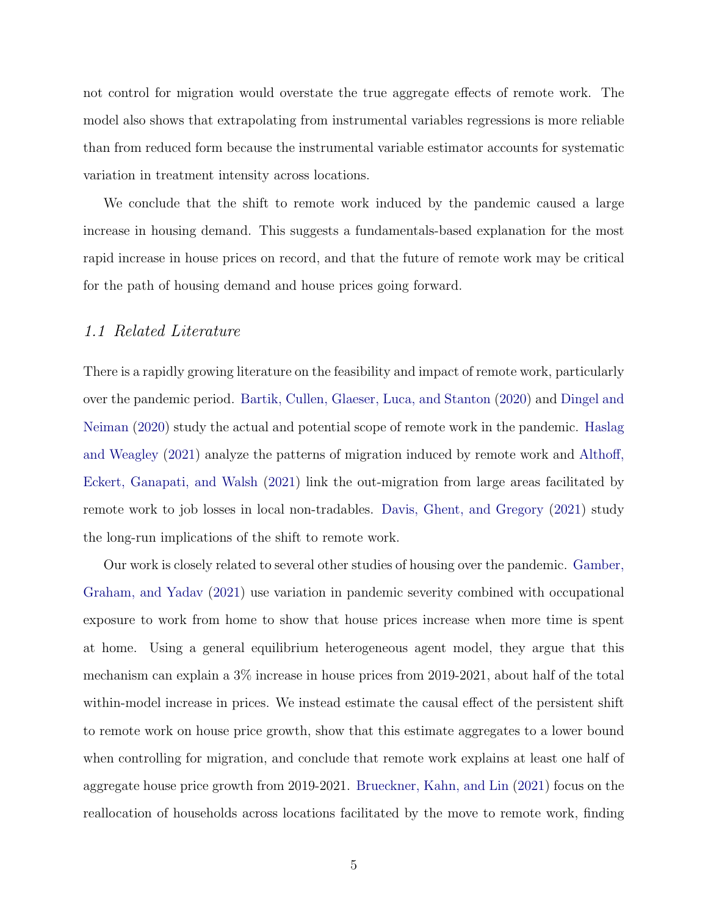not control for migration would overstate the true aggregate effects of remote work. The model also shows that extrapolating from instrumental variables regressions is more reliable than from reduced form because the instrumental variable estimator accounts for systematic variation in treatment intensity across locations.

We conclude that the shift to remote work induced by the pandemic caused a large increase in housing demand. This suggests a fundamentals-based explanation for the most rapid increase in house prices on record, and that the future of remote work may be critical for the path of housing demand and house prices going forward.

## 1.1 Related Literature

There is a rapidly growing literature on the feasibility and impact of remote work, particularly over the pandemic period. [Bartik, Cullen, Glaeser, Luca, and Stanton](#page-31-3) [\(2020\)](#page-31-3) and [Dingel and](#page-32-0) [Neiman](#page-32-0) [\(2020\)](#page-32-0) study the actual and potential scope of remote work in the pandemic. [Haslag](#page-32-1) [and Weagley](#page-32-1) [\(2021\)](#page-32-1) analyze the patterns of migration induced by remote work and [Althoff,](#page-31-4) [Eckert, Ganapati, and Walsh](#page-31-4) [\(2021\)](#page-31-4) link the out-migration from large areas facilitated by remote work to job losses in local non-tradables. [Davis, Ghent, and Gregory](#page-32-2) [\(2021\)](#page-32-2) study the long-run implications of the shift to remote work.

Our work is closely related to several other studies of housing over the pandemic. [Gamber,](#page-32-3) [Graham, and Yadav](#page-32-3) [\(2021\)](#page-32-3) use variation in pandemic severity combined with occupational exposure to work from home to show that house prices increase when more time is spent at home. Using a general equilibrium heterogeneous agent model, they argue that this mechanism can explain a 3% increase in house prices from 2019-2021, about half of the total within-model increase in prices. We instead estimate the causal effect of the persistent shift to remote work on house price growth, show that this estimate aggregates to a lower bound when controlling for migration, and conclude that remote work explains at least one half of aggregate house price growth from 2019-2021. [Brueckner, Kahn, and Lin](#page-31-5) [\(2021\)](#page-31-5) focus on the reallocation of households across locations facilitated by the move to remote work, finding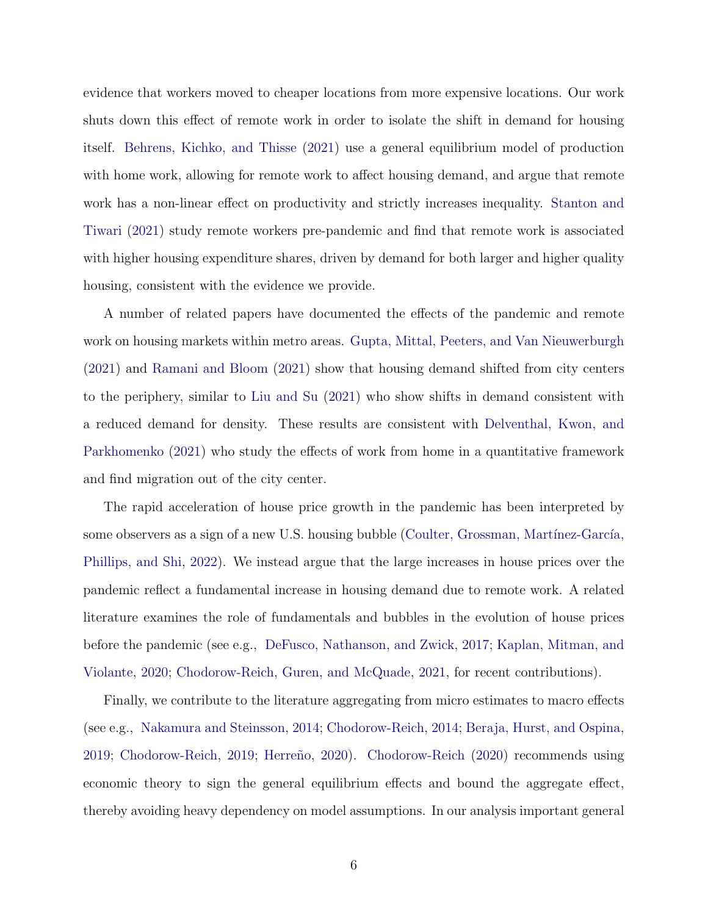evidence that workers moved to cheaper locations from more expensive locations. Our work shuts down this effect of remote work in order to isolate the shift in demand for housing itself. [Behrens, Kichko, and Thisse](#page-31-6) [\(2021\)](#page-31-6) use a general equilibrium model of production with home work, allowing for remote work to affect housing demand, and argue that remote work has a non-linear effect on productivity and strictly increases inequality. [Stanton and](#page-33-4) [Tiwari](#page-33-4) [\(2021\)](#page-33-4) study remote workers pre-pandemic and find that remote work is associated with higher housing expenditure shares, driven by demand for both larger and higher quality housing, consistent with the evidence we provide.

A number of related papers have documented the effects of the pandemic and remote work on housing markets within metro areas. [Gupta, Mittal, Peeters, and Van Nieuwerburgh](#page-32-4) [\(2021\)](#page-32-4) and [Ramani and Bloom](#page-33-5) [\(2021\)](#page-33-5) show that housing demand shifted from city centers to the periphery, similar to [Liu and Su](#page-33-6) [\(2021\)](#page-33-6) who show shifts in demand consistent with a reduced demand for density. These results are consistent with [Delventhal, Kwon, and](#page-32-5) [Parkhomenko](#page-32-5) [\(2021\)](#page-32-5) who study the effects of work from home in a quantitative framework and find migration out of the city center.

The rapid acceleration of house price growth in the pandemic has been interpreted by some observers as a sign of a new U.S. housing bubble (Coulter, Grossman, Martínez-García, [Phillips, and Shi,](#page-32-6) [2022\)](#page-32-6). We instead argue that the large increases in house prices over the pandemic reflect a fundamental increase in housing demand due to remote work. A related literature examines the role of fundamentals and bubbles in the evolution of house prices before the pandemic (see e.g., [DeFusco, Nathanson, and Zwick,](#page-32-7) [2017;](#page-32-7) [Kaplan, Mitman, and](#page-32-8) [Violante,](#page-32-8) [2020;](#page-32-8) [Chodorow-Reich, Guren, and McQuade,](#page-32-9) [2021,](#page-32-9) for recent contributions).

Finally, we contribute to the literature aggregating from micro estimates to macro effects (see e.g., [Nakamura and Steinsson,](#page-33-7) [2014;](#page-33-7) [Chodorow-Reich,](#page-31-7) [2014;](#page-31-7) [Beraja, Hurst, and Ospina,](#page-31-8) [2019;](#page-31-2) [Chodorow-Reich,](#page-31-2) 2019; Herreño, [2020\)](#page-32-10). [Chodorow-Reich](#page-32-11) [\(2020\)](#page-32-11) recommends using economic theory to sign the general equilibrium effects and bound the aggregate effect, thereby avoiding heavy dependency on model assumptions. In our analysis important general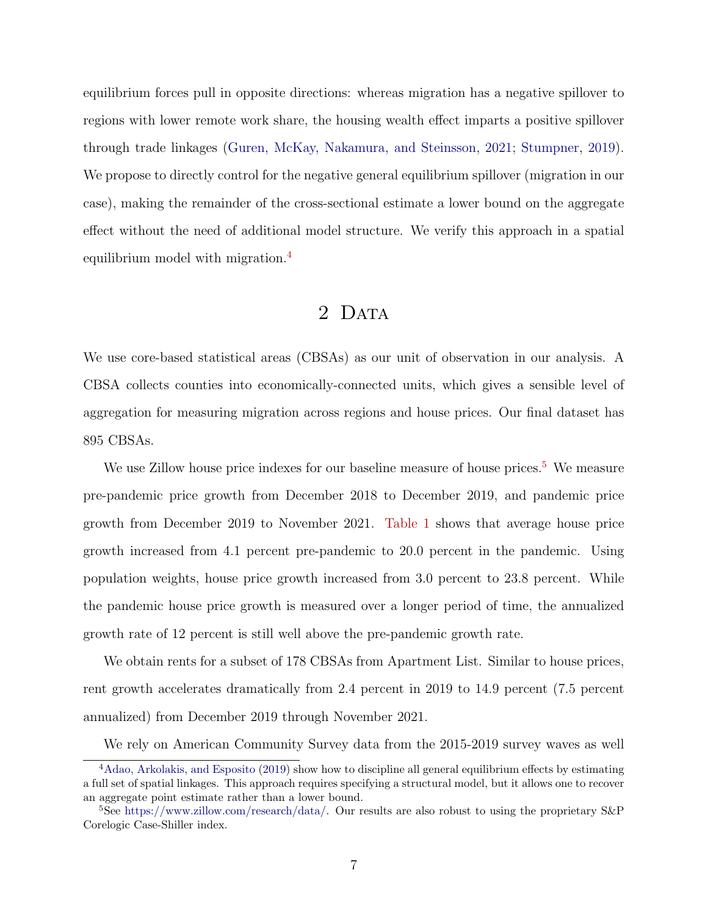equilibrium forces pull in opposite directions: whereas migration has a negative spillover to regions with lower remote work share, the housing wealth effect imparts a positive spillover through trade linkages [\(Guren, McKay, Nakamura, and Steinsson,](#page-32-12) [2021;](#page-32-12) [Stumpner,](#page-33-8) [2019\)](#page-33-8). We propose to directly control for the negative general equilibrium spillover (migration in our case), making the remainder of the cross-sectional estimate a lower bound on the aggregate effect without the need of additional model structure. We verify this approach in a spatial equilibrium model with migration.[4](#page-8-0)

## 2 DATA

We use core-based statistical areas (CBSAs) as our unit of observation in our analysis. A CBSA collects counties into economically-connected units, which gives a sensible level of aggregation for measuring migration across regions and house prices. Our final dataset has 895 CBSAs.

We use Zillow house price indexes for our baseline measure of house prices.<sup>[5](#page-8-1)</sup> We measure pre-pandemic price growth from December 2018 to December 2019, and pandemic price growth from December 2019 to November 2021. [Table 1](#page-42-0) shows that average house price growth increased from 4.1 percent pre-pandemic to 20.0 percent in the pandemic. Using population weights, house price growth increased from 3.0 percent to 23.8 percent. While the pandemic house price growth is measured over a longer period of time, the annualized growth rate of 12 percent is still well above the pre-pandemic growth rate.

We obtain rents for a subset of 178 CBSAs from Apartment List. Similar to house prices, rent growth accelerates dramatically from 2.4 percent in 2019 to 14.9 percent (7.5 percent annualized) from December 2019 through November 2021.

We rely on American Community Survey data from the 2015-2019 survey waves as well

<span id="page-8-0"></span><sup>4</sup>[Adao, Arkolakis, and Esposito](#page-31-9) [\(2019\)](#page-31-9) show how to discipline all general equilibrium effects by estimating a full set of spatial linkages. This approach requires specifying a structural model, but it allows one to recover an aggregate point estimate rather than a lower bound.

<span id="page-8-1"></span><sup>&</sup>lt;sup>5</sup>See [https://www.zillow.com/research/data/.](https://www.zillow.com/research/data/) Our results are also robust to using the proprietary S&P Corelogic Case-Shiller index.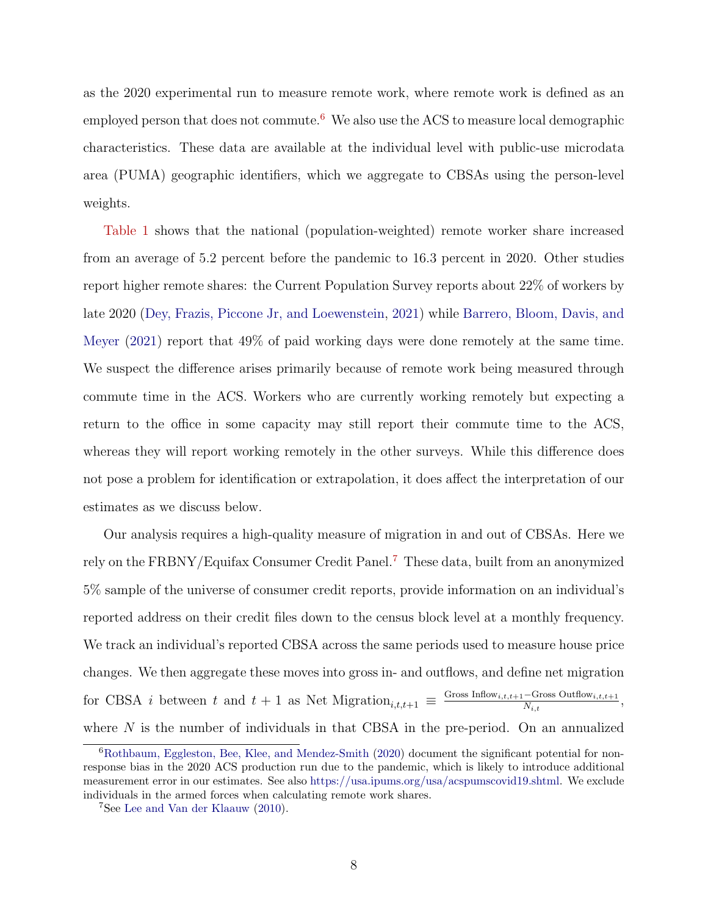as the 2020 experimental run to measure remote work, where remote work is defined as an employed person that does not commute.<sup>[6](#page-9-0)</sup> We also use the ACS to measure local demographic characteristics. These data are available at the individual level with public-use microdata area (PUMA) geographic identifiers, which we aggregate to CBSAs using the person-level weights.

[Table 1](#page-42-0) shows that the national (population-weighted) remote worker share increased from an average of 5.2 percent before the pandemic to 16.3 percent in 2020. Other studies report higher remote shares: the Current Population Survey reports about 22% of workers by late 2020 [\(Dey, Frazis, Piccone Jr, and Loewenstein,](#page-32-13) [2021\)](#page-32-13) while [Barrero, Bloom, Davis, and](#page-31-0) [Meyer](#page-31-0) [\(2021\)](#page-31-0) report that 49% of paid working days were done remotely at the same time. We suspect the difference arises primarily because of remote work being measured through commute time in the ACS. Workers who are currently working remotely but expecting a return to the office in some capacity may still report their commute time to the ACS, whereas they will report working remotely in the other surveys. While this difference does not pose a problem for identification or extrapolation, it does affect the interpretation of our estimates as we discuss below.

Our analysis requires a high-quality measure of migration in and out of CBSAs. Here we rely on the FRBNY/Equifax Consumer Credit Panel.[7](#page-9-1) These data, built from an anonymized 5% sample of the universe of consumer credit reports, provide information on an individual's reported address on their credit files down to the census block level at a monthly frequency. We track an individual's reported CBSA across the same periods used to measure house price changes. We then aggregate these moves into gross in- and outflows, and define net migration for CBSA *i* between t and  $t + 1$  as Net Migration<sub>i,t,t+1</sub>  $\equiv \frac{\text{Gross Inflow}_{i,t,t+1} - \text{Gross Outflow}_{i,t,t+1}}{N_{i,t}}$  $\frac{-\text{Gross Outnow}_{i,t,t+1}}{N_{i,t}},$ where  $N$  is the number of individuals in that CBSA in the pre-period. On an annualized

<span id="page-9-0"></span><sup>6</sup>[Rothbaum, Eggleston, Bee, Klee, and Mendez-Smith](#page-33-9) [\(2020\)](#page-33-9) document the significant potential for nonresponse bias in the 2020 ACS production run due to the pandemic, which is likely to introduce additional measurement error in our estimates. See also [https://usa.ipums.org/usa/acspumscovid19.shtml.](https://usa.ipums.org/usa/acspumscovid19.shtml) We exclude individuals in the armed forces when calculating remote work shares.

<span id="page-9-1"></span><sup>7</sup>See [Lee and Van der Klaauw](#page-33-10) [\(2010\)](#page-33-10).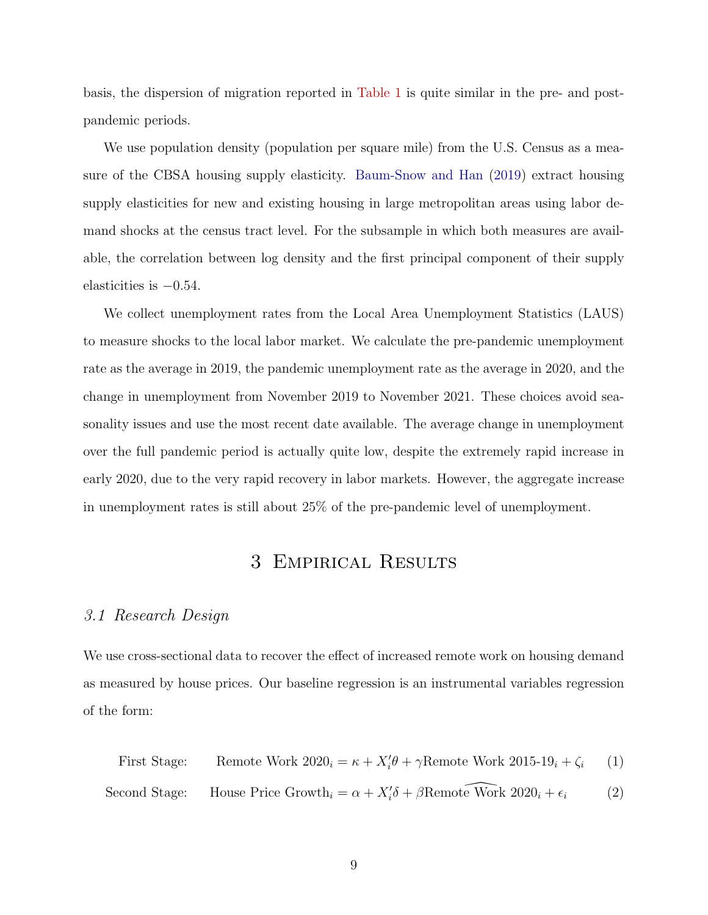basis, the dispersion of migration reported in [Table 1](#page-42-0) is quite similar in the pre- and postpandemic periods.

We use population density (population per square mile) from the U.S. Census as a measure of the CBSA housing supply elasticity. [Baum-Snow and Han](#page-31-10) [\(2019\)](#page-31-10) extract housing supply elasticities for new and existing housing in large metropolitan areas using labor demand shocks at the census tract level. For the subsample in which both measures are available, the correlation between log density and the first principal component of their supply elasticities is  $-0.54$ .

We collect unemployment rates from the Local Area Unemployment Statistics (LAUS) to measure shocks to the local labor market. We calculate the pre-pandemic unemployment rate as the average in 2019, the pandemic unemployment rate as the average in 2020, and the change in unemployment from November 2019 to November 2021. These choices avoid seasonality issues and use the most recent date available. The average change in unemployment over the full pandemic period is actually quite low, despite the extremely rapid increase in early 2020, due to the very rapid recovery in labor markets. However, the aggregate increase in unemployment rates is still about 25% of the pre-pandemic level of unemployment.

## <span id="page-10-1"></span><span id="page-10-0"></span>3 Empirical Results

#### <span id="page-10-2"></span>3.1 Research Design

We use cross-sectional data to recover the effect of increased remote work on housing demand as measured by house prices. Our baseline regression is an instrumental variables regression of the form:

First Stage: Remove Work 
$$
2020_i = \kappa + X_i' \theta + \gamma
$$
 Remove Work  $2015-19_i + \zeta_i$  (1)  
Second Stage: House Price Growth<sub>i</sub> =  $\alpha + X_i' \delta + \beta$ Remote Work  $2020_i + \epsilon_i$  (2)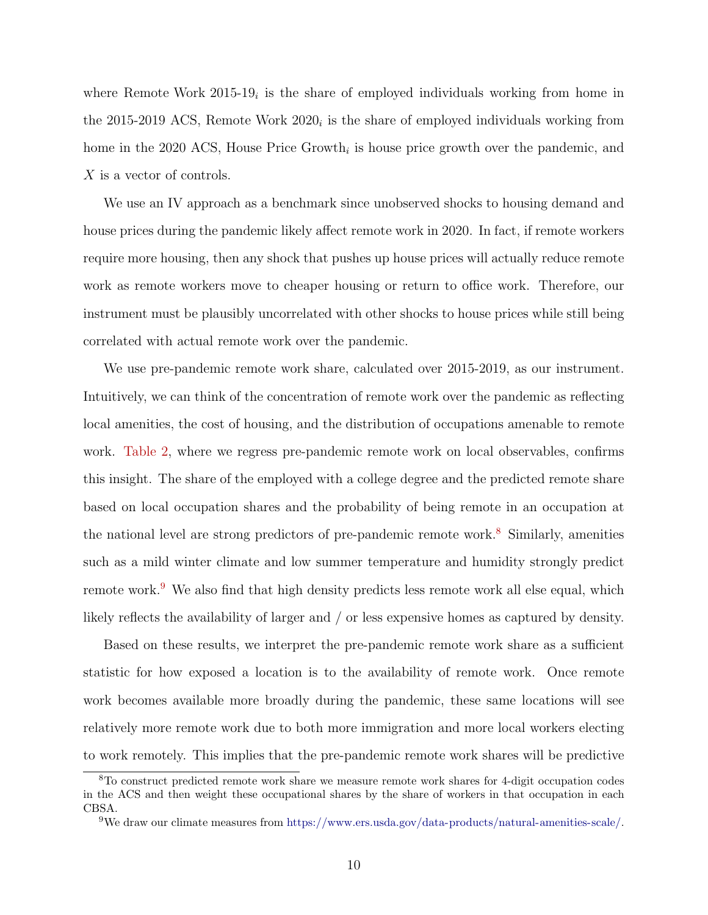where Remote Work  $2015-19<sub>i</sub>$  is the share of employed individuals working from home in the 2015-2019 ACS, Remote Work  $2020<sub>i</sub>$  is the share of employed individuals working from home in the 2020 ACS, House Price Growth<sub>i</sub> is house price growth over the pandemic, and X is a vector of controls.

We use an IV approach as a benchmark since unobserved shocks to housing demand and house prices during the pandemic likely affect remote work in 2020. In fact, if remote workers require more housing, then any shock that pushes up house prices will actually reduce remote work as remote workers move to cheaper housing or return to office work. Therefore, our instrument must be plausibly uncorrelated with other shocks to house prices while still being correlated with actual remote work over the pandemic.

We use pre-pandemic remote work share, calculated over 2015-2019, as our instrument. Intuitively, we can think of the concentration of remote work over the pandemic as reflecting local amenities, the cost of housing, and the distribution of occupations amenable to remote work. [Table 2,](#page-43-0) where we regress pre-pandemic remote work on local observables, confirms this insight. The share of the employed with a college degree and the predicted remote share based on local occupation shares and the probability of being remote in an occupation at the national level are strong predictors of pre-pandemic remote work.<sup>[8](#page-11-0)</sup> Similarly, amenities such as a mild winter climate and low summer temperature and humidity strongly predict remote work.<sup>[9](#page-11-1)</sup> We also find that high density predicts less remote work all else equal, which likely reflects the availability of larger and / or less expensive homes as captured by density.

Based on these results, we interpret the pre-pandemic remote work share as a sufficient statistic for how exposed a location is to the availability of remote work. Once remote work becomes available more broadly during the pandemic, these same locations will see relatively more remote work due to both more immigration and more local workers electing to work remotely. This implies that the pre-pandemic remote work shares will be predictive

<span id="page-11-0"></span><sup>8</sup>To construct predicted remote work share we measure remote work shares for 4-digit occupation codes in the ACS and then weight these occupational shares by the share of workers in that occupation in each CBSA.

<span id="page-11-1"></span><sup>9</sup>We draw our climate measures from [https://www.ers.usda.gov/data-products/natural-amenities-scale/.](https://www.ers.usda.gov/data-products/natural-amenities-scale/)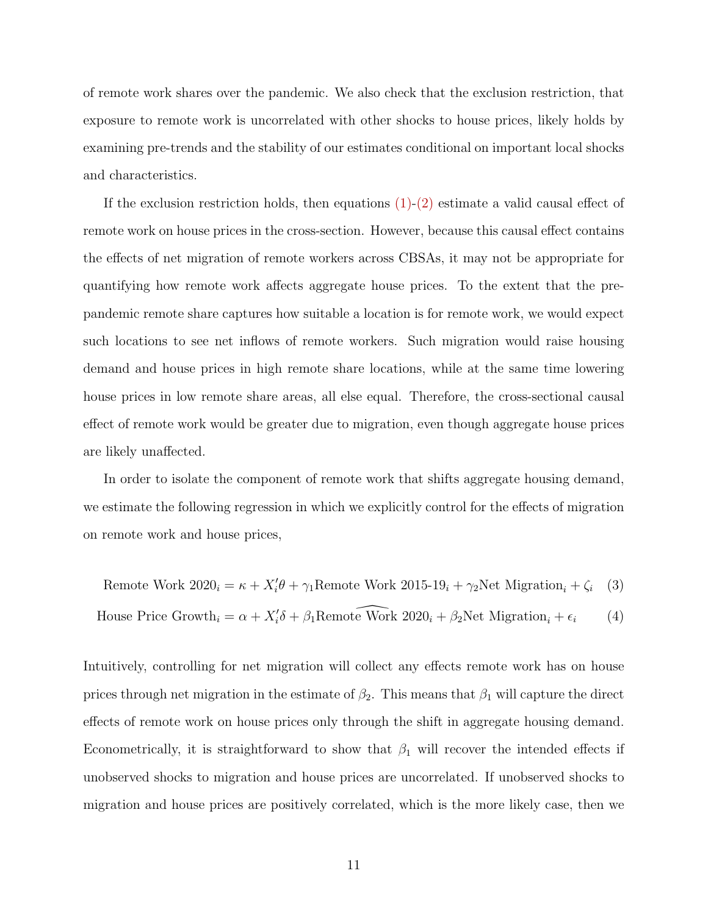of remote work shares over the pandemic. We also check that the exclusion restriction, that exposure to remote work is uncorrelated with other shocks to house prices, likely holds by examining pre-trends and the stability of our estimates conditional on important local shocks and characteristics.

If the exclusion restriction holds, then equations  $(1)-(2)$  $(1)-(2)$  estimate a valid causal effect of remote work on house prices in the cross-section. However, because this causal effect contains the effects of net migration of remote workers across CBSAs, it may not be appropriate for quantifying how remote work affects aggregate house prices. To the extent that the prepandemic remote share captures how suitable a location is for remote work, we would expect such locations to see net inflows of remote workers. Such migration would raise housing demand and house prices in high remote share locations, while at the same time lowering house prices in low remote share areas, all else equal. Therefore, the cross-sectional causal effect of remote work would be greater due to migration, even though aggregate house prices are likely unaffected.

In order to isolate the component of remote work that shifts aggregate housing demand, we estimate the following regression in which we explicitly control for the effects of migration on remote work and house prices,

<span id="page-12-1"></span><span id="page-12-0"></span>Remote Work 
$$
2020_i = \kappa + X_i' \theta + \gamma_1
$$
 Remove Work  $2015-19_i + \gamma_2$ Net Migration<sub>i</sub> +  $\zeta_i$  (3)

House Price Growth<sub>i</sub> = 
$$
\alpha + X'_i \delta + \beta_1
$$
Remote Work 2020<sub>i</sub> +  $\beta_2$ Net Migration<sub>i</sub> +  $\epsilon_i$  (4)

Intuitively, controlling for net migration will collect any effects remote work has on house prices through net migration in the estimate of  $\beta_2$ . This means that  $\beta_1$  will capture the direct effects of remote work on house prices only through the shift in aggregate housing demand. Econometrically, it is straightforward to show that  $\beta_1$  will recover the intended effects if unobserved shocks to migration and house prices are uncorrelated. If unobserved shocks to migration and house prices are positively correlated, which is the more likely case, then we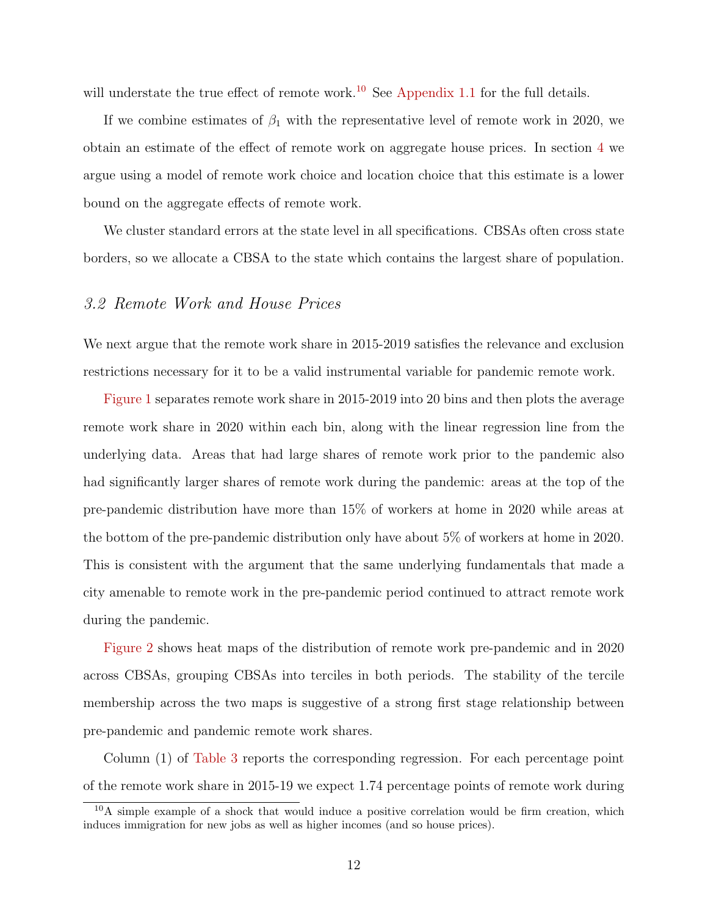will understate the true effect of remote work.<sup>[10](#page-13-0)</sup> See [Appendix 1.1](#page-56-0) for the full details.

If we combine estimates of  $\beta_1$  with the representative level of remote work in 2020, we obtain an estimate of the effect of remote work on aggregate house prices. In section [4](#page-22-0) we argue using a model of remote work choice and location choice that this estimate is a lower bound on the aggregate effects of remote work.

We cluster standard errors at the state level in all specifications. CBSAs often cross state borders, so we allocate a CBSA to the state which contains the largest share of population.

#### 3.2 Remote Work and House Prices

We next argue that the remote work share in 2015-2019 satisfies the relevance and exclusion restrictions necessary for it to be a valid instrumental variable for pandemic remote work.

[Figure 1](#page-34-0) separates remote work share in 2015-2019 into 20 bins and then plots the average remote work share in 2020 within each bin, along with the linear regression line from the underlying data. Areas that had large shares of remote work prior to the pandemic also had significantly larger shares of remote work during the pandemic: areas at the top of the pre-pandemic distribution have more than 15% of workers at home in 2020 while areas at the bottom of the pre-pandemic distribution only have about 5% of workers at home in 2020. This is consistent with the argument that the same underlying fundamentals that made a city amenable to remote work in the pre-pandemic period continued to attract remote work during the pandemic.

[Figure 2](#page-35-0) shows heat maps of the distribution of remote work pre-pandemic and in 2020 across CBSAs, grouping CBSAs into terciles in both periods. The stability of the tercile membership across the two maps is suggestive of a strong first stage relationship between pre-pandemic and pandemic remote work shares.

Column (1) of [Table 3](#page-44-0) reports the corresponding regression. For each percentage point of the remote work share in 2015-19 we expect 1.74 percentage points of remote work during

<span id="page-13-0"></span> $10$ A simple example of a shock that would induce a positive correlation would be firm creation, which induces immigration for new jobs as well as higher incomes (and so house prices).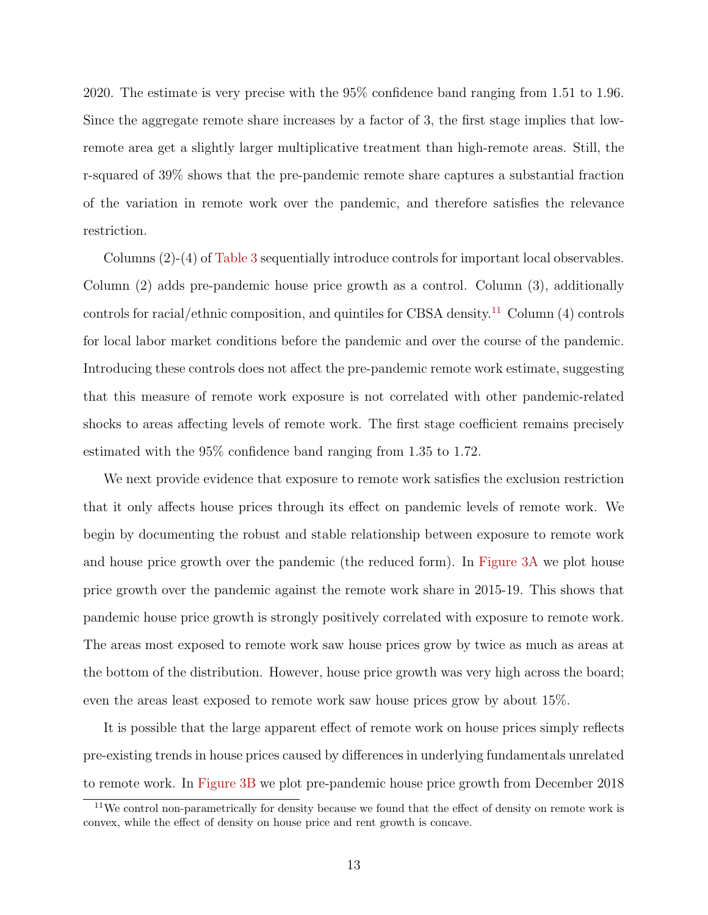2020. The estimate is very precise with the 95% confidence band ranging from 1.51 to 1.96. Since the aggregate remote share increases by a factor of 3, the first stage implies that lowremote area get a slightly larger multiplicative treatment than high-remote areas. Still, the r-squared of 39% shows that the pre-pandemic remote share captures a substantial fraction of the variation in remote work over the pandemic, and therefore satisfies the relevance restriction.

Columns (2)-(4) of [Table 3](#page-44-0) sequentially introduce controls for important local observables. Column (2) adds pre-pandemic house price growth as a control. Column (3), additionally controls for racial/ethnic composition, and quintiles for CBSA density.<sup>[11](#page-14-0)</sup> Column (4) controls for local labor market conditions before the pandemic and over the course of the pandemic. Introducing these controls does not affect the pre-pandemic remote work estimate, suggesting that this measure of remote work exposure is not correlated with other pandemic-related shocks to areas affecting levels of remote work. The first stage coefficient remains precisely estimated with the 95% confidence band ranging from 1.35 to 1.72.

We next provide evidence that exposure to remote work satisfies the exclusion restriction that it only affects house prices through its effect on pandemic levels of remote work. We begin by documenting the robust and stable relationship between exposure to remote work and house price growth over the pandemic (the reduced form). In [Figure 3A](#page-36-0) we plot house price growth over the pandemic against the remote work share in 2015-19. This shows that pandemic house price growth is strongly positively correlated with exposure to remote work. The areas most exposed to remote work saw house prices grow by twice as much as areas at the bottom of the distribution. However, house price growth was very high across the board; even the areas least exposed to remote work saw house prices grow by about 15%.

It is possible that the large apparent effect of remote work on house prices simply reflects pre-existing trends in house prices caused by differences in underlying fundamentals unrelated to remote work. In [Figure 3B](#page-36-0) we plot pre-pandemic house price growth from December 2018

<span id="page-14-0"></span> $11$ We control non-parametrically for density because we found that the effect of density on remote work is convex, while the effect of density on house price and rent growth is concave.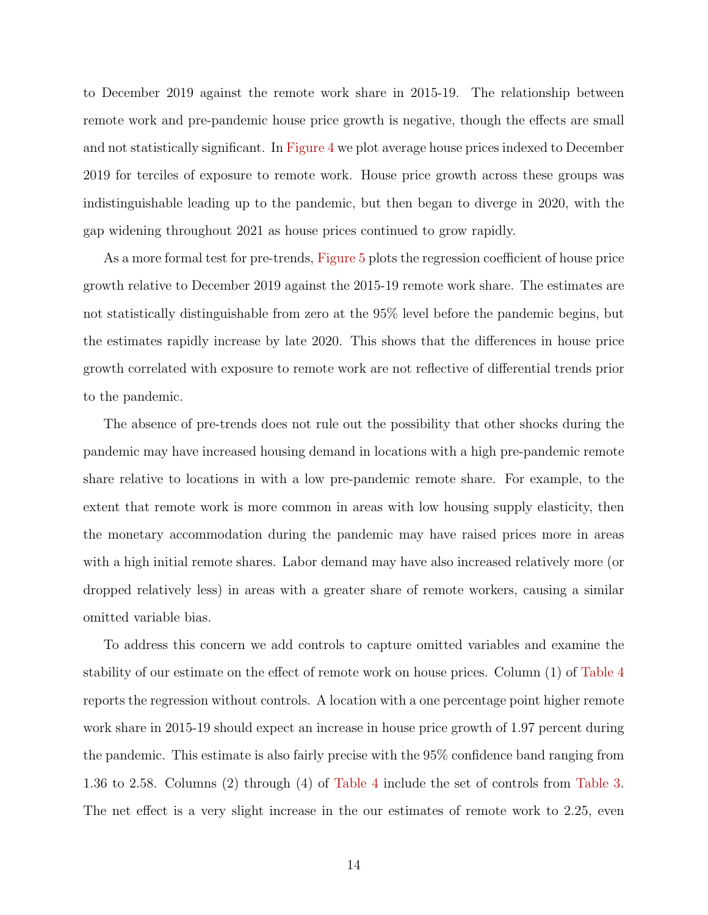to December 2019 against the remote work share in 2015-19. The relationship between remote work and pre-pandemic house price growth is negative, though the effects are small and not statistically significant. In [Figure 4](#page-37-0) we plot average house prices indexed to December 2019 for terciles of exposure to remote work. House price growth across these groups was indistinguishable leading up to the pandemic, but then began to diverge in 2020, with the gap widening throughout 2021 as house prices continued to grow rapidly.

As a more formal test for pre-trends, [Figure 5](#page-38-0) plots the regression coefficient of house price growth relative to December 2019 against the 2015-19 remote work share. The estimates are not statistically distinguishable from zero at the 95% level before the pandemic begins, but the estimates rapidly increase by late 2020. This shows that the differences in house price growth correlated with exposure to remote work are not reflective of differential trends prior to the pandemic.

The absence of pre-trends does not rule out the possibility that other shocks during the pandemic may have increased housing demand in locations with a high pre-pandemic remote share relative to locations in with a low pre-pandemic remote share. For example, to the extent that remote work is more common in areas with low housing supply elasticity, then the monetary accommodation during the pandemic may have raised prices more in areas with a high initial remote shares. Labor demand may have also increased relatively more (or dropped relatively less) in areas with a greater share of remote workers, causing a similar omitted variable bias.

To address this concern we add controls to capture omitted variables and examine the stability of our estimate on the effect of remote work on house prices. Column (1) of [Table 4](#page-45-0) reports the regression without controls. A location with a one percentage point higher remote work share in 2015-19 should expect an increase in house price growth of 1.97 percent during the pandemic. This estimate is also fairly precise with the 95% confidence band ranging from 1.36 to 2.58. Columns (2) through (4) of [Table 4](#page-45-0) include the set of controls from [Table 3.](#page-44-0) The net effect is a very slight increase in the our estimates of remote work to 2.25, even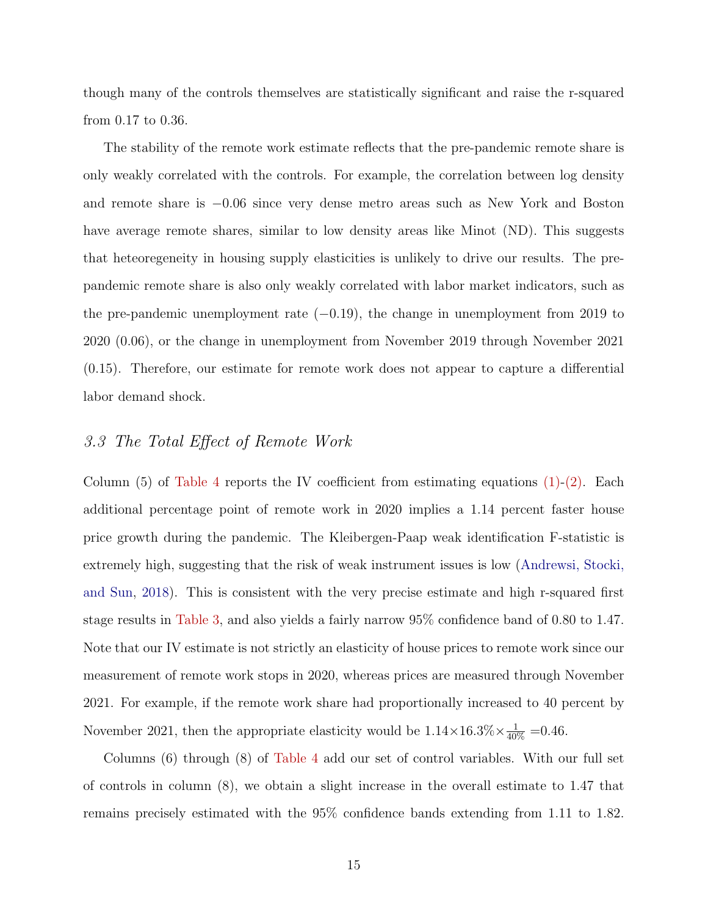though many of the controls themselves are statistically significant and raise the r-squared from 0.17 to 0.36.

The stability of the remote work estimate reflects that the pre-pandemic remote share is only weakly correlated with the controls. For example, the correlation between log density and remote share is −0.06 since very dense metro areas such as New York and Boston have average remote shares, similar to low density areas like Minot (ND). This suggests that heteoregeneity in housing supply elasticities is unlikely to drive our results. The prepandemic remote share is also only weakly correlated with labor market indicators, such as the pre-pandemic unemployment rate  $(-0.19)$ , the change in unemployment from 2019 to 2020 (0.06), or the change in unemployment from November 2019 through November 2021 (0.15). Therefore, our estimate for remote work does not appear to capture a differential labor demand shock.

#### 3.3 The Total Effect of Remote Work

Column (5) of [Table 4](#page-45-0) reports the IV coefficient from estimating equations  $(1)-(2)$  $(1)-(2)$ . Each additional percentage point of remote work in 2020 implies a 1.14 percent faster house price growth during the pandemic. The Kleibergen-Paap weak identification F-statistic is extremely high, suggesting that the risk of weak instrument issues is low [\(Andrewsi, Stocki,](#page-31-11) [and Sun,](#page-31-11) [2018\)](#page-31-11). This is consistent with the very precise estimate and high r-squared first stage results in [Table 3,](#page-44-0) and also yields a fairly narrow 95% confidence band of 0.80 to 1.47. Note that our IV estimate is not strictly an elasticity of house prices to remote work since our measurement of remote work stops in 2020, whereas prices are measured through November 2021. For example, if the remote work share had proportionally increased to 40 percent by November 2021, then the appropriate elasticity would be  $1.14 \times 16.3\% \times \frac{1}{40\%} = 0.46$ .

Columns (6) through (8) of [Table 4](#page-45-0) add our set of control variables. With our full set of controls in column (8), we obtain a slight increase in the overall estimate to 1.47 that remains precisely estimated with the 95% confidence bands extending from 1.11 to 1.82.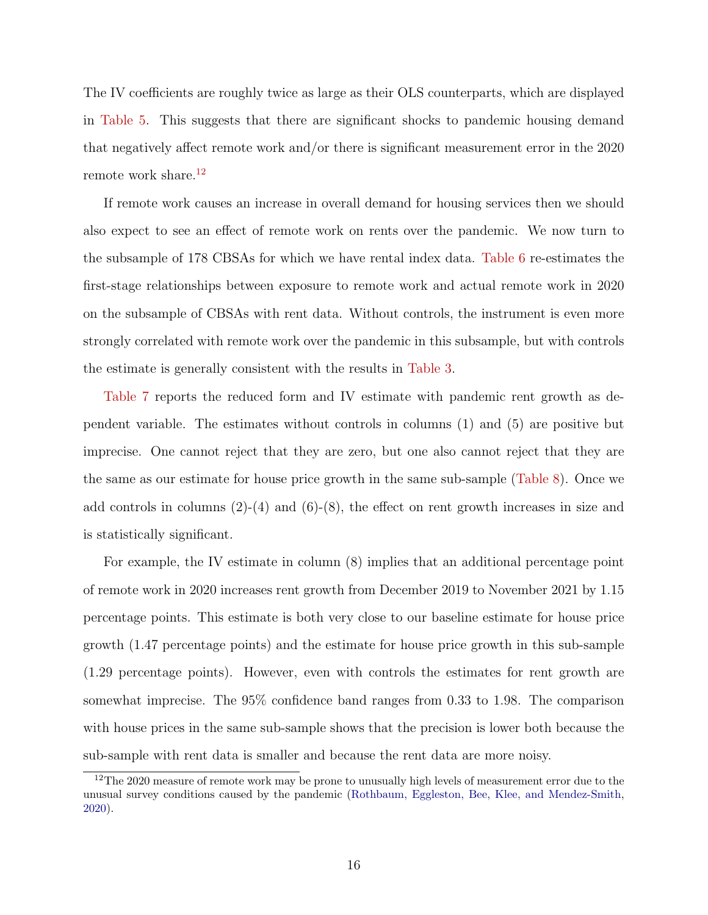The IV coefficients are roughly twice as large as their OLS counterparts, which are displayed in [Table 5.](#page-46-0) This suggests that there are significant shocks to pandemic housing demand that negatively affect remote work and/or there is significant measurement error in the 2020 remote work share.<sup>[12](#page-17-0)</sup>

If remote work causes an increase in overall demand for housing services then we should also expect to see an effect of remote work on rents over the pandemic. We now turn to the subsample of 178 CBSAs for which we have rental index data. [Table 6](#page-47-0) re-estimates the first-stage relationships between exposure to remote work and actual remote work in 2020 on the subsample of CBSAs with rent data. Without controls, the instrument is even more strongly correlated with remote work over the pandemic in this subsample, but with controls the estimate is generally consistent with the results in [Table 3.](#page-44-0)

[Table 7](#page-48-0) reports the reduced form and IV estimate with pandemic rent growth as dependent variable. The estimates without controls in columns (1) and (5) are positive but imprecise. One cannot reject that they are zero, but one also cannot reject that they are the same as our estimate for house price growth in the same sub-sample [\(Table 8\)](#page-49-0). Once we add controls in columns  $(2)-(4)$  and  $(6)-(8)$ , the effect on rent growth increases in size and is statistically significant.

For example, the IV estimate in column (8) implies that an additional percentage point of remote work in 2020 increases rent growth from December 2019 to November 2021 by 1.15 percentage points. This estimate is both very close to our baseline estimate for house price growth (1.47 percentage points) and the estimate for house price growth in this sub-sample (1.29 percentage points). However, even with controls the estimates for rent growth are somewhat imprecise. The 95% confidence band ranges from 0.33 to 1.98. The comparison with house prices in the same sub-sample shows that the precision is lower both because the sub-sample with rent data is smaller and because the rent data are more noisy.

<span id="page-17-0"></span><sup>&</sup>lt;sup>12</sup>The 2020 measure of remote work may be prone to unusually high levels of measurement error due to the unusual survey conditions caused by the pandemic [\(Rothbaum, Eggleston, Bee, Klee, and Mendez-Smith,](#page-33-9) [2020\)](#page-33-9).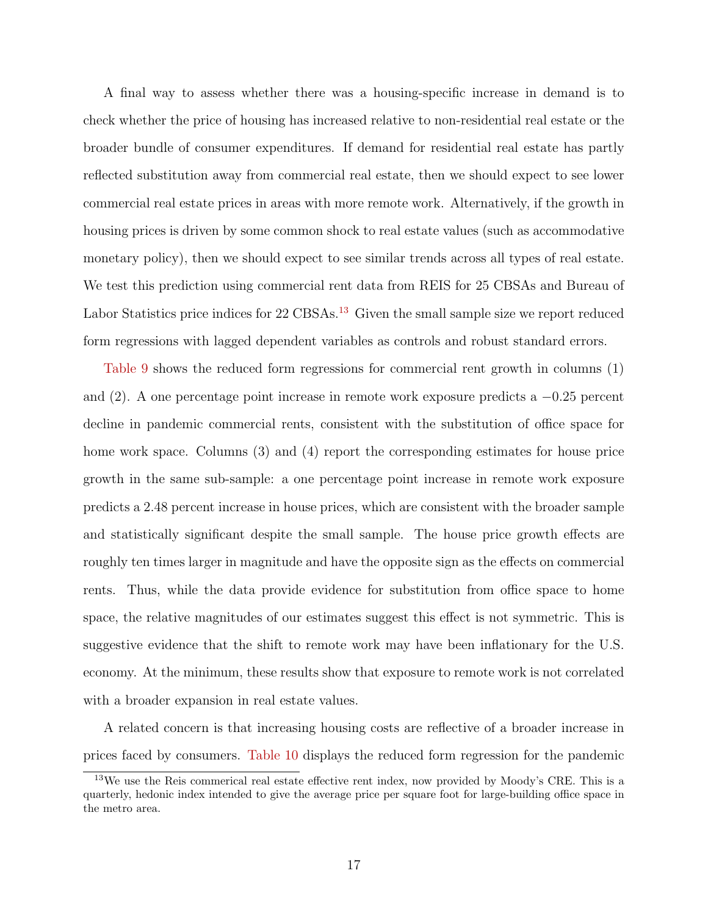A final way to assess whether there was a housing-specific increase in demand is to check whether the price of housing has increased relative to non-residential real estate or the broader bundle of consumer expenditures. If demand for residential real estate has partly reflected substitution away from commercial real estate, then we should expect to see lower commercial real estate prices in areas with more remote work. Alternatively, if the growth in housing prices is driven by some common shock to real estate values (such as accommodative monetary policy), then we should expect to see similar trends across all types of real estate. We test this prediction using commercial rent data from REIS for 25 CBSAs and Bureau of Labor Statistics price indices for 22 CBSAs.<sup>[13](#page-18-0)</sup> Given the small sample size we report reduced form regressions with lagged dependent variables as controls and robust standard errors.

[Table 9](#page-50-0) shows the reduced form regressions for commercial rent growth in columns (1) and (2). A one percentage point increase in remote work exposure predicts a −0.25 percent decline in pandemic commercial rents, consistent with the substitution of office space for home work space. Columns (3) and (4) report the corresponding estimates for house price growth in the same sub-sample: a one percentage point increase in remote work exposure predicts a 2.48 percent increase in house prices, which are consistent with the broader sample and statistically significant despite the small sample. The house price growth effects are roughly ten times larger in magnitude and have the opposite sign as the effects on commercial rents. Thus, while the data provide evidence for substitution from office space to home space, the relative magnitudes of our estimates suggest this effect is not symmetric. This is suggestive evidence that the shift to remote work may have been inflationary for the U.S. economy. At the minimum, these results show that exposure to remote work is not correlated with a broader expansion in real estate values.

A related concern is that increasing housing costs are reflective of a broader increase in prices faced by consumers. [Table 10](#page-51-0) displays the reduced form regression for the pandemic

<span id="page-18-0"></span><sup>&</sup>lt;sup>13</sup>We use the Reis commerical real estate effective rent index, now provided by Moody's CRE. This is a quarterly, hedonic index intended to give the average price per square foot for large-building office space in the metro area.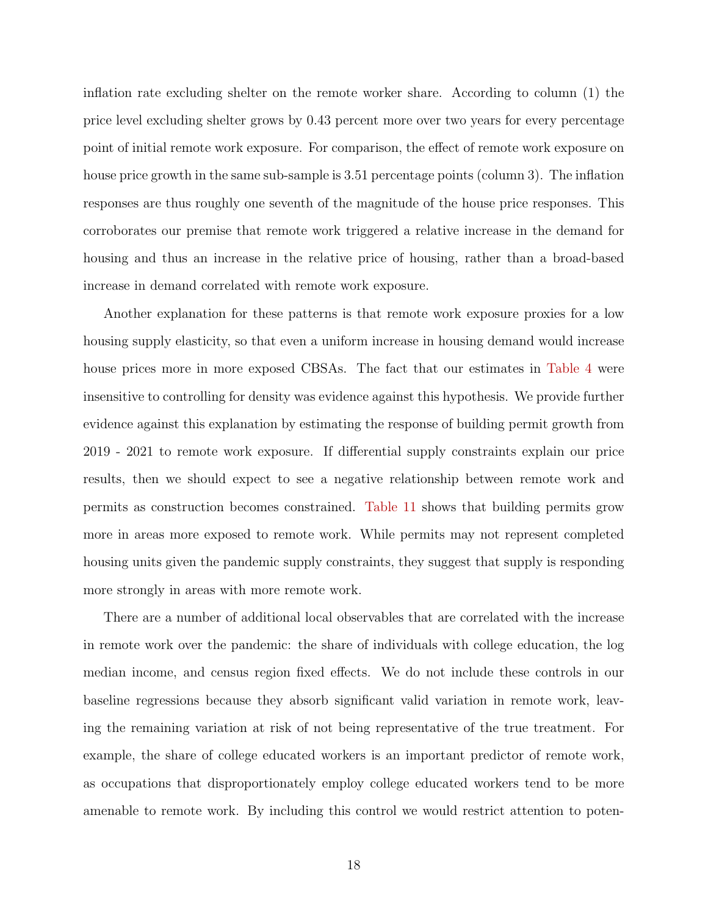inflation rate excluding shelter on the remote worker share. According to column (1) the price level excluding shelter grows by 0.43 percent more over two years for every percentage point of initial remote work exposure. For comparison, the effect of remote work exposure on house price growth in the same sub-sample is 3.51 percentage points (column 3). The inflation responses are thus roughly one seventh of the magnitude of the house price responses. This corroborates our premise that remote work triggered a relative increase in the demand for housing and thus an increase in the relative price of housing, rather than a broad-based increase in demand correlated with remote work exposure.

Another explanation for these patterns is that remote work exposure proxies for a low housing supply elasticity, so that even a uniform increase in housing demand would increase house prices more in more exposed CBSAs. The fact that our estimates in [Table 4](#page-45-0) were insensitive to controlling for density was evidence against this hypothesis. We provide further evidence against this explanation by estimating the response of building permit growth from 2019 - 2021 to remote work exposure. If differential supply constraints explain our price results, then we should expect to see a negative relationship between remote work and permits as construction becomes constrained. [Table 11](#page-52-0) shows that building permits grow more in areas more exposed to remote work. While permits may not represent completed housing units given the pandemic supply constraints, they suggest that supply is responding more strongly in areas with more remote work.

There are a number of additional local observables that are correlated with the increase in remote work over the pandemic: the share of individuals with college education, the log median income, and census region fixed effects. We do not include these controls in our baseline regressions because they absorb significant valid variation in remote work, leaving the remaining variation at risk of not being representative of the true treatment. For example, the share of college educated workers is an important predictor of remote work, as occupations that disproportionately employ college educated workers tend to be more amenable to remote work. By including this control we would restrict attention to poten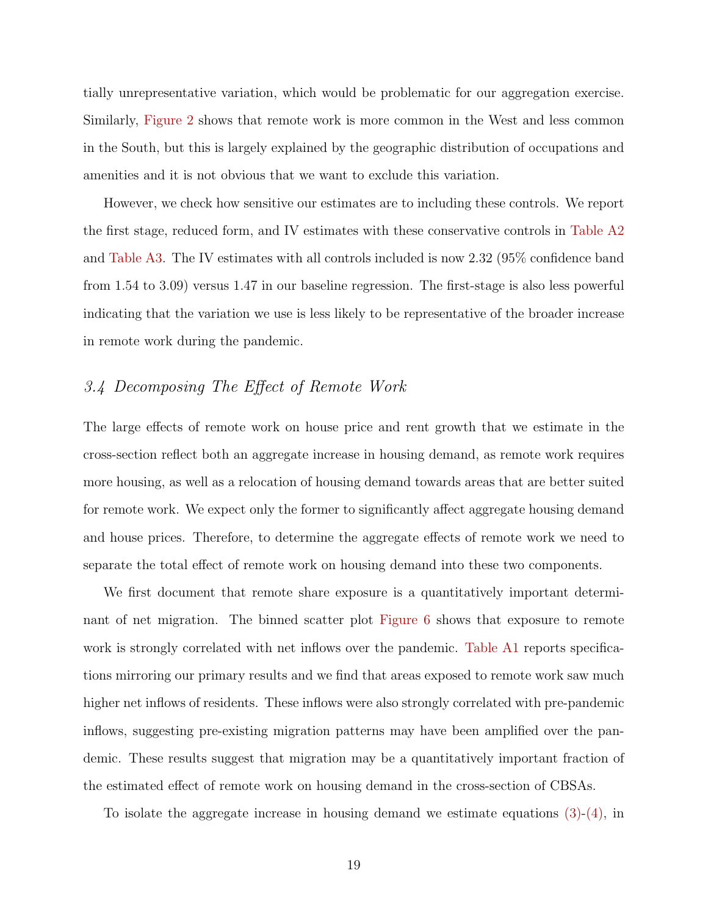tially unrepresentative variation, which would be problematic for our aggregation exercise. Similarly, [Figure 2](#page-35-0) shows that remote work is more common in the West and less common in the South, but this is largely explained by the geographic distribution of occupations and amenities and it is not obvious that we want to exclude this variation.

However, we check how sensitive our estimates are to including these controls. We report the first stage, reduced form, and IV estimates with these conservative controls in [Table A2](#page-59-0) and [Table A3.](#page-60-0) The IV estimates with all controls included is now 2.32 (95% confidence band from 1.54 to 3.09) versus 1.47 in our baseline regression. The first-stage is also less powerful indicating that the variation we use is less likely to be representative of the broader increase in remote work during the pandemic.

## 3.4 Decomposing The Effect of Remote Work

The large effects of remote work on house price and rent growth that we estimate in the cross-section reflect both an aggregate increase in housing demand, as remote work requires more housing, as well as a relocation of housing demand towards areas that are better suited for remote work. We expect only the former to significantly affect aggregate housing demand and house prices. Therefore, to determine the aggregate effects of remote work we need to separate the total effect of remote work on housing demand into these two components.

We first document that remote share exposure is a quantitatively important determinant of net migration. The binned scatter plot [Figure 6](#page-39-0) shows that exposure to remote work is strongly correlated with net inflows over the pandemic. [Table A1](#page-58-0) reports specifications mirroring our primary results and we find that areas exposed to remote work saw much higher net inflows of residents. These inflows were also strongly correlated with pre-pandemic inflows, suggesting pre-existing migration patterns may have been amplified over the pandemic. These results suggest that migration may be a quantitatively important fraction of the estimated effect of remote work on housing demand in the cross-section of CBSAs.

To isolate the aggregate increase in housing demand we estimate equations [\(3\)-](#page-12-0)[\(4\),](#page-12-1) in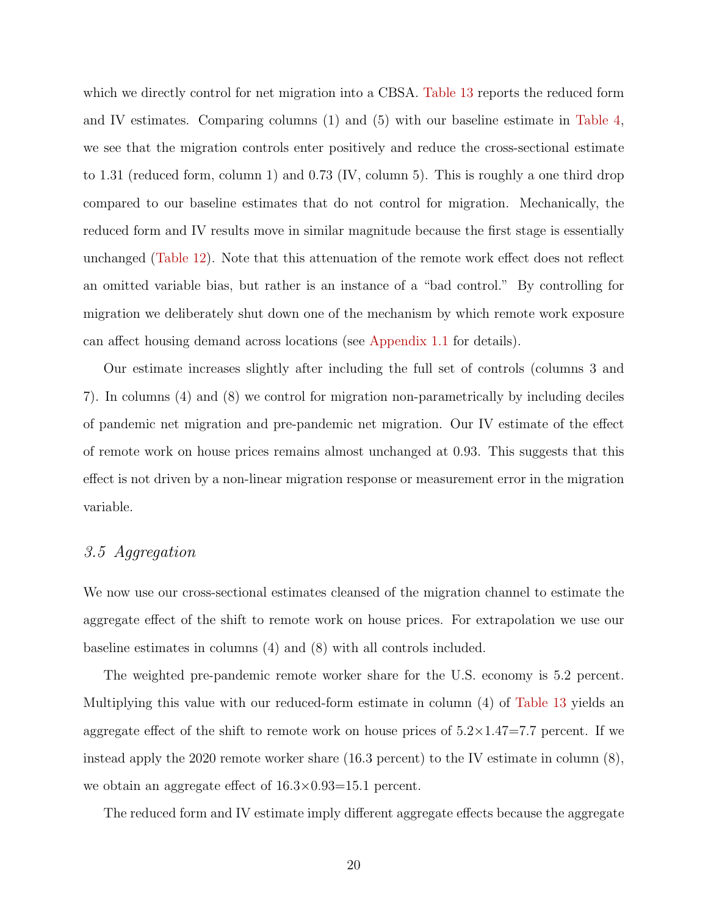which we directly control for net migration into a CBSA. [Table 13](#page-54-0) reports the reduced form and IV estimates. Comparing columns (1) and (5) with our baseline estimate in [Table 4,](#page-45-0) we see that the migration controls enter positively and reduce the cross-sectional estimate to 1.31 (reduced form, column 1) and 0.73 (IV, column 5). This is roughly a one third drop compared to our baseline estimates that do not control for migration. Mechanically, the reduced form and IV results move in similar magnitude because the first stage is essentially unchanged [\(Table 12\)](#page-53-0). Note that this attenuation of the remote work effect does not reflect an omitted variable bias, but rather is an instance of a "bad control." By controlling for migration we deliberately shut down one of the mechanism by which remote work exposure can affect housing demand across locations (see [Appendix 1.1](#page-56-0) for details).

Our estimate increases slightly after including the full set of controls (columns 3 and 7). In columns (4) and (8) we control for migration non-parametrically by including deciles of pandemic net migration and pre-pandemic net migration. Our IV estimate of the effect of remote work on house prices remains almost unchanged at 0.93. This suggests that this effect is not driven by a non-linear migration response or measurement error in the migration variable.

#### 3.5 Aggregation

We now use our cross-sectional estimates cleansed of the migration channel to estimate the aggregate effect of the shift to remote work on house prices. For extrapolation we use our baseline estimates in columns (4) and (8) with all controls included.

The weighted pre-pandemic remote worker share for the U.S. economy is 5.2 percent. Multiplying this value with our reduced-form estimate in column (4) of [Table 13](#page-54-0) yields an aggregate effect of the shift to remote work on house prices of  $5.2 \times 1.47=7.7$  percent. If we instead apply the 2020 remote worker share (16.3 percent) to the IV estimate in column (8), we obtain an aggregate effect of  $16.3 \times 0.93 = 15.1$  percent.

The reduced form and IV estimate imply different aggregate effects because the aggregate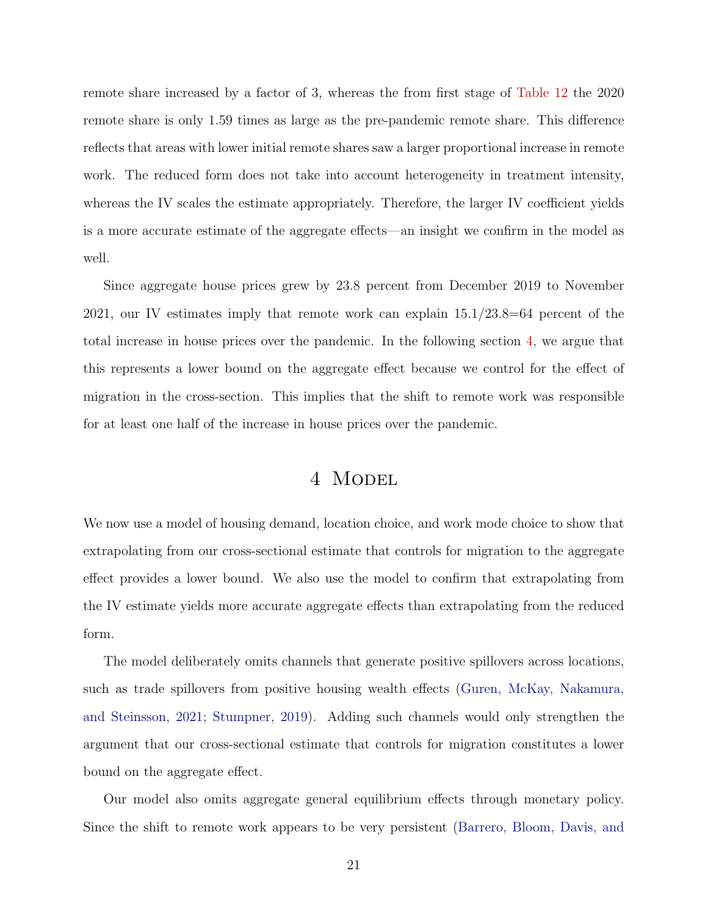<span id="page-22-1"></span>remote share increased by a factor of 3, whereas the from first stage of [Table 12](#page-53-0) the 2020 remote share is only 1.59 times as large as the pre-pandemic remote share. This difference reflects that areas with lower initial remote shares saw a larger proportional increase in remote work. The reduced form does not take into account heterogeneity in treatment intensity, whereas the IV scales the estimate appropriately. Therefore, the larger IV coefficient yields is a more accurate estimate of the aggregate effects—an insight we confirm in the model as well.

Since aggregate house prices grew by 23.8 percent from December 2019 to November 2021, our IV estimates imply that remote work can explain 15.1/23.8=64 percent of the total increase in house prices over the pandemic. In the following section [4,](#page-22-0) we argue that this represents a lower bound on the aggregate effect because we control for the effect of migration in the cross-section. This implies that the shift to remote work was responsible for at least one half of the increase in house prices over the pandemic.

## 4 Model

<span id="page-22-0"></span>We now use a model of housing demand, location choice, and work mode choice to show that extrapolating from our cross-sectional estimate that controls for migration to the aggregate effect provides a lower bound. We also use the model to confirm that extrapolating from the IV estimate yields more accurate aggregate effects than extrapolating from the reduced form.

The model deliberately omits channels that generate positive spillovers across locations, such as trade spillovers from positive housing wealth effects [\(Guren, McKay, Nakamura,](#page-32-12) [and Steinsson,](#page-32-12) [2021;](#page-32-12) [Stumpner,](#page-33-8) [2019\)](#page-33-8). Adding such channels would only strengthen the argument that our cross-sectional estimate that controls for migration constitutes a lower bound on the aggregate effect.

Our model also omits aggregate general equilibrium effects through monetary policy. Since the shift to remote work appears to be very persistent [\(Barrero, Bloom, Davis, and](#page-31-0)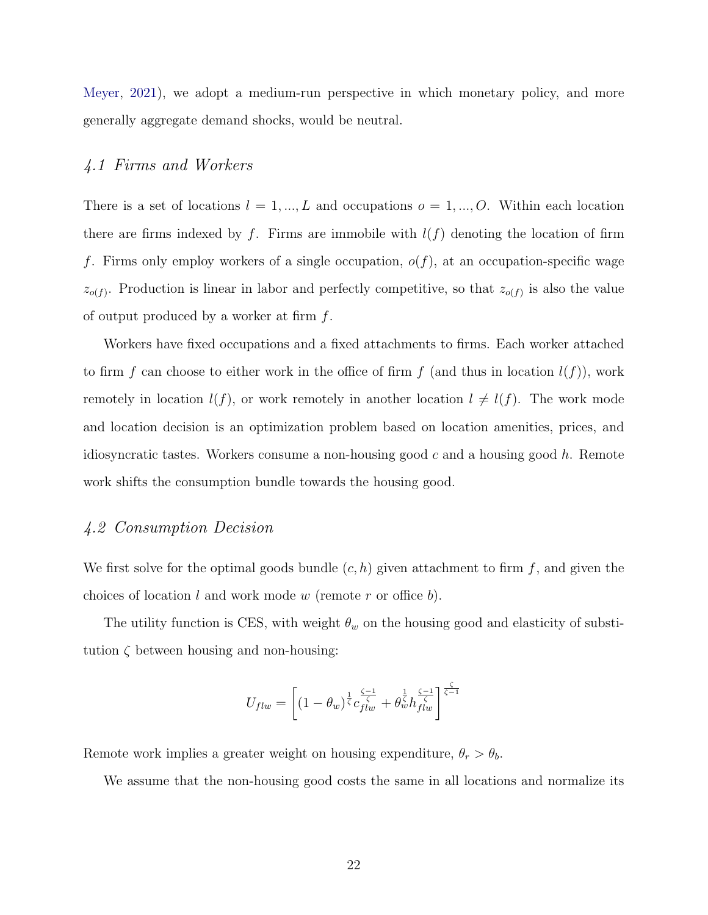[Meyer,](#page-31-0) [2021\)](#page-31-0), we adopt a medium-run perspective in which monetary policy, and more generally aggregate demand shocks, would be neutral.

## 4.1 Firms and Workers

There is a set of locations  $l = 1, ..., L$  and occupations  $o = 1, ..., O$ . Within each location there are firms indexed by f. Firms are immobile with  $l(f)$  denoting the location of firm f. Firms only employ workers of a single occupation,  $o(f)$ , at an occupation-specific wage  $z_{o(f)}$ . Production is linear in labor and perfectly competitive, so that  $z_{o(f)}$  is also the value of output produced by a worker at firm  $f$ .

Workers have fixed occupations and a fixed attachments to firms. Each worker attached to firm f can choose to either work in the office of firm f (and thus in location  $l(f)$ ), work remotely in location  $l(f)$ , or work remotely in another location  $l \neq l(f)$ . The work mode and location decision is an optimization problem based on location amenities, prices, and idiosyncratic tastes. Workers consume a non-housing good  $c$  and a housing good  $h$ . Remote work shifts the consumption bundle towards the housing good.

## 4.2 Consumption Decision

We first solve for the optimal goods bundle  $(c, h)$  given attachment to firm f, and given the choices of location  $l$  and work mode  $w$  (remote  $r$  or office  $b$ ).

The utility function is CES, with weight  $\theta_w$  on the housing good and elasticity of substitution  $\zeta$  between housing and non-housing:

$$
U_{flw}=\left[(1-\theta_w)^{\frac{1}{\zeta}}c_{flw}^{\frac{\zeta-1}{\zeta}}+\theta_w^{\frac{1}{\zeta}}h_{flw}^{\frac{\zeta-1}{\zeta}}\right]^{\frac{\zeta}{\zeta-1}}
$$

Remote work implies a greater weight on housing expenditure,  $\theta_r > \theta_b$ .

We assume that the non-housing good costs the same in all locations and normalize its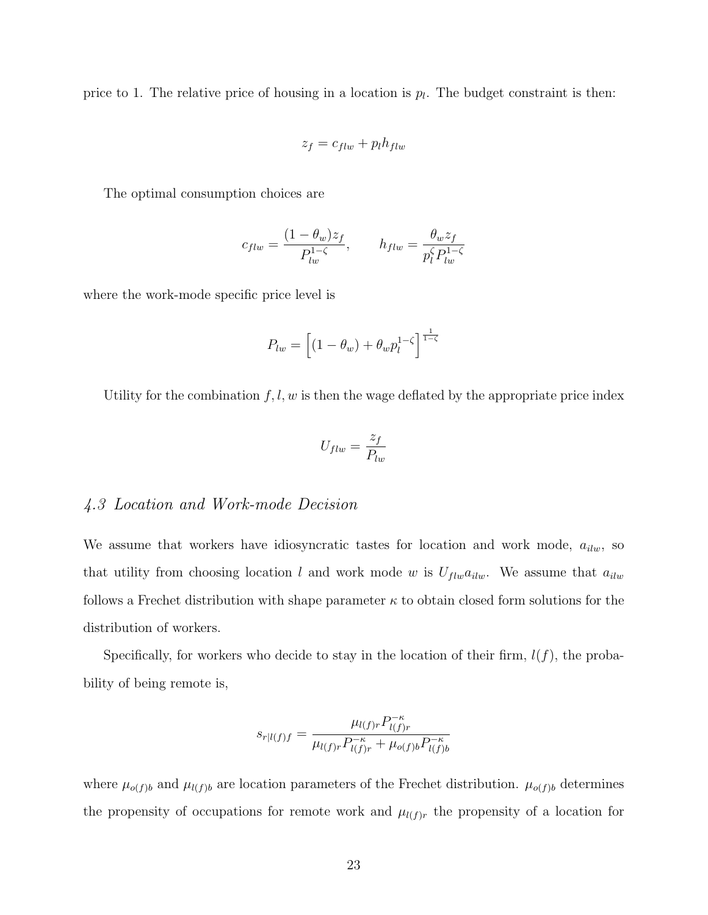price to 1. The relative price of housing in a location is  $p_l$ . The budget constraint is then:

$$
z_f = c_{flu} + p_l h_{flu}
$$

The optimal consumption choices are

$$
c_{flw} = \frac{(1 - \theta_w)z_f}{P_{lw}^{1 - \zeta}}, \qquad h_{flw} = \frac{\theta_w z_f}{p_l^{\zeta} P_{lw}^{1 - \zeta}}
$$

where the work-mode specific price level is

$$
P_{lw} = \left[ (1 - \theta_w) + \theta_w p_l^{1 - \zeta} \right]^{\frac{1}{1 - \zeta}}
$$

Utility for the combination  $f, l, w$  is then the wage deflated by the appropriate price index

$$
U_{flw} = \frac{z_f}{P_{lw}}
$$

## 4.3 Location and Work-mode Decision

We assume that workers have idiosyncratic tastes for location and work mode,  $a_{ilw}$ , so that utility from choosing location l and work mode w is  $U_{flw}a_{ilw}$ . We assume that  $a_{ilw}$ follows a Frechet distribution with shape parameter  $\kappa$  to obtain closed form solutions for the distribution of workers.

Specifically, for workers who decide to stay in the location of their firm,  $l(f)$ , the probability of being remote is,

$$
s_{r|l(f)f} = \frac{\mu_{l(f)r} P_{l(f)r}^{-\kappa}}{\mu_{l(f)r} P_{l(f)r}^{-\kappa} + \mu_{o(f)b} P_{l(f)b}^{-\kappa}}
$$

where  $\mu_{o(f)b}$  and  $\mu_{l(f)b}$  are location parameters of the Frechet distribution.  $\mu_{o(f)b}$  determines the propensity of occupations for remote work and  $\mu_{l(f)r}$  the propensity of a location for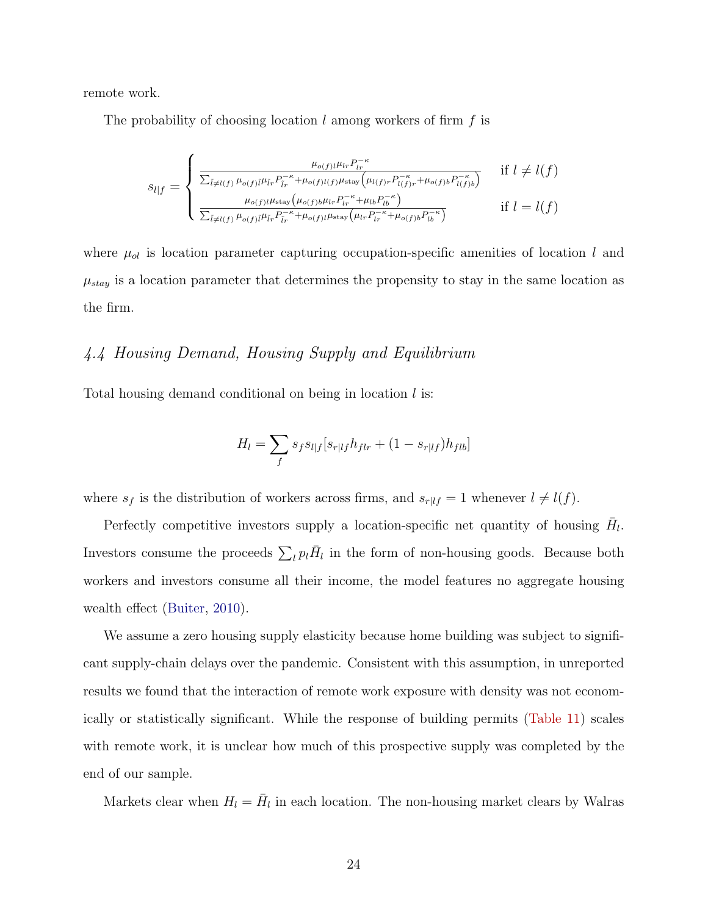remote work.

The probability of choosing location  $l$  among workers of firm  $f$  is

$$
s_{l|f} = \begin{cases} \frac{\mu_{o(f)l}\mu_{lr}P_{lr}^{-\kappa}}{\sum_{\tilde{l}\neq l(f)}\mu_{o(f)\tilde{l}}\mu_{\tilde{l}r}P_{\tilde{l}r}^{-\kappa} + \mu_{o(f)l(f)}\mu_{\text{stay}}\left(\mu_{l(f)r}P_{l(f)r}^{-\kappa} + \mu_{o(f)b}P_{l(f)b}^{-\kappa}\right)} & \text{if } l \neq l(f) \\ \frac{\mu_{o(f)l}\mu_{\text{stay}}\left(\mu_{o(f)b}\mu_{lr}P_{lr}^{-\kappa} + \mu_{lb}P_{lb}^{-\kappa}\right)}{\sum_{\tilde{l}\neq l(f)}\mu_{o(f)\tilde{l}}\mu_{\tilde{l}r}P_{lr}^{-\kappa} + \mu_{o(f)l}\mu_{\text{stay}}\left(\mu_{lr}P_{lr}^{-\kappa} + \mu_{o(f)b}P_{lb}^{-\kappa}\right)} & \text{if } l = l(f) \end{cases}
$$

where  $\mu_{ol}$  is location parameter capturing occupation-specific amenities of location l and  $\mu_{stay}$  is a location parameter that determines the propensity to stay in the same location as the firm.

## 4.4 Housing Demand, Housing Supply and Equilibrium

Total housing demand conditional on being in location  $l$  is:

$$
H_{l} = \sum_{f} s_{f} s_{l|f} [s_{r|lf} h_{flr} + (1 - s_{r|lf}) h_{flb}]
$$

where  $s_f$  is the distribution of workers across firms, and  $s_{r|lf} = 1$  whenever  $l \neq l(f)$ .

Perfectly competitive investors supply a location-specific net quantity of housing  $\bar{H}_l$ . Investors consume the proceeds  $\sum_l p_l \bar{H}_l$  in the form of non-housing goods. Because both workers and investors consume all their income, the model features no aggregate housing wealth effect [\(Buiter,](#page-31-12) [2010\)](#page-31-12).

We assume a zero housing supply elasticity because home building was subject to significant supply-chain delays over the pandemic. Consistent with this assumption, in unreported results we found that the interaction of remote work exposure with density was not economically or statistically significant. While the response of building permits [\(Table 11\)](#page-52-0) scales with remote work, it is unclear how much of this prospective supply was completed by the end of our sample.

Markets clear when  $H_l = \bar{H}_l$  in each location. The non-housing market clears by Walras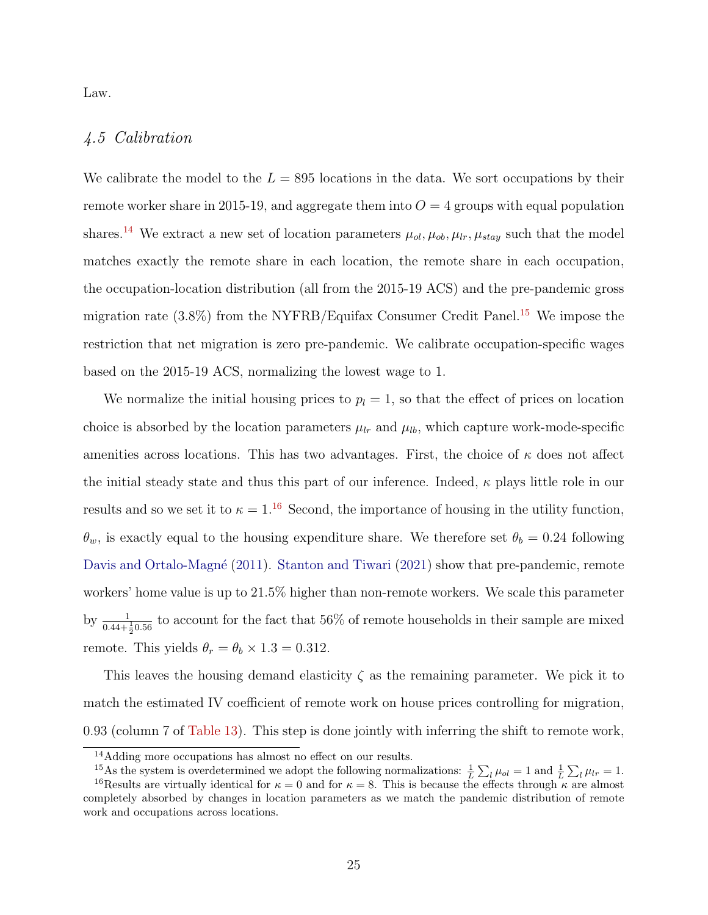Law.

## 4.5 Calibration

We calibrate the model to the  $L = 895$  locations in the data. We sort occupations by their remote worker share in 2015-19, and aggregate them into  $O = 4$  groups with equal population shares.<sup>[14](#page-26-0)</sup> We extract a new set of location parameters  $\mu_{ol}$ ,  $\mu_{ob}$ ,  $\mu_{lr}$ ,  $\mu_{stay}$  such that the model matches exactly the remote share in each location, the remote share in each occupation, the occupation-location distribution (all from the 2015-19 ACS) and the pre-pandemic gross migration rate (3.8%) from the NYFRB/Equifax Consumer Credit Panel.[15](#page-26-1) We impose the restriction that net migration is zero pre-pandemic. We calibrate occupation-specific wages based on the 2015-19 ACS, normalizing the lowest wage to 1.

We normalize the initial housing prices to  $p_l = 1$ , so that the effect of prices on location choice is absorbed by the location parameters  $\mu_{lr}$  and  $\mu_{lb}$ , which capture work-mode-specific amenities across locations. This has two advantages. First, the choice of  $\kappa$  does not affect the initial steady state and thus this part of our inference. Indeed,  $\kappa$  plays little role in our results and so we set it to  $\kappa = 1.16$  $\kappa = 1.16$  Second, the importance of housing in the utility function,  $\theta_w$ , is exactly equal to the housing expenditure share. We therefore set  $\theta_b = 0.24$  following Davis and Ortalo-Magné [\(2011\)](#page-32-14). [Stanton and Tiwari](#page-33-4) [\(2021\)](#page-33-4) show that pre-pandemic, remote workers' home value is up to 21.5% higher than non-remote workers. We scale this parameter by  $\frac{1}{0.44+\frac{1}{2}0.56}$  to account for the fact that 56% of remote households in their sample are mixed 2 remote. This yields  $\theta_r = \theta_b \times 1.3 = 0.312$ .

This leaves the housing demand elasticity  $\zeta$  as the remaining parameter. We pick it to match the estimated IV coefficient of remote work on house prices controlling for migration, 0.93 (column 7 of [Table 13\)](#page-54-0). This step is done jointly with inferring the shift to remote work,

<span id="page-26-1"></span><span id="page-26-0"></span><sup>14</sup>Adding more occupations has almost no effect on our results.

<span id="page-26-2"></span><sup>&</sup>lt;sup>15</sup>As the system is overdetermined we adopt the following normalizations:  $\frac{1}{L} \sum_l \mu_{ol} = 1$  and  $\frac{1}{L} \sum_l \mu_{lr} = 1$ .

<sup>&</sup>lt;sup>16</sup>Results are virtually identical for  $\kappa = 0$  and for  $\kappa = 8$ . This is because the effects through  $\kappa$  are almost completely absorbed by changes in location parameters as we match the pandemic distribution of remote work and occupations across locations.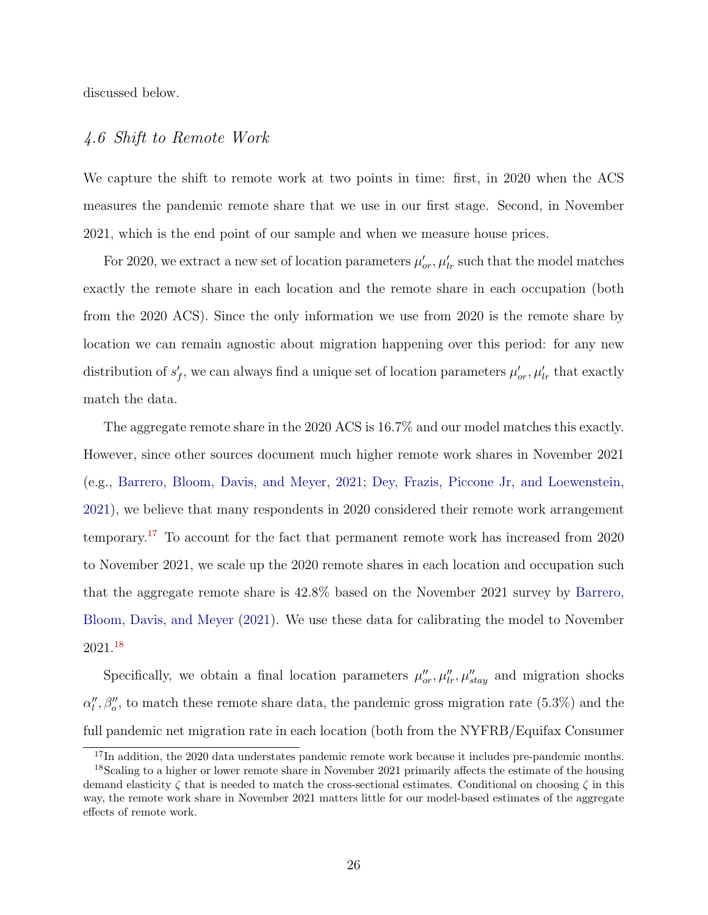discussed below.

## 4.6 Shift to Remote Work

We capture the shift to remote work at two points in time: first, in 2020 when the ACS measures the pandemic remote share that we use in our first stage. Second, in November 2021, which is the end point of our sample and when we measure house prices.

For 2020, we extract a new set of location parameters  $\mu'_{or}, \mu'_{lr}$  such that the model matches exactly the remote share in each location and the remote share in each occupation (both from the 2020 ACS). Since the only information we use from 2020 is the remote share by location we can remain agnostic about migration happening over this period: for any new distribution of  $s'_{f}$ , we can always find a unique set of location parameters  $\mu'_{or}, \mu'_{lr}$  that exactly match the data.

The aggregate remote share in the 2020 ACS is 16.7% and our model matches this exactly. However, since other sources document much higher remote work shares in November 2021 (e.g., [Barrero, Bloom, Davis, and Meyer,](#page-31-0) [2021;](#page-31-0) [Dey, Frazis, Piccone Jr, and Loewenstein,](#page-32-13) [2021\)](#page-32-13), we believe that many respondents in 2020 considered their remote work arrangement temporary.[17](#page-27-0) To account for the fact that permanent remote work has increased from 2020 to November 2021, we scale up the 2020 remote shares in each location and occupation such that the aggregate remote share is 42.8% based on the November 2021 survey by [Barrero,](#page-31-0) [Bloom, Davis, and Meyer](#page-31-0) [\(2021\)](#page-31-0). We use these data for calibrating the model to November 2021.[18](#page-27-1)

Specifically, we obtain a final location parameters  $\mu''_{or}, \mu''_{lr}, \mu''_{stay}$  and migration shocks  $\alpha''_l, \beta''_o$ , to match these remote share data, the pandemic gross migration rate (5.3%) and the full pandemic net migration rate in each location (both from the NYFRB/Equifax Consumer

<span id="page-27-1"></span><span id="page-27-0"></span> $17$ In addition, the 2020 data understates pandemic remote work because it includes pre-pandemic months.

<sup>&</sup>lt;sup>18</sup>Scaling to a higher or lower remote share in November 2021 primarily affects the estimate of the housing demand elasticity  $\zeta$  that is needed to match the cross-sectional estimates. Conditional on choosing  $\zeta$  in this way, the remote work share in November 2021 matters little for our model-based estimates of the aggregate effects of remote work.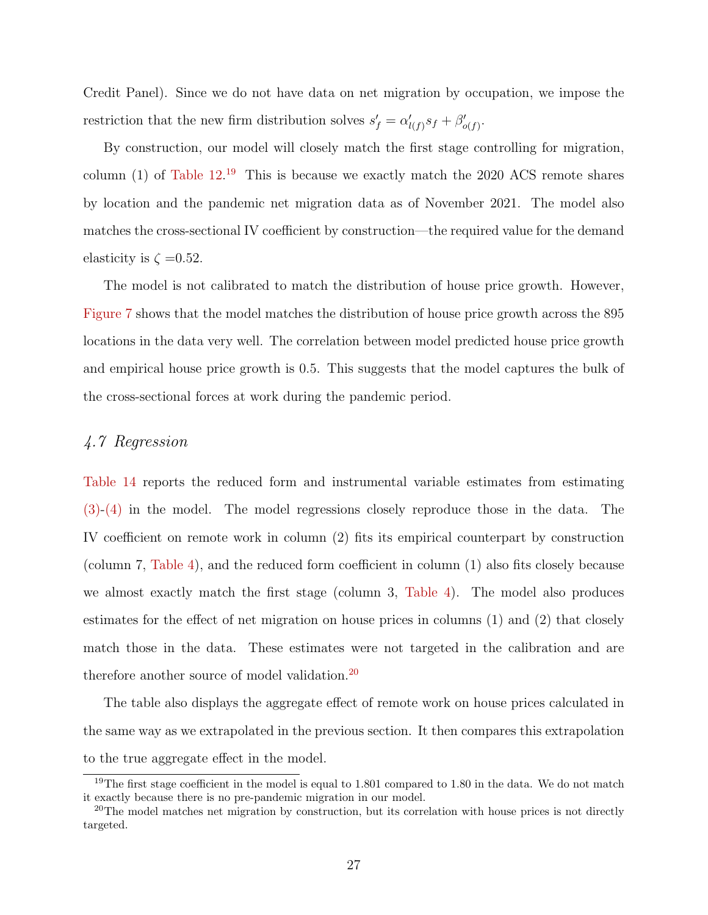Credit Panel). Since we do not have data on net migration by occupation, we impose the restriction that the new firm distribution solves  $s'_{f} = \alpha'_{l(f)} s_{f} + \beta'_{o(f)}$ .

By construction, our model will closely match the first stage controlling for migration, column  $(1)$  of Table  $12^{19}$  $12^{19}$  $12^{19}$  This is because we exactly match the 2020 ACS remote shares by location and the pandemic net migration data as of November 2021. The model also matches the cross-sectional IV coefficient by construction—the required value for the demand elasticity is  $\zeta = 0.52$ .

The model is not calibrated to match the distribution of house price growth. However, [Figure 7](#page-40-0) shows that the model matches the distribution of house price growth across the 895 locations in the data very well. The correlation between model predicted house price growth and empirical house price growth is 0.5. This suggests that the model captures the bulk of the cross-sectional forces at work during the pandemic period.

## 4.7 Regression

[Table 14](#page-55-0) reports the reduced form and instrumental variable estimates from estimating [\(3\)-](#page-12-0)[\(4\)](#page-12-1) in the model. The model regressions closely reproduce those in the data. The IV coefficient on remote work in column (2) fits its empirical counterpart by construction (column 7, [Table 4\)](#page-45-0), and the reduced form coefficient in column (1) also fits closely because we almost exactly match the first stage (column 3, [Table 4\)](#page-45-0). The model also produces estimates for the effect of net migration on house prices in columns (1) and (2) that closely match those in the data. These estimates were not targeted in the calibration and are therefore another source of model validation.<sup>[20](#page-28-1)</sup>

The table also displays the aggregate effect of remote work on house prices calculated in the same way as we extrapolated in the previous section. It then compares this extrapolation to the true aggregate effect in the model.

<span id="page-28-0"></span><sup>&</sup>lt;sup>19</sup>The first stage coefficient in the model is equal to  $1.801$  compared to  $1.80$  in the data. We do not match it exactly because there is no pre-pandemic migration in our model.

<span id="page-28-1"></span> $20$ The model matches net migration by construction, but its correlation with house prices is not directly targeted.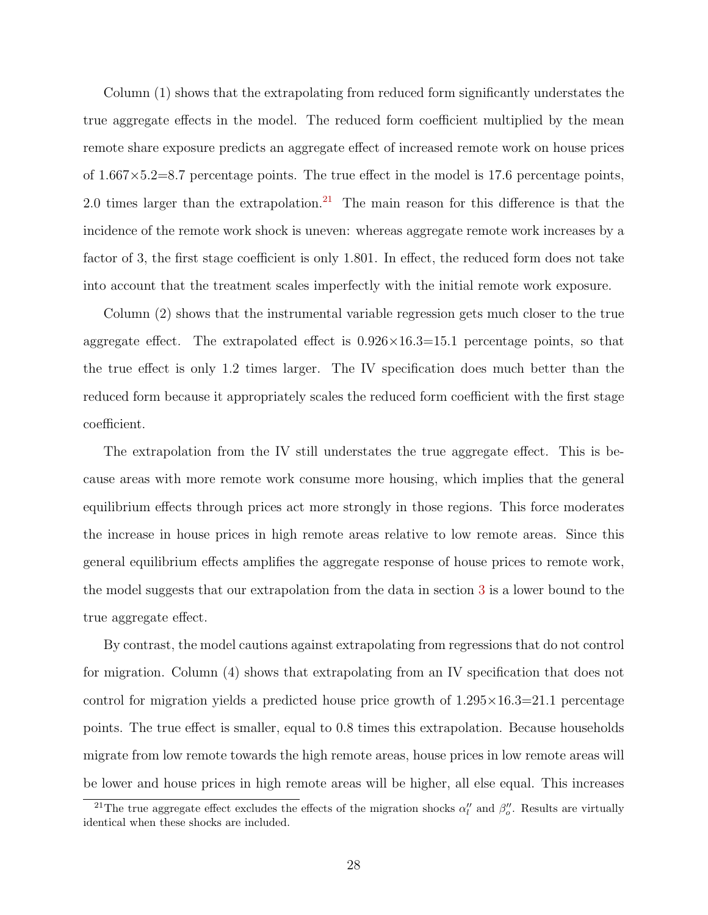Column (1) shows that the extrapolating from reduced form significantly understates the true aggregate effects in the model. The reduced form coefficient multiplied by the mean remote share exposure predicts an aggregate effect of increased remote work on house prices of  $1.667 \times 5.2 = 8.7$  percentage points. The true effect in the model is 17.6 percentage points, 2.0 times larger than the extrapolation.<sup>[21](#page-29-0)</sup> The main reason for this difference is that the incidence of the remote work shock is uneven: whereas aggregate remote work increases by a factor of 3, the first stage coefficient is only 1.801. In effect, the reduced form does not take into account that the treatment scales imperfectly with the initial remote work exposure.

Column (2) shows that the instrumental variable regression gets much closer to the true aggregate effect. The extrapolated effect is  $0.926 \times 16.3 = 15.1$  percentage points, so that the true effect is only 1.2 times larger. The IV specification does much better than the reduced form because it appropriately scales the reduced form coefficient with the first stage coefficient.

The extrapolation from the IV still understates the true aggregate effect. This is because areas with more remote work consume more housing, which implies that the general equilibrium effects through prices act more strongly in those regions. This force moderates the increase in house prices in high remote areas relative to low remote areas. Since this general equilibrium effects amplifies the aggregate response of house prices to remote work, the model suggests that our extrapolation from the data in section [3](#page-10-2) is a lower bound to the true aggregate effect.

By contrast, the model cautions against extrapolating from regressions that do not control for migration. Column (4) shows that extrapolating from an IV specification that does not control for migration yields a predicted house price growth of  $1.295\times16.3=21.1$  percentage points. The true effect is smaller, equal to 0.8 times this extrapolation. Because households migrate from low remote towards the high remote areas, house prices in low remote areas will be lower and house prices in high remote areas will be higher, all else equal. This increases

<span id="page-29-0"></span><sup>&</sup>lt;sup>21</sup>The true aggregate effect excludes the effects of the migration shocks  $\alpha''_l$  and  $\beta''_o$ . Results are virtually identical when these shocks are included.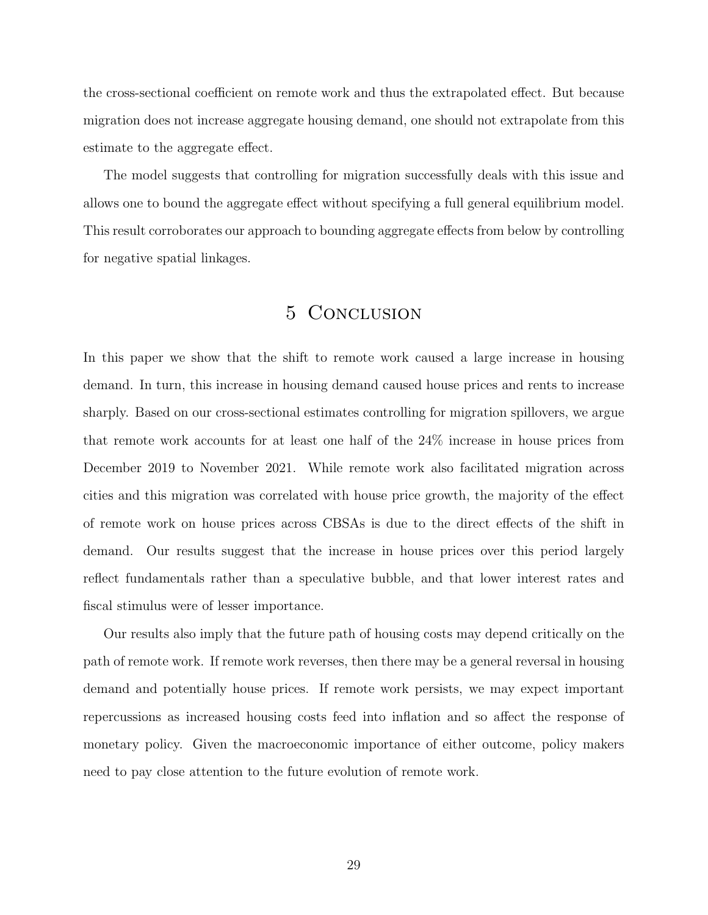the cross-sectional coefficient on remote work and thus the extrapolated effect. But because migration does not increase aggregate housing demand, one should not extrapolate from this estimate to the aggregate effect.

The model suggests that controlling for migration successfully deals with this issue and allows one to bound the aggregate effect without specifying a full general equilibrium model. This result corroborates our approach to bounding aggregate effects from below by controlling for negative spatial linkages.

## 5 Conclusion

In this paper we show that the shift to remote work caused a large increase in housing demand. In turn, this increase in housing demand caused house prices and rents to increase sharply. Based on our cross-sectional estimates controlling for migration spillovers, we argue that remote work accounts for at least one half of the 24% increase in house prices from December 2019 to November 2021. While remote work also facilitated migration across cities and this migration was correlated with house price growth, the majority of the effect of remote work on house prices across CBSAs is due to the direct effects of the shift in demand. Our results suggest that the increase in house prices over this period largely reflect fundamentals rather than a speculative bubble, and that lower interest rates and fiscal stimulus were of lesser importance.

Our results also imply that the future path of housing costs may depend critically on the path of remote work. If remote work reverses, then there may be a general reversal in housing demand and potentially house prices. If remote work persists, we may expect important repercussions as increased housing costs feed into inflation and so affect the response of monetary policy. Given the macroeconomic importance of either outcome, policy makers need to pay close attention to the future evolution of remote work.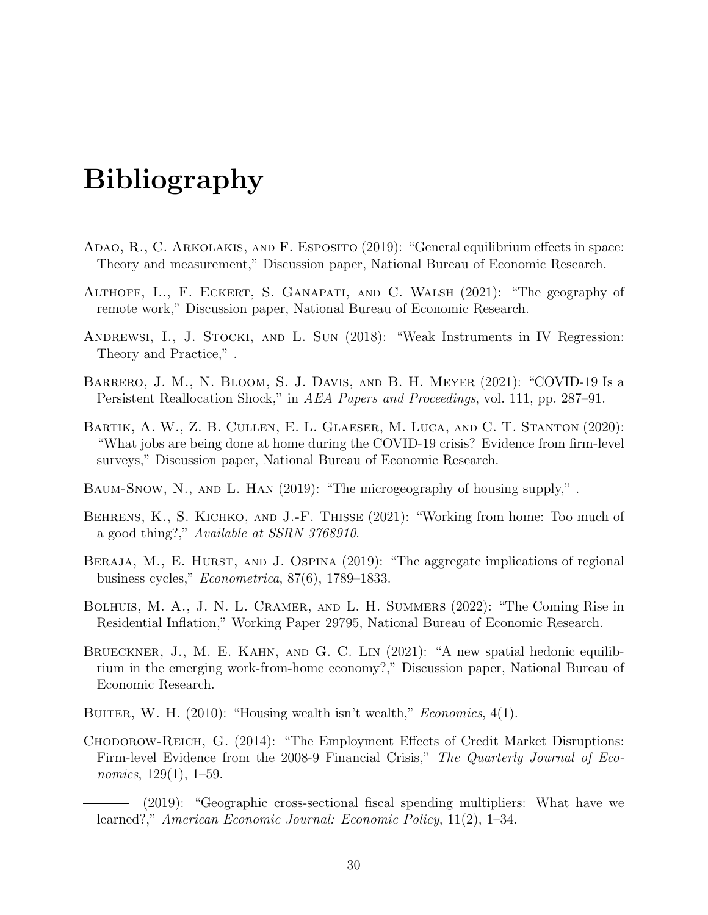# Bibliography

- <span id="page-31-9"></span>ADAO, R., C. ARKOLAKIS, AND F. ESPOSITO (2019): "General equilibrium effects in space: Theory and measurement," Discussion paper, National Bureau of Economic Research.
- <span id="page-31-4"></span>Althoff, L., F. Eckert, S. Ganapati, and C. Walsh (2021): "The geography of remote work," Discussion paper, National Bureau of Economic Research.
- <span id="page-31-11"></span>ANDREWSI, I., J. STOCKI, AND L. SUN (2018): "Weak Instruments in IV Regression: Theory and Practice," .
- <span id="page-31-0"></span>Barrero, J. M., N. Bloom, S. J. Davis, and B. H. Meyer (2021): "COVID-19 Is a Persistent Reallocation Shock," in AEA Papers and Proceedings, vol. 111, pp. 287–91.
- <span id="page-31-3"></span>Bartik, A. W., Z. B. Cullen, E. L. Glaeser, M. Luca, and C. T. Stanton (2020): "What jobs are being done at home during the COVID-19 crisis? Evidence from firm-level surveys," Discussion paper, National Bureau of Economic Research.
- <span id="page-31-10"></span>Baum-Snow, N., and L. Han (2019): "The microgeography of housing supply," .
- <span id="page-31-6"></span>BEHRENS, K., S. KICHKO, AND J.-F. THISSE (2021): "Working from home: Too much of a good thing?," Available at SSRN 3768910.
- <span id="page-31-8"></span>BERAJA, M., E. HURST, AND J. OSPINA (2019): "The aggregate implications of regional business cycles," Econometrica, 87(6), 1789–1833.
- <span id="page-31-1"></span>BOLHUIS, M. A., J. N. L. CRAMER, AND L. H. SUMMERS (2022): "The Coming Rise in Residential Inflation," Working Paper 29795, National Bureau of Economic Research.
- <span id="page-31-5"></span>Brueckner, J., M. E. Kahn, and G. C. Lin (2021): "A new spatial hedonic equilibrium in the emerging work-from-home economy?," Discussion paper, National Bureau of Economic Research.
- <span id="page-31-12"></span>BUITER, W. H.  $(2010)$ : "Housing wealth isn't wealth," *Economics*,  $4(1)$ .
- <span id="page-31-7"></span>Chodorow-Reich, G. (2014): "The Employment Effects of Credit Market Disruptions: Firm-level Evidence from the 2008-9 Financial Crisis," The Quarterly Journal of Economics, 129(1), 1–59.

<span id="page-31-2"></span>(2019): "Geographic cross-sectional fiscal spending multipliers: What have we learned?," American Economic Journal: Economic Policy, 11(2), 1–34.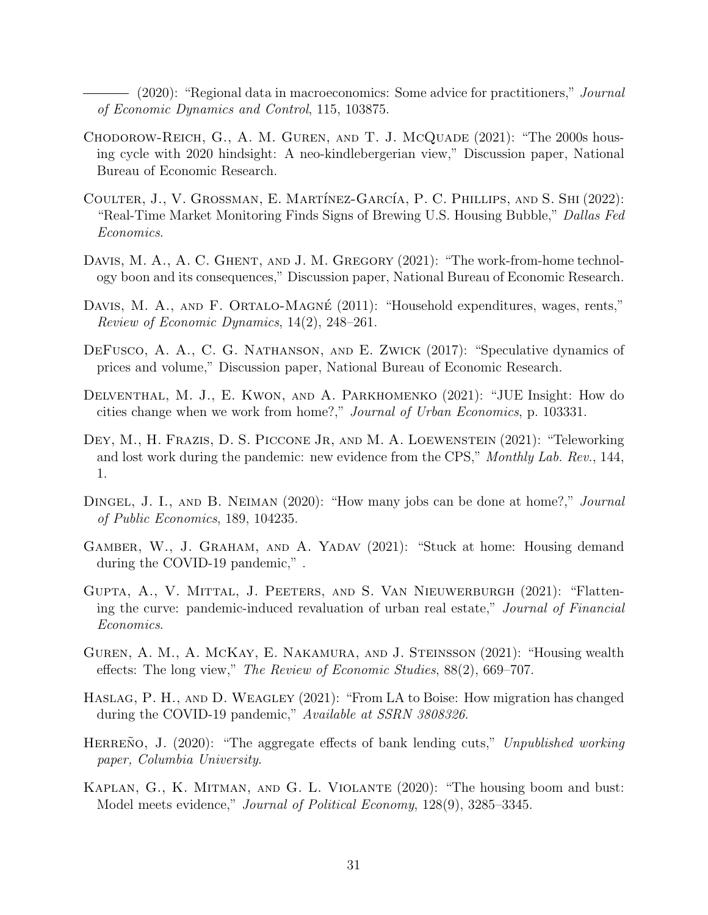<span id="page-32-11"></span>(2020): "Regional data in macroeconomics: Some advice for practitioners," *Journal* of Economic Dynamics and Control, 115, 103875.

- <span id="page-32-9"></span>CHODOROW-REICH, G., A. M. GUREN, AND T. J. MCQUADE (2021): "The 2000s housing cycle with 2020 hindsight: A neo-kindlebergerian view," Discussion paper, National Bureau of Economic Research.
- <span id="page-32-6"></span>COULTER, J., V. GROSSMAN, E. MARTÍNEZ-GARCÍA, P. C. PHILLIPS, AND S. SHI (2022): "Real-Time Market Monitoring Finds Signs of Brewing U.S. Housing Bubble," Dallas Fed Economics.
- <span id="page-32-2"></span>DAVIS, M. A., A. C. GHENT, AND J. M. GREGORY (2021): "The work-from-home technology boon and its consequences," Discussion paper, National Bureau of Economic Research.
- <span id="page-32-14"></span>DAVIS, M. A., AND F. ORTALO-MAGNÉ (2011): "Household expenditures, wages, rents," Review of Economic Dynamics, 14(2), 248–261.
- <span id="page-32-7"></span>DeFusco, A. A., C. G. Nathanson, and E. Zwick (2017): "Speculative dynamics of prices and volume," Discussion paper, National Bureau of Economic Research.
- <span id="page-32-5"></span>Delventhal, M. J., E. Kwon, and A. Parkhomenko (2021): "JUE Insight: How do cities change when we work from home?," Journal of Urban Economics, p. 103331.
- <span id="page-32-13"></span>DEY, M., H. FRAZIS, D. S. PICCONE JR, AND M. A. LOEWENSTEIN (2021): "Teleworking and lost work during the pandemic: new evidence from the CPS," Monthly Lab. Rev., 144, 1.
- <span id="page-32-0"></span>DINGEL, J. I., AND B. NEIMAN (2020): "How many jobs can be done at home?," *Journal* of Public Economics, 189, 104235.
- <span id="page-32-3"></span>Gamber, W., J. Graham, and A. Yadav (2021): "Stuck at home: Housing demand during the COVID-19 pandemic," .
- <span id="page-32-4"></span>Gupta, A., V. Mittal, J. Peeters, and S. Van Nieuwerburgh (2021): "Flattening the curve: pandemic-induced revaluation of urban real estate," Journal of Financial Economics.
- <span id="page-32-12"></span>Guren, A. M., A. McKay, E. Nakamura, and J. Steinsson (2021): "Housing wealth effects: The long view," The Review of Economic Studies, 88(2), 669–707.
- <span id="page-32-1"></span>Haslag, P. H., and D. Weagley (2021): "From LA to Boise: How migration has changed during the COVID-19 pandemic," Available at SSRN 3808326.
- <span id="page-32-10"></span>HERRENO, J.  $(2020)$ : "The aggregate effects of bank lending cuts," Unpublished working paper, Columbia University.
- <span id="page-32-8"></span>Kaplan, G., K. Mitman, and G. L. Violante (2020): "The housing boom and bust: Model meets evidence," Journal of Political Economy, 128(9), 3285–3345.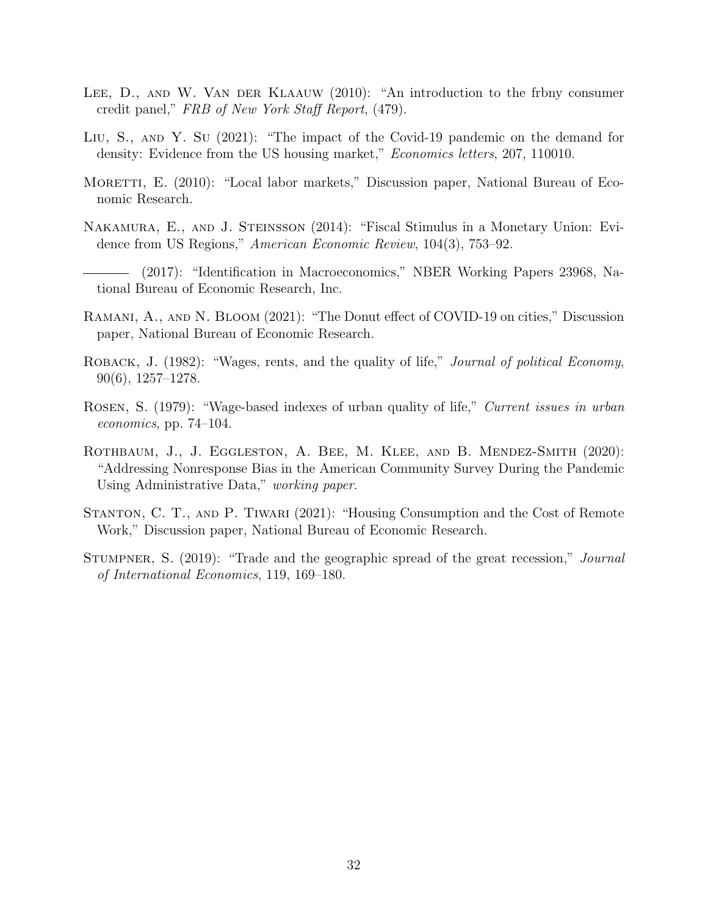- <span id="page-33-10"></span>LEE, D., AND W. VAN DER KLAAUW (2010): "An introduction to the frbny consumer credit panel," FRB of New York Staff Report, (479).
- <span id="page-33-6"></span>LIU, S., AND Y. SU (2021): "The impact of the Covid-19 pandemic on the demand for density: Evidence from the US housing market," *Economics letters*, 207, 110010.
- <span id="page-33-1"></span>MORETTI, E. (2010): "Local labor markets," Discussion paper, National Bureau of Economic Research.
- <span id="page-33-7"></span>Nakamura, E., and J. Steinsson (2014): "Fiscal Stimulus in a Monetary Union: Evidence from US Regions," American Economic Review, 104(3), 753–92.
- <span id="page-33-0"></span>(2017): "Identification in Macroeconomics," NBER Working Papers 23968, National Bureau of Economic Research, Inc.
- <span id="page-33-5"></span>RAMANI, A., AND N. BLOOM (2021): "The Donut effect of COVID-19 on cities," Discussion paper, National Bureau of Economic Research.
- <span id="page-33-3"></span>ROBACK, J. (1982): "Wages, rents, and the quality of life," *Journal of political Economy*, 90(6), 1257–1278.
- <span id="page-33-2"></span>Rosen, S. (1979): "Wage-based indexes of urban quality of life," Current issues in urban economics, pp. 74–104.
- <span id="page-33-9"></span>Rothbaum, J., J. Eggleston, A. Bee, M. Klee, and B. Mendez-Smith (2020): "Addressing Nonresponse Bias in the American Community Survey During the Pandemic Using Administrative Data," working paper.
- <span id="page-33-4"></span>Stanton, C. T., and P. Tiwari (2021): "Housing Consumption and the Cost of Remote Work," Discussion paper, National Bureau of Economic Research.
- <span id="page-33-8"></span>STUMPNER, S. (2019): "Trade and the geographic spread of the great recession," Journal of International Economics, 119, 169–180.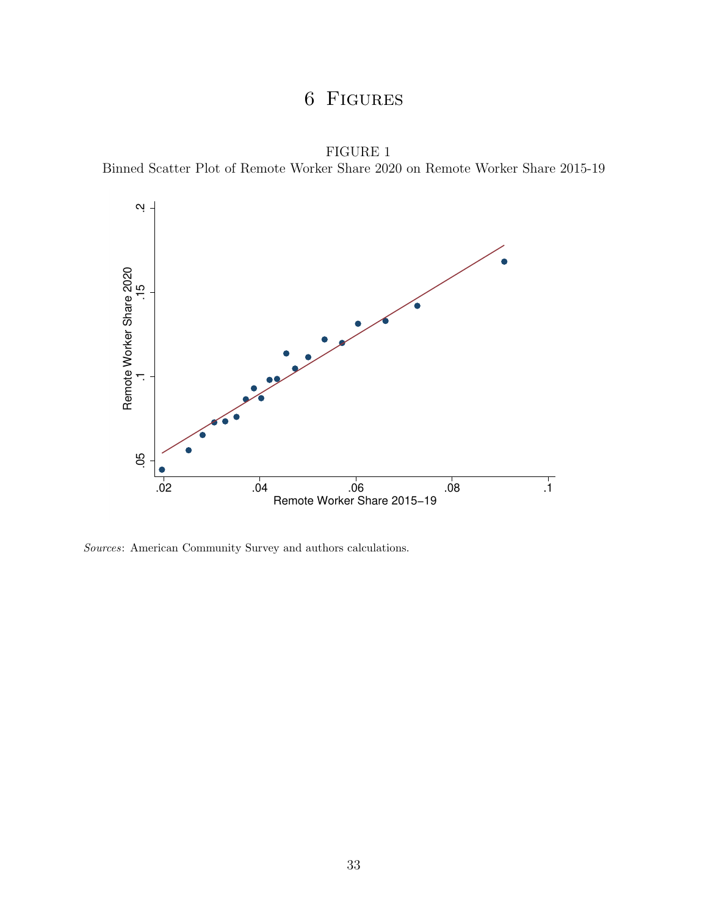## 6 Figures

FIGURE 1 Binned Scatter Plot of Remote Worker Share 2020 on Remote Worker Share 2015-19

<span id="page-34-0"></span>

Sources: American Community Survey and authors calculations.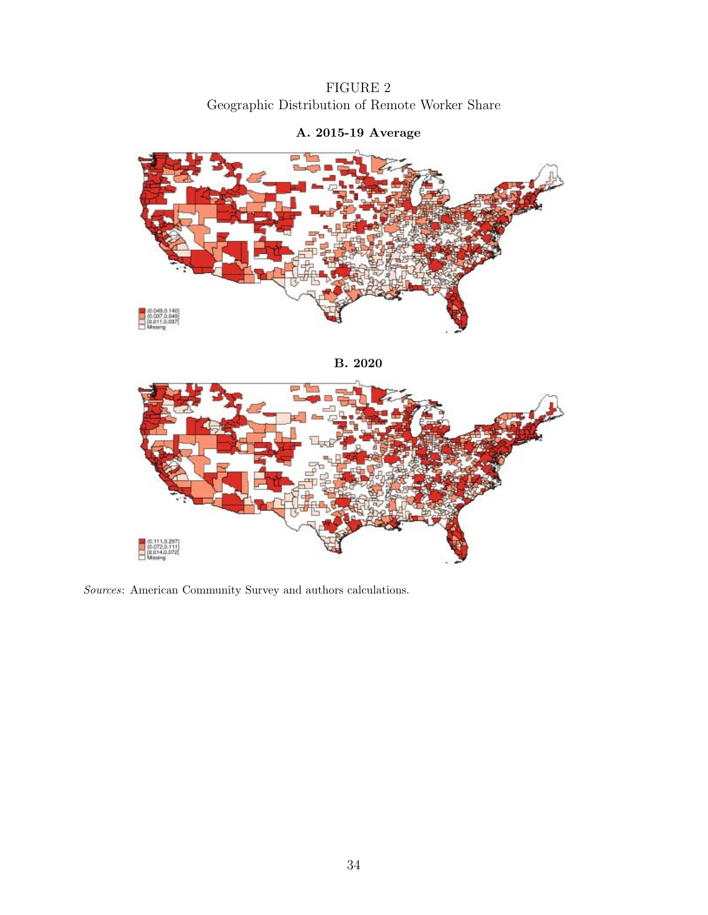FIGURE 2 Geographic Distribution of Remote Worker Share

<span id="page-35-0"></span>

## A. 2015-19 Average





Sources: American Community Survey and authors calculations.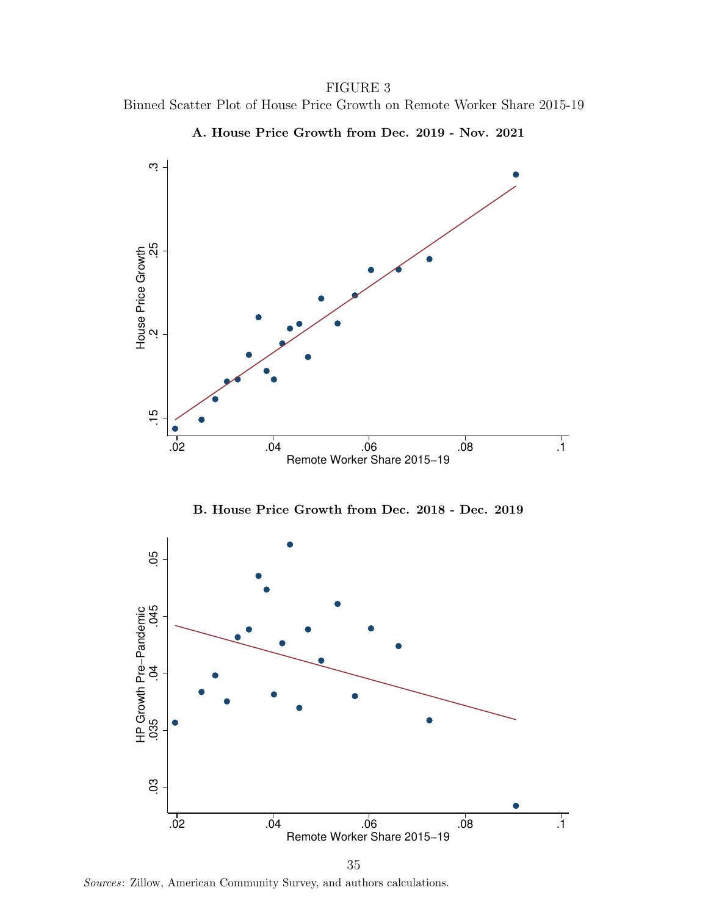FIGURE 3 Binned Scatter Plot of House Price Growth on Remote Worker Share 2015-19

<span id="page-36-0"></span>

A. House Price Growth from Dec. 2019 - Nov. 2021

B. House Price Growth from Dec. 2018 - Dec. 2019



Sources: Zillow, American Community Survey, and authors calculations.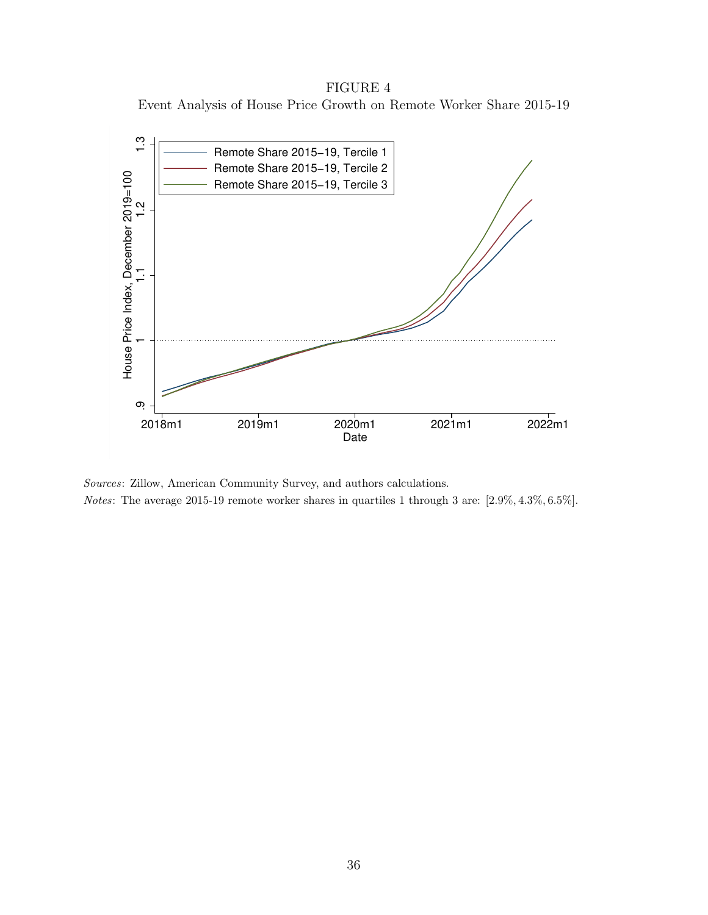FIGURE 4 Event Analysis of House Price Growth on Remote Worker Share 2015-19

<span id="page-37-0"></span>

Sources: Zillow, American Community Survey, and authors calculations.

Notes: The average 2015-19 remote worker shares in quartiles 1 through 3 are: [2.9%, 4.3%, 6.5%].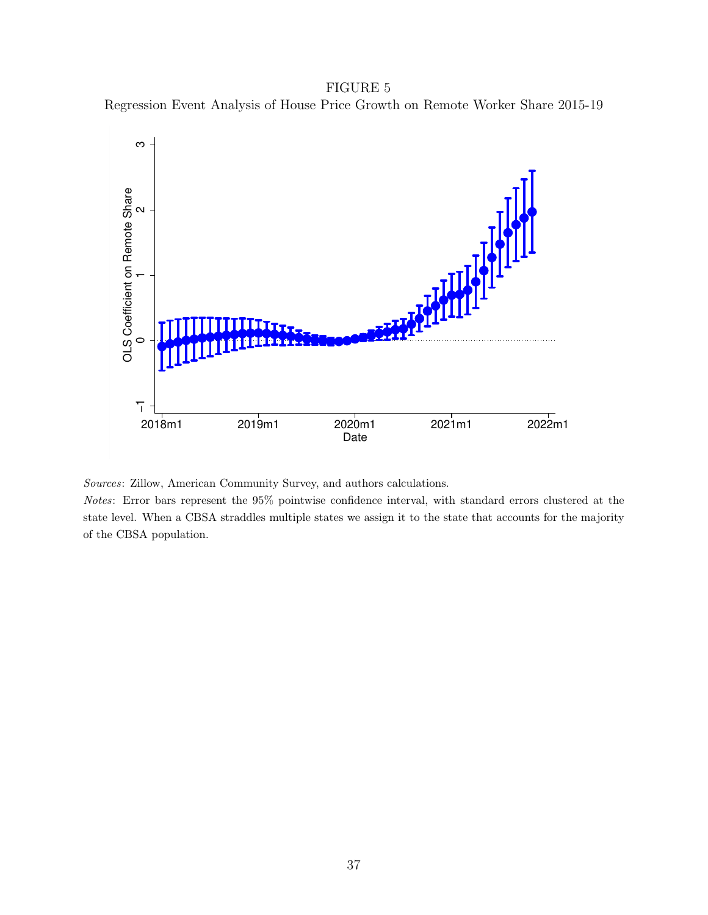FIGURE 5 Regression Event Analysis of House Price Growth on Remote Worker Share 2015-19

<span id="page-38-0"></span>

Sources: Zillow, American Community Survey, and authors calculations.

Notes: Error bars represent the 95% pointwise confidence interval, with standard errors clustered at the state level. When a CBSA straddles multiple states we assign it to the state that accounts for the majority of the CBSA population.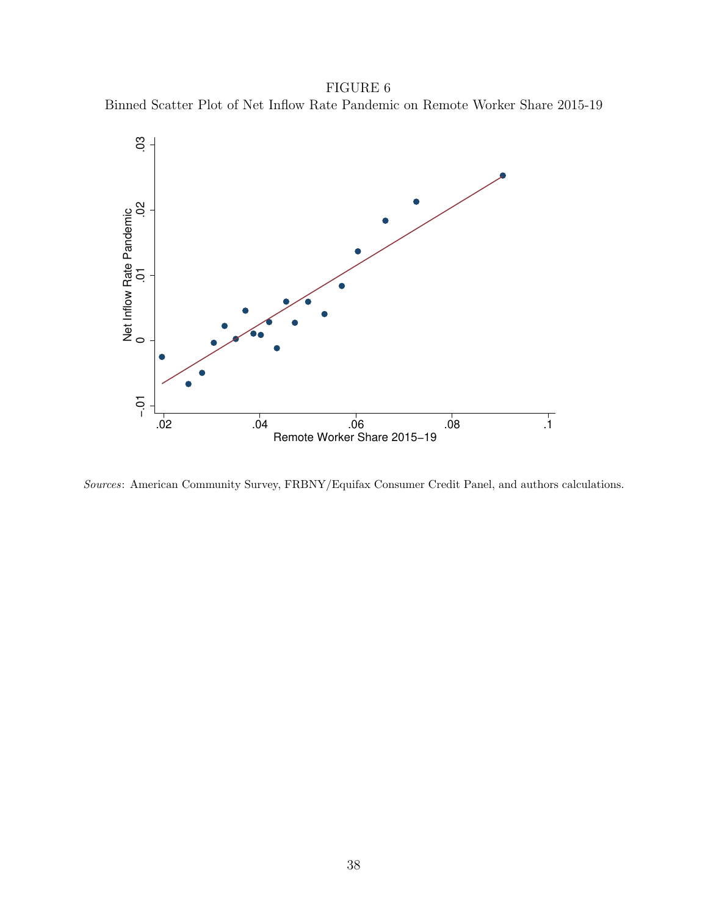FIGURE 6 Binned Scatter Plot of Net Inflow Rate Pandemic on Remote Worker Share 2015-19

<span id="page-39-0"></span>

Sources: American Community Survey, FRBNY/Equifax Consumer Credit Panel, and authors calculations.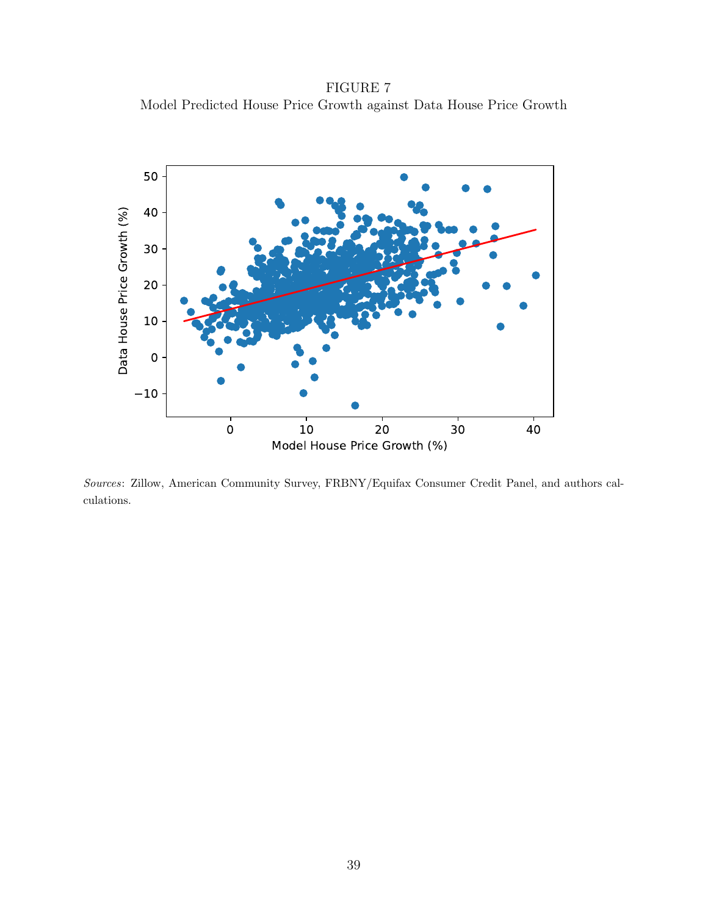FIGURE 7 Model Predicted House Price Growth against Data House Price Growth

<span id="page-40-0"></span>

Sources: Zillow, American Community Survey, FRBNY/Equifax Consumer Credit Panel, and authors calculations.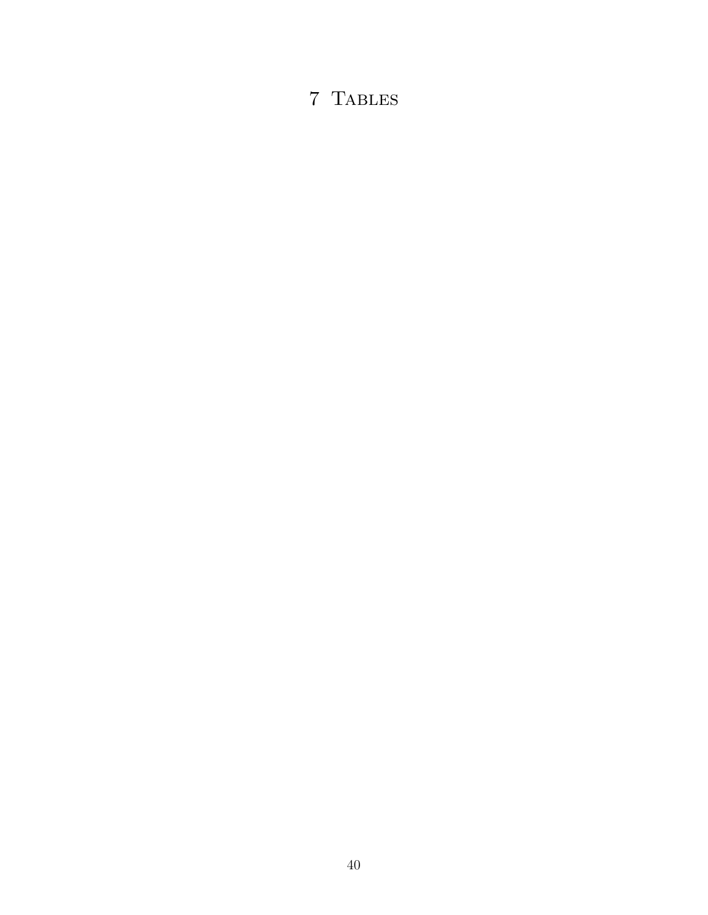## 7 Tables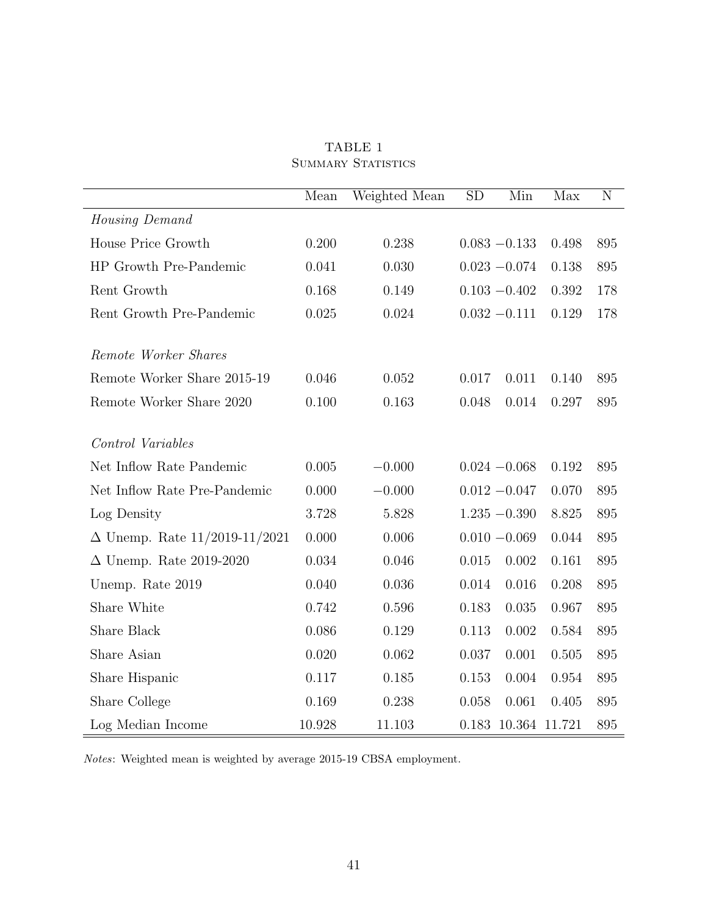<span id="page-42-0"></span>

|                                      | Mean   | Weighted Mean | SD    | Min             | Max   | N   |
|--------------------------------------|--------|---------------|-------|-----------------|-------|-----|
| Housing Demand                       |        |               |       |                 |       |     |
| House Price Growth                   | 0.200  | 0.238         |       | $0.083 - 0.133$ | 0.498 | 895 |
| HP Growth Pre-Pandemic               | 0.041  | 0.030         |       | $0.023 - 0.074$ | 0.138 | 895 |
| Rent Growth                          | 0.168  | 0.149         |       | $0.103 - 0.402$ | 0.392 | 178 |
| Rent Growth Pre-Pandemic             | 0.025  | 0.024         |       | $0.032 - 0.111$ | 0.129 | 178 |
| Remote Worker Shares                 |        |               |       |                 |       |     |
| Remote Worker Share 2015-19          | 0.046  | 0.052         | 0.017 | 0.011           | 0.140 | 895 |
| Remote Worker Share 2020             | 0.100  | 0.163         | 0.048 | 0.014           | 0.297 | 895 |
| Control Variables                    |        |               |       |                 |       |     |
| Net Inflow Rate Pandemic             | 0.005  | $-0.000$      |       | $0.024 - 0.068$ | 0.192 | 895 |
| Net Inflow Rate Pre-Pandemic         | 0.000  | $-0.000$      |       | $0.012 - 0.047$ | 0.070 | 895 |
| Log Density                          | 3.728  | 5.828         |       | $1.235 - 0.390$ | 8.825 | 895 |
| $\Delta$ Unemp. Rate 11/2019-11/2021 | 0.000  | 0.006         |       | $0.010 - 0.069$ | 0.044 | 895 |
| $\Delta$ Unemp. Rate 2019-2020       | 0.034  | 0.046         | 0.015 | 0.002           | 0.161 | 895 |
| Unemp. Rate 2019                     | 0.040  | 0.036         | 0.014 | 0.016           | 0.208 | 895 |
| Share White                          | 0.742  | 0.596         | 0.183 | 0.035           | 0.967 | 895 |
| Share Black                          | 0.086  | 0.129         | 0.113 | 0.002           | 0.584 | 895 |
| Share Asian                          | 0.020  | 0.062         | 0.037 | 0.001           | 0.505 | 895 |
| Share Hispanic                       | 0.117  | 0.185         | 0.153 | 0.004           | 0.954 | 895 |
| Share College                        | 0.169  | 0.238         | 0.058 | 0.061           | 0.405 | 895 |
| Log Median Income                    | 10.928 | 11.103        | 0.183 | 10.364 11.721   |       | 895 |

TABLE 1 SUMMARY STATISTICS

 $Notes: Weighted \ mean$  is weighted by average 2015-19 CBSA employment.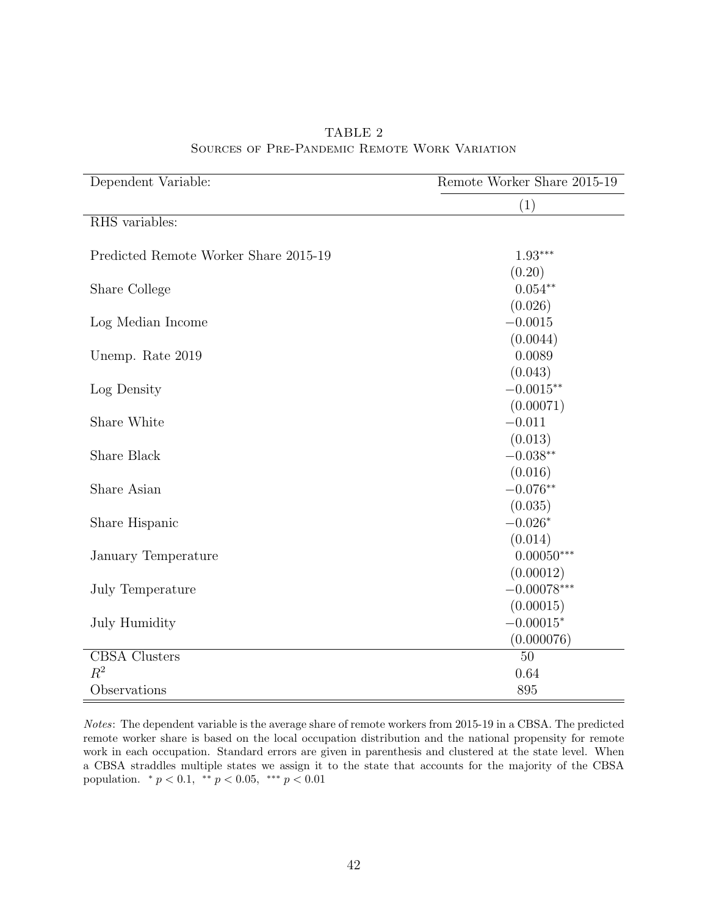<span id="page-43-0"></span>

| Dependent Variable:                   | Remote Worker Share 2015-19 |
|---------------------------------------|-----------------------------|
|                                       | (1)                         |
| RHS variables:                        |                             |
| Predicted Remote Worker Share 2015-19 | $1.93***$                   |
|                                       | (0.20)                      |
| Share College                         | $0.054**$                   |
|                                       | (0.026)                     |
| Log Median Income                     | $-0.0015$                   |
|                                       | (0.0044)                    |
| Unemp. Rate 2019                      | 0.0089                      |
|                                       | (0.043)                     |
| Log Density                           | $-0.0015**$                 |
|                                       | (0.00071)                   |
| Share White                           | $-0.011$                    |
|                                       | (0.013)                     |
| Share Black                           | $-0.038**$                  |
|                                       | (0.016)                     |
| Share Asian                           | $-0.076**$                  |
|                                       | (0.035)                     |
| Share Hispanic                        | $-0.026*$                   |
|                                       | (0.014)                     |
| January Temperature                   | $0.00050***$                |
|                                       | (0.00012)                   |
| July Temperature                      | $-0.00078***$               |
|                                       | (0.00015)                   |
| July Humidity                         | $-0.00015*$                 |
|                                       | (0.000076)                  |
| <b>CBSA</b> Clusters                  | 50                          |
| $R^2$                                 | 0.64                        |
| Observations                          | 895                         |

TABLE 2 Sources of Pre-Pandemic Remote Work Variation

Notes: The dependent variable is the average share of remote workers from 2015-19 in a CBSA. The predicted remote worker share is based on the local occupation distribution and the national propensity for remote work in each occupation. Standard errors are given in parenthesis and clustered at the state level. When a CBSA straddles multiple states we assign it to the state that accounts for the majority of the CBSA population.  $\binom{*}{p} < 0.1$ ,  $\binom{**}{p} < 0.05$ ,  $\binom{***}{p} < 0.01$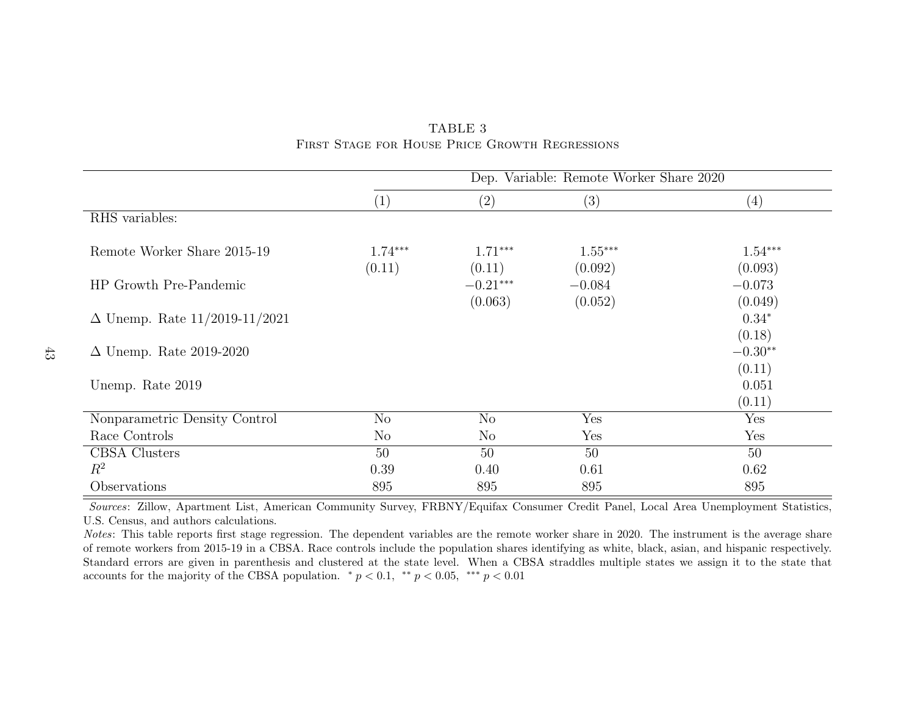|                                      | Dep. Variable: Remote Worker Share 2020 |                       |                      |                           |  |  |  |
|--------------------------------------|-----------------------------------------|-----------------------|----------------------|---------------------------|--|--|--|
|                                      | (1)                                     | $\left( 2\right)$     | (3)                  | (4)                       |  |  |  |
| RHS variables:                       |                                         |                       |                      |                           |  |  |  |
| Remote Worker Share 2015-19          | $1.74***$<br>(0.11)                     | $1.71***$<br>(0.11)   | $1.55***$<br>(0.092) | $1.54***$<br>(0.093)      |  |  |  |
| HP Growth Pre-Pandemic               |                                         | $-0.21***$<br>(0.063) | $-0.084$<br>(0.052)  | $-0.073$<br>(0.049)       |  |  |  |
| $\Delta$ Unemp. Rate 11/2019-11/2021 |                                         |                       |                      | $0.34*$                   |  |  |  |
| $\Delta$ Unemp. Rate 2019-2020       |                                         |                       |                      | (0.18)<br>$-0.30**$       |  |  |  |
| Unemp. Rate 2019                     |                                         |                       |                      | (0.11)<br>0.051<br>(0.11) |  |  |  |
| Nonparametric Density Control        | N <sub>o</sub>                          | $\rm No$              | Yes                  | Yes                       |  |  |  |
| Race Controls                        | $\rm No$                                | $\rm No$              | Yes                  | Yes                       |  |  |  |
| <b>CBSA</b> Clusters                 | 50                                      | 50                    | 50                   | 50                        |  |  |  |
| $R^2$                                | 0.39                                    | 0.40                  | 0.61                 | 0.62                      |  |  |  |
| Observations                         | 895                                     | 895                   | 895                  | 895                       |  |  |  |

<span id="page-44-0"></span>TABLE 3First Stage for House Price Growth Regressions

Notes: This table reports first stage regression. The dependent variables are the remote worker share in 2020. The instrument is the average share of remote workers from 2015-19 in <sup>a</sup> CBSA. Race controls include the population shares identifying as white, black, asian, and hispanic respectively. Standard errors are given in parenthesis and clustered at the state level. When <sup>a</sup> CBSA straddles multiple states we assign it to the state thataccounts for the majority of the CBSA population.  $\ast p < 0.1$ ,  $\ast \ast p < 0.05$ ,  $\ast \ast \ast p < 0.01$ 

43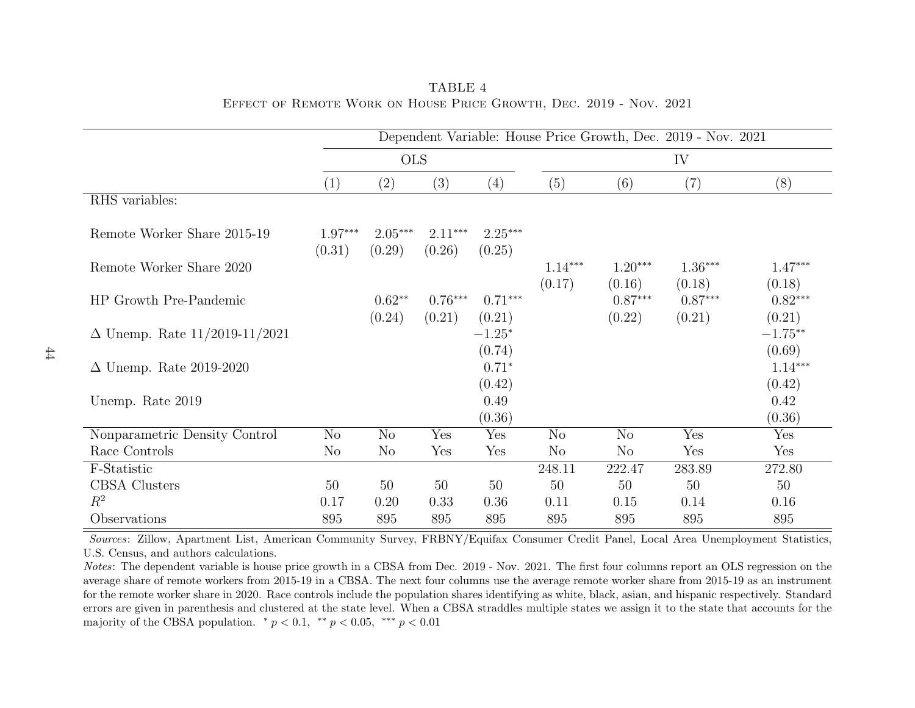|                                      | Dependent Variable: House Price Growth, Dec. 2019 - Nov. 2021 |                     |                     |                     |                     |                     |                     |                      |
|--------------------------------------|---------------------------------------------------------------|---------------------|---------------------|---------------------|---------------------|---------------------|---------------------|----------------------|
|                                      |                                                               | <b>OLS</b>          |                     |                     | IV                  |                     |                     |                      |
|                                      | (1)                                                           | (2)                 | (3)                 | (4)                 | (5)                 | (6)                 | (7)                 | (8)                  |
| RHS variables:                       |                                                               |                     |                     |                     |                     |                     |                     |                      |
| Remote Worker Share 2015-19          | $1.97***$<br>(0.31)                                           | $2.05***$<br>(0.29) | $2.11***$<br>(0.26) | $2.25***$<br>(0.25) |                     |                     |                     |                      |
| Remote Worker Share 2020             |                                                               |                     |                     |                     | $1.14***$<br>(0.17) | $1.20***$<br>(0.16) | $1.36***$<br>(0.18) | $1.47***$<br>(0.18)  |
| HP Growth Pre-Pandemic               |                                                               | $0.62**$<br>(0.24)  | $0.76***$<br>(0.21) | $0.71***$<br>(0.21) |                     | $0.87***$<br>(0.22) | $0.87***$<br>(0.21) | $0.82***$<br>(0.21)  |
| $\Delta$ Unemp. Rate 11/2019-11/2021 |                                                               |                     |                     | $-1.25*$<br>(0.74)  |                     |                     |                     | $-1.75***$<br>(0.69) |
| $\Delta$ Unemp. Rate 2019-2020       |                                                               |                     |                     | $0.71*$<br>(0.42)   |                     |                     |                     | $1.14***$<br>(0.42)  |
| Unemp. Rate 2019                     |                                                               |                     |                     | 0.49<br>(0.36)      |                     |                     |                     | 0.42<br>(0.36)       |
| Nonparametric Density Control        | No                                                            | N <sub>o</sub>      | Yes                 | Yes                 | N <sub>o</sub>      | N <sub>o</sub>      | Yes                 | Yes                  |
| Race Controls                        | N <sub>o</sub>                                                | $\rm No$            | Yes                 | Yes                 | N <sub>o</sub>      | N <sub>o</sub>      | Yes                 | Yes                  |
| F-Statistic                          |                                                               |                     |                     |                     | 248.11              | 222.47              | 283.89              | 272.80               |
| CBSA Clusters                        | 50                                                            | 50                  | 50                  | 50                  | 50                  | 50                  | 50                  | 50                   |
| $R^2$                                | 0.17                                                          | 0.20                | 0.33                | 0.36                | 0.11                | 0.15                | 0.14                | 0.16                 |
| Observations                         | 895                                                           | 895                 | 895                 | 895                 | 895                 | 895                 | 895                 | 895                  |

<span id="page-45-0"></span>TABLE 4Effect of Remote Work on House Price Growth, Dec. 2019 - Nov. 2021

Notes: The dependent variable is house price growth in a CBSA from Dec. 2019 - Nov. 2021. The first four columns report an OLS regression on the average share of remote workers from 2015-19 in <sup>a</sup> CBSA. The next four columns use the average remote worker share from 2015-19 as an instrument for the remote worker share in 2020. Race controls include the population shares identifying as white, black, asian, and hispanic respectively. Standard errors are given in parenthesis and clustered at the state level. When <sup>a</sup> CBSA straddles multiple states we assign it to the state that accounts for themajority of the CBSA population.  $* p < 0.1, * p < 0.05, *** p < 0.01$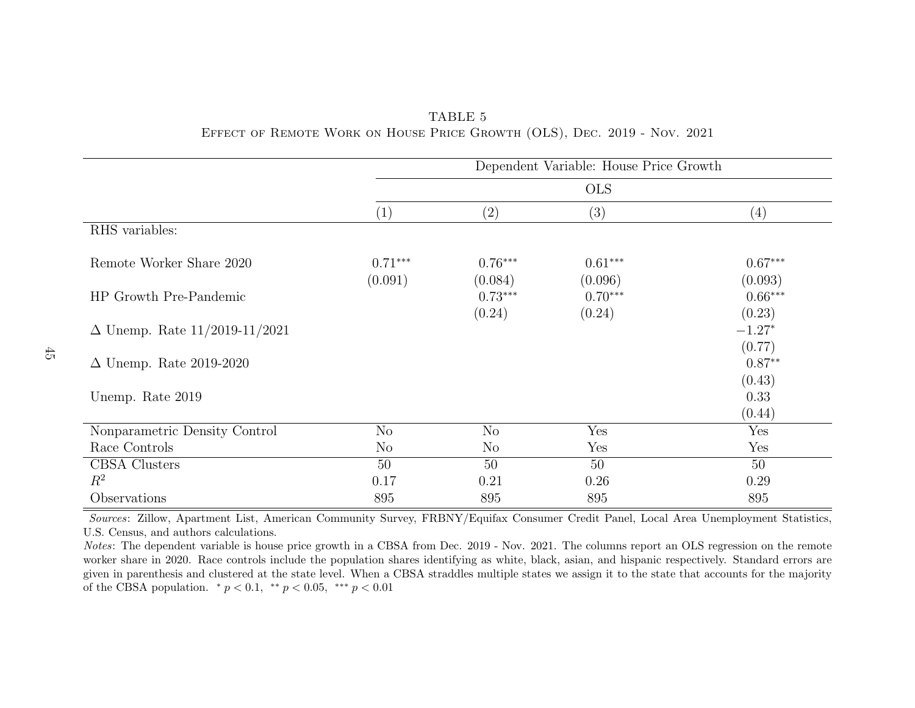<span id="page-46-0"></span>

|                                                                          | TABLE 5 |  |  |
|--------------------------------------------------------------------------|---------|--|--|
| EFFECT OF REMOTE WORK ON HOUSE PRICE GROWTH (OLS), DEC. 2019 - NOV. 2021 |         |  |  |

|                                      | Dependent Variable: House Price Growth |                      |                      |                          |  |  |  |  |
|--------------------------------------|----------------------------------------|----------------------|----------------------|--------------------------|--|--|--|--|
|                                      |                                        |                      | <b>OLS</b>           |                          |  |  |  |  |
|                                      | (1)                                    | (2)                  | (3)                  | (4)                      |  |  |  |  |
| RHS variables:                       |                                        |                      |                      |                          |  |  |  |  |
| Remote Worker Share 2020             | $0.71***$<br>(0.091)                   | $0.76***$<br>(0.084) | $0.61***$<br>(0.096) | $0.67***$<br>(0.093)     |  |  |  |  |
| HP Growth Pre-Pandemic               |                                        | $0.73***$<br>(0.24)  | $0.70***$<br>(0.24)  | $0.66***$<br>(0.23)      |  |  |  |  |
| $\Delta$ Unemp. Rate 11/2019-11/2021 |                                        |                      |                      | $-1.27*$                 |  |  |  |  |
| $\Delta$ Unemp. Rate 2019-2020       |                                        |                      |                      | (0.77)<br>$0.87**$       |  |  |  |  |
| Unemp. Rate 2019                     |                                        |                      |                      | (0.43)<br>0.33<br>(0.44) |  |  |  |  |
| Nonparametric Density Control        | No                                     | No                   | Yes                  | Yes                      |  |  |  |  |
| Race Controls                        | N <sub>o</sub>                         | $\rm No$             | Yes                  | Yes                      |  |  |  |  |
| <b>CBSA</b> Clusters                 | 50                                     | 50                   | 50                   | 50                       |  |  |  |  |
| $R^2$                                | 0.17                                   | 0.21                 | 0.26                 | 0.29                     |  |  |  |  |
| Observations                         | 895                                    | 895                  | 895                  | 895                      |  |  |  |  |

Notes: The dependent variable is house price growth in a CBSA from Dec. 2019 - Nov. 2021. The columns report an OLS regression on the remote worker share in 2020. Race controls include the population shares identifying as white, black, asian, and hispanic respectively. Standard errors are given in parenthesis and clustered at the state level. When <sup>a</sup> CBSA straddles multiple states we assign it to the state that accounts for the majorityof the CBSA population.  $* p < 0.1, * p < 0.05, *** p < 0.01$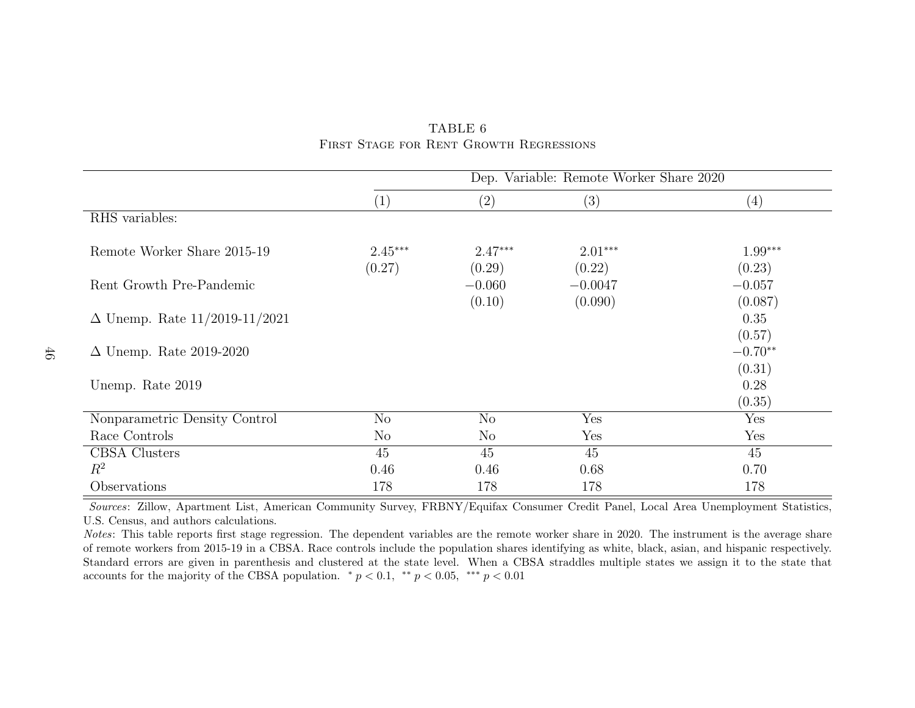|                                      | Dep. Variable: Remote Worker Share 2020 |                     |                      |                     |  |  |  |
|--------------------------------------|-----------------------------------------|---------------------|----------------------|---------------------|--|--|--|
|                                      | (1)                                     | $\left( 2\right)$   | (3)                  | $\left( 4\right)$   |  |  |  |
| RHS variables:                       |                                         |                     |                      |                     |  |  |  |
| Remote Worker Share 2015-19          | $2.45***$<br>(0.27)                     | $2.47***$<br>(0.29) | $2.01***$<br>(0.22)  | $1.99***$<br>(0.23) |  |  |  |
| Rent Growth Pre-Pandemic             |                                         | $-0.060$<br>(0.10)  | $-0.0047$<br>(0.090) | $-0.057$<br>(0.087) |  |  |  |
| $\Delta$ Unemp. Rate 11/2019-11/2021 |                                         |                     |                      | 0.35<br>(0.57)      |  |  |  |
| $\Delta$ Unemp. Rate 2019-2020       |                                         |                     |                      | $-0.70**$<br>(0.31) |  |  |  |
| Unemp. Rate 2019                     |                                         |                     |                      | 0.28<br>(0.35)      |  |  |  |
| Nonparametric Density Control        | $\rm No$                                | No                  | Yes                  | Yes                 |  |  |  |
| Race Controls                        | $\rm No$                                | $\rm No$            | Yes                  | Yes                 |  |  |  |
| CBSA Clusters                        | 45                                      | 45                  | 45                   | 45                  |  |  |  |
| $R^2$                                | 0.46                                    | 0.46                | 0.68                 | 0.70                |  |  |  |
| Observations                         | 178                                     | 178                 | 178                  | 178                 |  |  |  |

#### <span id="page-47-0"></span>TABLE 6First Stage for Rent Growth Regressions

Sources: Zillow, Apartment List, American Community Survey, FRBNY/Equifax Consumer Credit Panel, Local Area Unemployment Statistics,U.S. Census, and authors calculations.

Notes: This table reports first stage regression. The dependent variables are the remote worker share in 2020. The instrument is the average share of remote workers from 2015-19 in <sup>a</sup> CBSA. Race controls include the population shares identifying as white, black, asian, and hispanic respectively. Standard errors are given in parenthesis and clustered at the state level. When <sup>a</sup> CBSA straddles multiple states we assign it to the state thataccounts for the majority of the CBSA population.  $\ast p < 0.1$ ,  $\ast \ast p < 0.05$ ,  $\ast \ast \ast p < 0.01$ 

46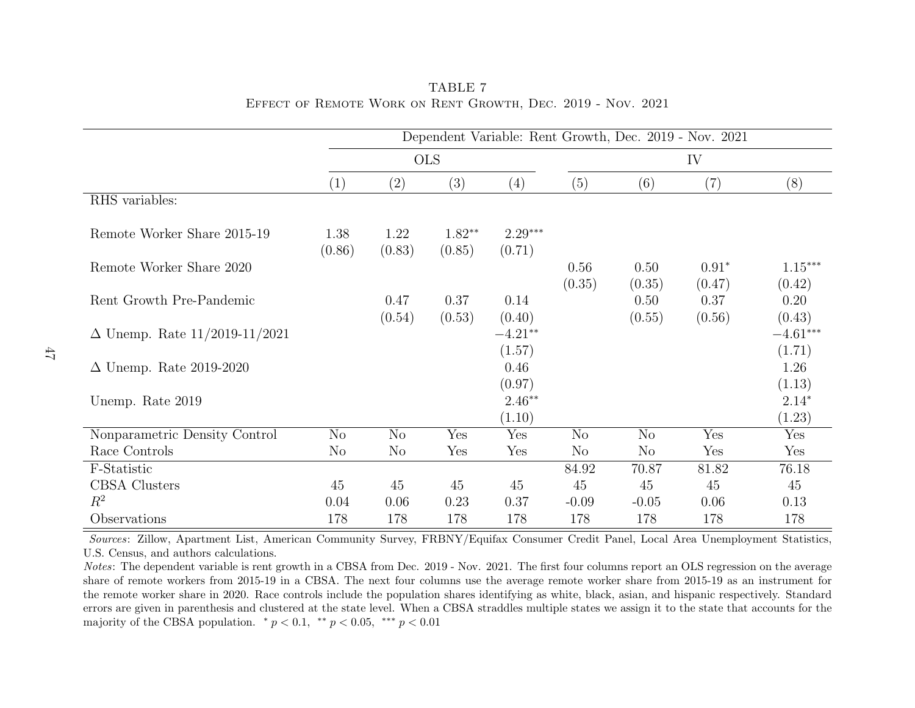|                                      | Dependent Variable: Rent Growth, Dec. 2019 - Nov. 2021 |                |                    |                     |                |                |                   |                      |
|--------------------------------------|--------------------------------------------------------|----------------|--------------------|---------------------|----------------|----------------|-------------------|----------------------|
|                                      |                                                        |                | <b>OLS</b>         |                     | IV             |                |                   |                      |
|                                      | (1)                                                    | (2)            | (3)                | $\left( 4\right)$   | (5)            | (6)            | (7)               | (8)                  |
| RHS variables:                       |                                                        |                |                    |                     |                |                |                   |                      |
| Remote Worker Share 2015-19          | 1.38<br>(0.86)                                         | 1.22<br>(0.83) | $1.82**$<br>(0.85) | $2.29***$<br>(0.71) |                |                |                   |                      |
| Remote Worker Share 2020             |                                                        |                |                    |                     | 0.56<br>(0.35) | 0.50<br>(0.35) | $0.91*$<br>(0.47) | $1.15***$<br>(0.42)  |
| Rent Growth Pre-Pandemic             |                                                        | 0.47<br>(0.54) | 0.37<br>(0.53)     | 0.14<br>(0.40)      |                | 0.50<br>(0.55) | 0.37<br>(0.56)    | 0.20<br>(0.43)       |
| $\Delta$ Unemp. Rate 11/2019-11/2021 |                                                        |                |                    | $-4.21**$<br>(1.57) |                |                |                   | $-4.61***$<br>(1.71) |
| $\Delta$ Unemp. Rate 2019-2020       |                                                        |                |                    | 0.46<br>(0.97)      |                |                |                   | 1.26<br>(1.13)       |
| Unemp. Rate 2019                     |                                                        |                |                    | $2.46**$<br>(1.10)  |                |                |                   | $2.14*$<br>(1.23)    |
| Nonparametric Density Control        | N <sub>o</sub>                                         | N <sub>o</sub> | Yes                | Yes                 | N <sub>o</sub> | N <sub>o</sub> | Yes               | Yes                  |
| Race Controls                        | N <sub>o</sub>                                         | N <sub>o</sub> | Yes                | Yes                 | N <sub>o</sub> | $\rm No$       | Yes               | Yes                  |
| F-Statistic                          |                                                        |                |                    |                     | 84.92          | 70.87          | 81.82             | 76.18                |
| CBSA Clusters                        | 45                                                     | 45             | 45                 | 45                  | 45             | 45             | 45                | 45                   |
| $R^2$                                | 0.04                                                   | 0.06           | 0.23               | 0.37                | $-0.09$        | $-0.05$        | 0.06              | 0.13                 |
| Observations                         | 178                                                    | 178            | 178                | 178                 | 178            | 178            | 178               | 178                  |

<span id="page-48-0"></span>TABLE 7Effect of Remote Work on Rent Growth, Dec. 2019 - Nov. 2021

Notes: The dependent variable is rent growth in <sup>a</sup> CBSA from Dec. 2019 - Nov. 2021. The first four columns report an OLS regression on the average share of remote workers from 2015-19 in <sup>a</sup> CBSA. The next four columns use the average remote worker share from 2015-19 as an instrument for the remote worker share in 2020. Race controls include the population shares identifying as white, black, asian, and hispanic respectively. Standard errors are given in parenthesis and clustered at the state level. When <sup>a</sup> CBSA straddles multiple states we assign it to the state that accounts for themajority of the CBSA population.  $* p < 0.1, * p < 0.05, *** p < 0.01$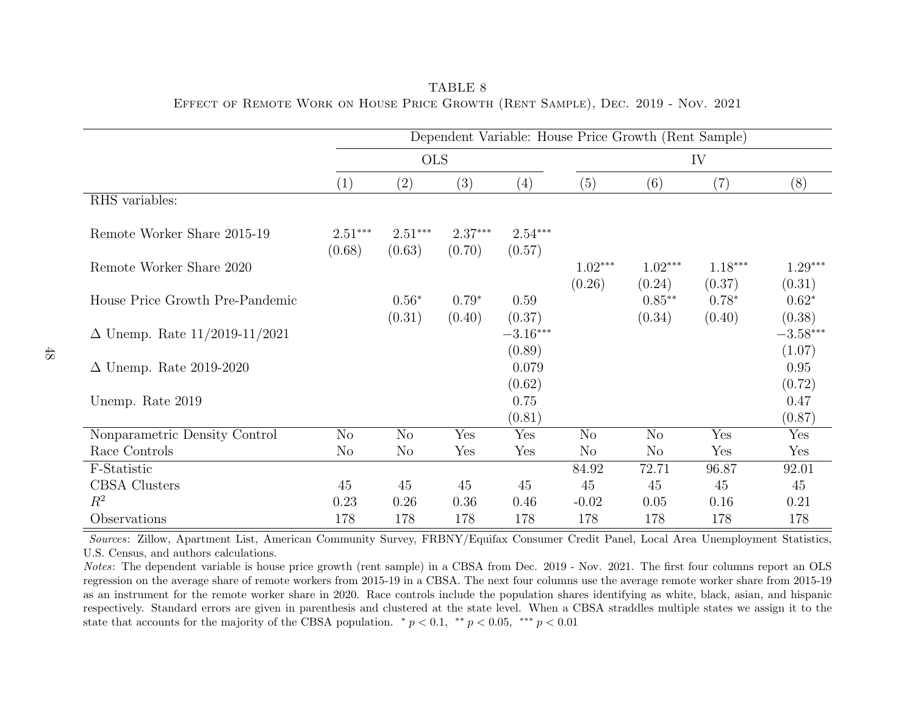|                                      |                     | Dependent Variable: House Price Growth (Rent Sample) |                     |                      |                     |                     |                     |                      |
|--------------------------------------|---------------------|------------------------------------------------------|---------------------|----------------------|---------------------|---------------------|---------------------|----------------------|
|                                      |                     | <b>OLS</b>                                           |                     |                      |                     |                     | IV                  |                      |
|                                      | (1)                 | (2)                                                  | (3)                 | $\left( 4\right)$    | (5)                 | (6)                 | (7)                 | (8)                  |
| RHS variables:                       |                     |                                                      |                     |                      |                     |                     |                     |                      |
| Remote Worker Share 2015-19          | $2.51***$<br>(0.68) | $2.51***$<br>(0.63)                                  | $2.37***$<br>(0.70) | $2.54***$<br>(0.57)  |                     |                     |                     |                      |
| Remote Worker Share 2020             |                     |                                                      |                     |                      | $1.02***$<br>(0.26) | $1.02***$<br>(0.24) | $1.18***$<br>(0.37) | $1.29***$<br>(0.31)  |
| House Price Growth Pre-Pandemic      |                     | $0.56*$<br>(0.31)                                    | $0.79*$<br>(0.40)   | 0.59<br>(0.37)       |                     | $0.85**$<br>(0.34)  | $0.78*$<br>(0.40)   | $0.62*$<br>(0.38)    |
| $\Delta$ Unemp. Rate 11/2019-11/2021 |                     |                                                      |                     | $-3.16***$<br>(0.89) |                     |                     |                     | $-3.58***$<br>(1.07) |
| $\Delta$ Unemp. Rate 2019-2020       |                     |                                                      |                     | 0.079<br>(0.62)      |                     |                     |                     | 0.95<br>(0.72)       |
| Unemp. Rate 2019                     |                     |                                                      |                     | 0.75<br>(0.81)       |                     |                     |                     | 0.47<br>(0.87)       |
| Nonparametric Density Control        | N <sub>o</sub>      | N <sub>o</sub>                                       | Yes                 | Yes                  | N <sub>o</sub>      | N <sub>o</sub>      | Yes                 | Yes                  |
| Race Controls                        | $\rm No$            | N <sub>o</sub>                                       | Yes                 | Yes                  | $\rm No$            | No                  | Yes                 | Yes                  |
| F-Statistic                          |                     |                                                      |                     |                      | 84.92               | 72.71               | 96.87               | 92.01                |
| <b>CBSA</b> Clusters                 | 45                  | 45                                                   | 45                  | 45                   | 45                  | 45                  | 45                  | 45                   |
| $R^2$                                | 0.23                | 0.26                                                 | 0.36                | 0.46                 | $-0.02$             | 0.05                | 0.16                | 0.21                 |
| Observations                         | 178                 | 178                                                  | 178                 | 178                  | 178                 | 178                 | 178                 | 178                  |

<span id="page-49-0"></span>TABLE 8Effect of Remote Work on House Price Growth (Rent Sample), Dec. <sup>2019</sup> - Nov. <sup>2021</sup>

Notes: The dependent variable is house price growth (rent sample) in <sup>a</sup> CBSA from Dec. <sup>2019</sup> - Nov. 2021. The first four columns report an OLS regression on the average share of remote workers from 2015-19 in <sup>a</sup> CBSA. The next four columns use the average remote worker share from 2015-19 as an instrument for the remote worker share in 2020. Race controls include the population shares identifying as white, black, asian, and hispanic respectively. Standard errors are given in parenthesis and clustered at the state level. When <sup>a</sup> CBSA straddles multiple states we assign it to thestate that accounts for the majority of the CBSA population.  $\binom{*}{p} < 0.1$ ,  $\binom{**}{p} < 0.05$ ,  $\binom{***}{p} < 0.01$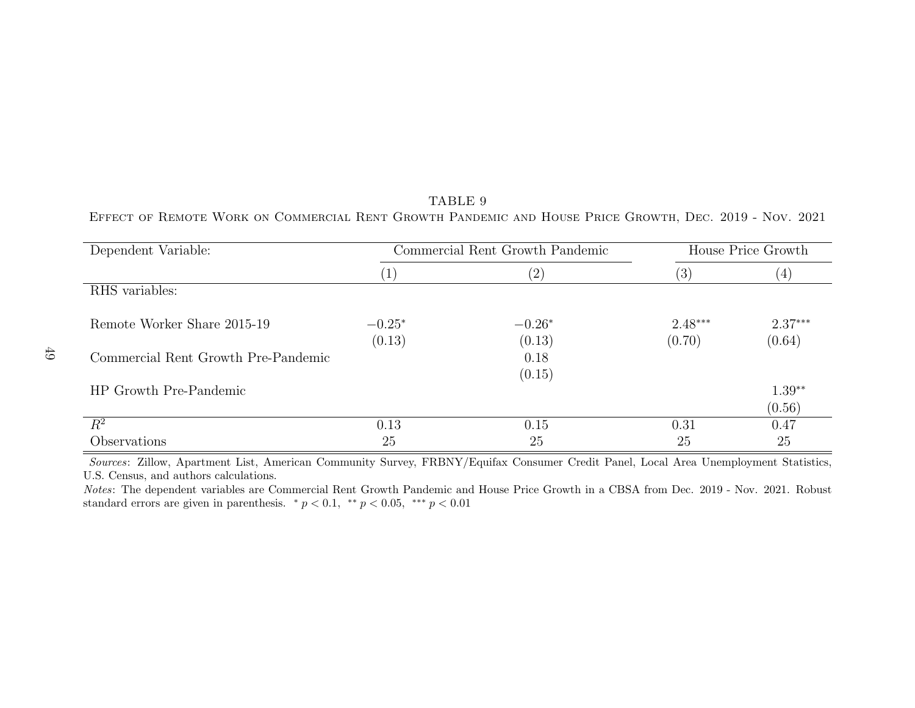| Dependent Variable:                 |          | Commercial Rent Growth Pandemic | House Price Growth |           |  |
|-------------------------------------|----------|---------------------------------|--------------------|-----------|--|
|                                     | $\perp$  | (2)                             | (3)                | (4)       |  |
| RHS variables:                      |          |                                 |                    |           |  |
| Remote Worker Share 2015-19         | $-0.25*$ | $-0.26*$                        | $2.48***$          | $2.37***$ |  |
|                                     | (0.13)   | (0.13)                          | (0.70)             | (0.64)    |  |
| Commercial Rent Growth Pre-Pandemic |          | 0.18                            |                    |           |  |
|                                     |          | (0.15)                          |                    |           |  |
| HP Growth Pre-Pandemic              |          |                                 |                    | $1.39**$  |  |
|                                     |          |                                 |                    | (0.56)    |  |
| $R^2$                               | 0.13     | 0.15                            | 0.31               | 0.47      |  |
| Observations                        | 25       | 25                              | 25                 | 25        |  |

49

<span id="page-50-0"></span>TABLE 9Effect of Remote Work on Commercial Rent Growth Pandemic and House Price Growth, Dec. 2019 - Nov. 2021

Sources: Zillow, Apartment List, American Community Survey, FRBNY/Equifax Consumer Credit Panel, Local Area Unemployment Statistics,U.S. Census, and authors calculations.

 Notes: The dependent variables are Commercial Rent Growth Pandemic and House Price Growth in <sup>a</sup> CBSA from Dec. 2019 - Nov. 2021. Robuststandard errors are given in parenthesis.  $\binom{*}{p} < 0.1$ ,  $\binom{**}{p} < 0.05$ ,  $\binom{***}{p} < 0.01$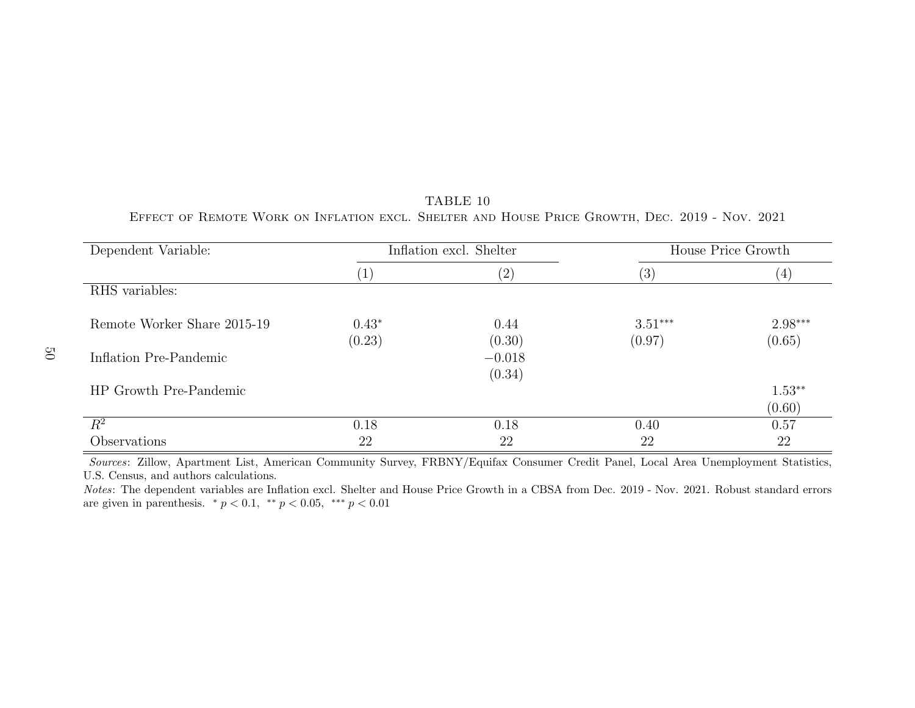| Dependent Variable:         |         | Inflation excl. Shelter | House Price Growth |           |  |
|-----------------------------|---------|-------------------------|--------------------|-----------|--|
|                             | (1)     | (2)                     | (3)                | (4)       |  |
| RHS variables:              |         |                         |                    |           |  |
| Remote Worker Share 2015-19 | $0.43*$ | 0.44                    | $3.51***$          | $2.98***$ |  |
|                             | (0.23)  | (0.30)                  | (0.97)             | (0.65)    |  |
| Inflation Pre-Pandemic      |         | $-0.018$                |                    |           |  |
|                             |         | (0.34)                  |                    |           |  |
| HP Growth Pre-Pandemic      |         |                         |                    | $1.53**$  |  |
|                             |         |                         |                    | (0.60)    |  |
| $R^2$                       | 0.18    | 0.18                    | 0.40               | 0.57      |  |
| Observations                | 22      | 22                      | 22                 | 22        |  |

<span id="page-51-0"></span>TABLE 10Effect of Remote Work on Inflation excl. Shelter and House Price Growth, Dec. 2019 - Nov. 2021

 Notes: The dependent variables are Inflation excl. Shelter and House Price Growth in <sup>a</sup> CBSA from Dec. 2019 - Nov. 2021. Robust standard errorsare given in parenthesis.  $* p < 0.1, * p < 0.05, *** p < 0.01$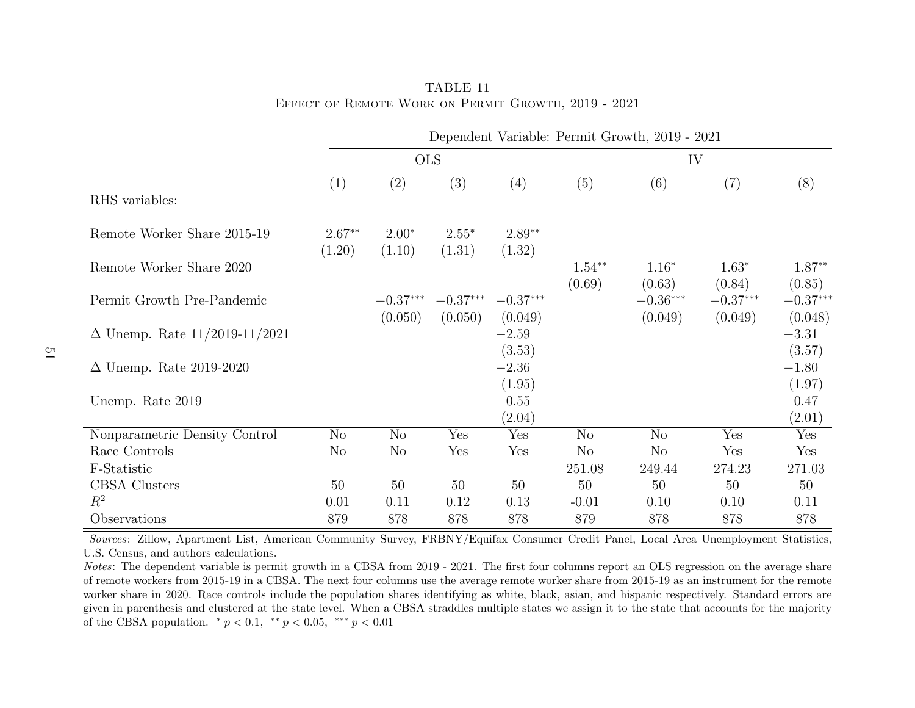|                                      | Dependent Variable: Permit Growth, 2019 - 2021 |                       |                       |                       |                    |                       |                       |                       |
|--------------------------------------|------------------------------------------------|-----------------------|-----------------------|-----------------------|--------------------|-----------------------|-----------------------|-----------------------|
|                                      |                                                | <b>OLS</b>            |                       |                       |                    | IV                    |                       |                       |
|                                      | (1)                                            | (2)                   | (3)                   | (4)                   | (5)                | (6)                   | (7)                   | (8)                   |
| RHS variables:                       |                                                |                       |                       |                       |                    |                       |                       |                       |
| Remote Worker Share 2015-19          | $2.67**$<br>(1.20)                             | $2.00*$<br>(1.10)     | $2.55*$<br>(1.31)     | $2.89**$<br>(1.32)    |                    |                       |                       |                       |
| Remote Worker Share 2020             |                                                |                       |                       |                       | $1.54**$<br>(0.69) | $1.16*$<br>(0.63)     | $1.63*$<br>(0.84)     | $1.87**$<br>(0.85)    |
| Permit Growth Pre-Pandemic           |                                                | $-0.37***$<br>(0.050) | $-0.37***$<br>(0.050) | $-0.37***$<br>(0.049) |                    | $-0.36***$<br>(0.049) | $-0.37***$<br>(0.049) | $-0.37***$<br>(0.048) |
| $\Delta$ Unemp. Rate 11/2019-11/2021 |                                                |                       |                       | $-2.59$<br>(3.53)     |                    |                       |                       | $-3.31$<br>(3.57)     |
| $\Delta$ Unemp. Rate 2019-2020       |                                                |                       |                       | $-2.36$<br>(1.95)     |                    |                       |                       | $-1.80$<br>(1.97)     |
| Unemp. Rate 2019                     |                                                |                       |                       | 0.55<br>(2.04)        |                    |                       |                       | 0.47<br>(2.01)        |
| Nonparametric Density Control        | N <sub>o</sub>                                 | N <sub>o</sub>        | Yes                   | Yes                   | N <sub>o</sub>     | N <sub>o</sub>        | Yes                   | Yes                   |
| Race Controls                        | N <sub>o</sub>                                 | N <sub>o</sub>        | Yes                   | Yes                   | N <sub>o</sub>     | $\rm No$              | Yes                   | Yes                   |
| F-Statistic                          |                                                |                       |                       |                       | 251.08             | 249.44                | 274.23                | 271.03                |
| <b>CBSA</b> Clusters                 | 50                                             | 50                    | 50                    | 50                    | 50                 | 50                    | 50                    | 50                    |
| $R^2$                                | 0.01                                           | 0.11                  | 0.12                  | 0.13                  | $-0.01$            | 0.10                  | 0.10                  | 0.11                  |
| Observations                         | 879                                            | 878                   | 878                   | 878                   | 879                | 878                   | 878                   | 878                   |

<span id="page-52-0"></span>TABLE 11Effect of Remote Work on Permit Growth, 2019 - 2021

Notes: The dependent variable is permit growth in a CBSA from 2019 - 2021. The first four columns report an OLS regression on the average share of remote workers from 2015-19 in <sup>a</sup> CBSA. The next four columns use the average remote worker share from 2015-19 as an instrument for the remote worker share in 2020. Race controls include the population shares identifying as white, black, asian, and hispanic respectively. Standard errors are given in parenthesis and clustered at the state level. When <sup>a</sup> CBSA straddles multiple states we assign it to the state that accounts for the majorityof the CBSA population.  $* p < 0.1, * p < 0.05, *** p < 0.01$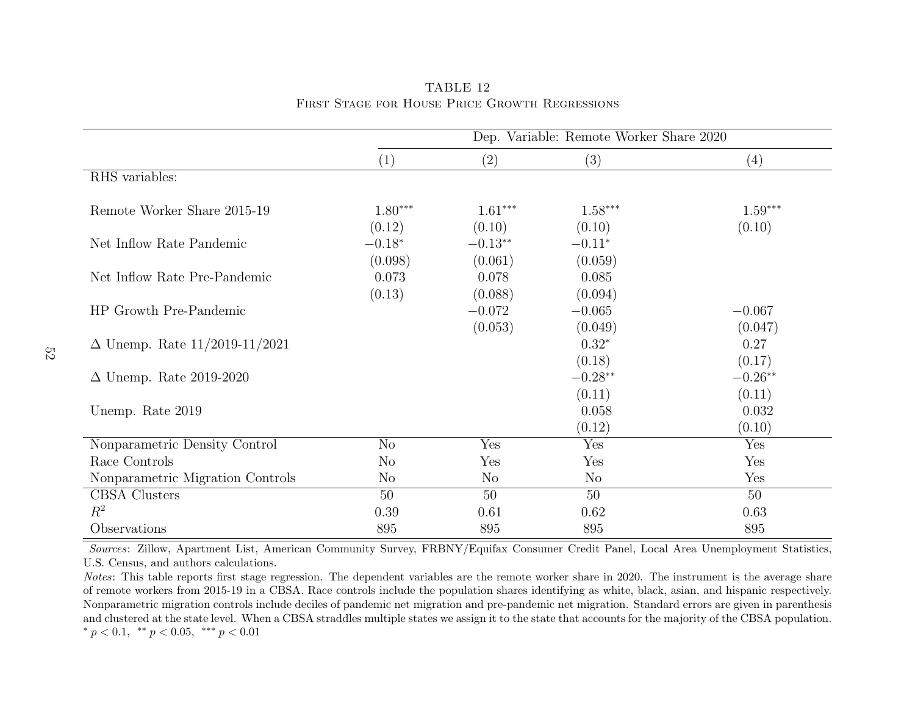|                                      | Dep. Variable: Remote Worker Share 2020 |                      |                     |                     |  |  |  |
|--------------------------------------|-----------------------------------------|----------------------|---------------------|---------------------|--|--|--|
|                                      | (1)                                     | (2)                  | (3)                 | (4)                 |  |  |  |
| RHS variables:                       |                                         |                      |                     |                     |  |  |  |
| Remote Worker Share 2015-19          | $1.80***$<br>(0.12)                     | $1.61***$<br>(0.10)  | $1.58***$<br>(0.10) | $1.59***$<br>(0.10) |  |  |  |
| Net Inflow Rate Pandemic             | $-0.18*$<br>(0.098)                     | $-0.13**$<br>(0.061) | $-0.11*$<br>(0.059) |                     |  |  |  |
| Net Inflow Rate Pre-Pandemic         | 0.073<br>(0.13)                         | 0.078<br>(0.088)     | 0.085<br>(0.094)    |                     |  |  |  |
| HP Growth Pre-Pandemic               |                                         | $-0.072$<br>(0.053)  | $-0.065$<br>(0.049) | $-0.067$<br>(0.047) |  |  |  |
| $\Delta$ Unemp. Rate 11/2019-11/2021 |                                         |                      | $0.32*$<br>(0.18)   | 0.27<br>(0.17)      |  |  |  |
| $\Delta$ Unemp. Rate 2019-2020       |                                         |                      | $-0.28**$<br>(0.11) | $-0.26**$<br>(0.11) |  |  |  |
| Unemp. Rate 2019                     |                                         |                      | 0.058<br>(0.12)     | 0.032<br>(0.10)     |  |  |  |
| Nonparametric Density Control        | No                                      | Yes                  | Yes                 | Yes                 |  |  |  |
| Race Controls                        | N <sub>o</sub>                          | Yes                  | Yes                 | Yes                 |  |  |  |
| Nonparametric Migration Controls     | $\rm No$                                | $\rm No$             | No                  | Yes                 |  |  |  |
| <b>CBSA</b> Clusters                 | 50                                      | 50                   | 50                  | 50                  |  |  |  |
| $R^2$                                | 0.39                                    | 0.61                 | 0.62                | 0.63                |  |  |  |
| Observations                         | 895                                     | 895                  | 895                 | 895                 |  |  |  |

<span id="page-53-0"></span>TABLE 12First Stage for House Price Growth Regressions

Notes: This table reports first stage regression. The dependent variables are the remote worker share in 2020. The instrument is the average share of remote workers from 2015-19 in <sup>a</sup> CBSA. Race controls include the population shares identifying as white, black, asian, and hispanic respectively. Nonparametric migration controls include deciles of pandemic net migration and pre-pandemic net migration. Standard errors are given in parenthesis and clustered at the state level. When <sup>a</sup> CBSA straddles multiple states we assign it to the state that accounts for the majority of the CBSA population.\*  $p < 0.1$ , \*\*  $p < 0.05$ , \*\*\*  $p < 0.01$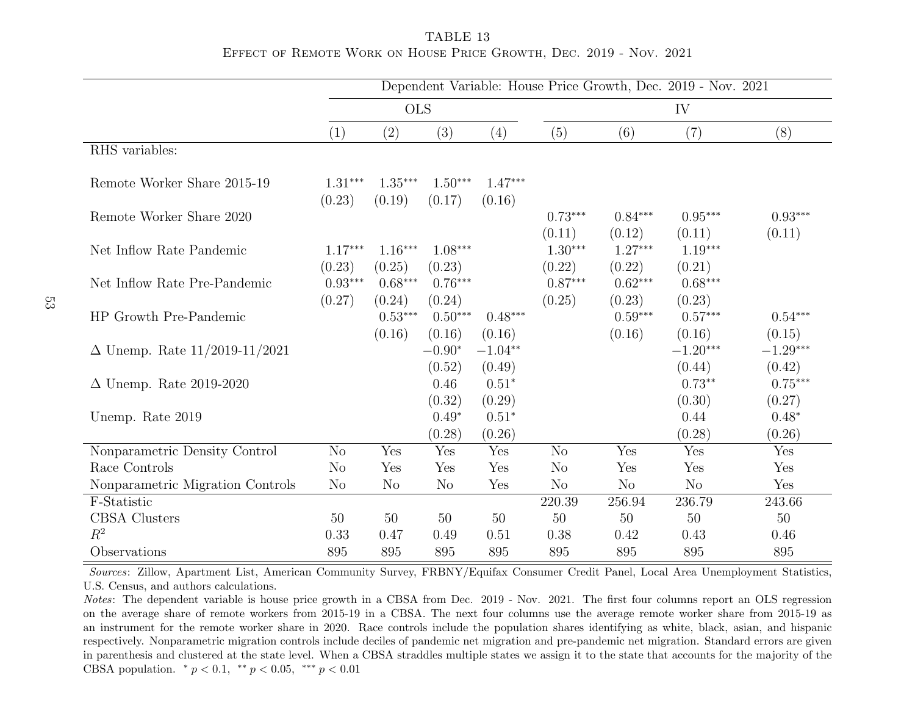<span id="page-54-0"></span>TABLE 13Effect of Remote Work on House Price Growth, Dec. 2019 - Nov. 2021

|                                      | Dependent Variable: House Price Growth, Dec. 2019 - Nov. 2021 |                               |                               |                             |                               |                               |                               |                               |  |
|--------------------------------------|---------------------------------------------------------------|-------------------------------|-------------------------------|-----------------------------|-------------------------------|-------------------------------|-------------------------------|-------------------------------|--|
|                                      | <b>OLS</b>                                                    |                               |                               |                             | IV                            |                               |                               |                               |  |
|                                      | (1)                                                           | (2)                           | (3)                           | (4)                         | (5)                           | (6)                           | (7)                           | (8)                           |  |
| RHS variables:                       |                                                               |                               |                               |                             |                               |                               |                               |                               |  |
| Remote Worker Share 2015-19          | $1.31***$<br>(0.23)                                           | $1.35***$<br>(0.19)           | $1.50***$<br>(0.17)           | $1.47***$<br>(0.16)         |                               |                               |                               |                               |  |
| Remote Worker Share 2020             |                                                               |                               |                               |                             | $0.73***$                     | $0.84***$                     | $0.95***$                     | $0.93***$                     |  |
| Net Inflow Rate Pandemic             | $1.17***$<br>(0.23)                                           | $1.16***$<br>(0.25)           | $1.08***$<br>(0.23)           |                             | (0.11)<br>$1.30***$<br>(0.22) | (0.12)<br>$1.27***$<br>(0.22) | (0.11)<br>$1.19***$<br>(0.21) | (0.11)                        |  |
| Net Inflow Rate Pre-Pandemic         | $0.93***$                                                     | $0.68***$                     | $0.76***$                     |                             | $0.87***$                     | $0.62***$                     | $0.68***$                     |                               |  |
| HP Growth Pre-Pandemic               | (0.27)                                                        | (0.24)<br>$0.53***$<br>(0.16) | (0.24)<br>$0.50***$<br>(0.16) | $0.48***$<br>(0.16)         | (0.25)                        | (0.23)<br>$0.59***$<br>(0.16) | (0.23)<br>$0.57***$<br>(0.16) | $0.54***$<br>(0.15)           |  |
| $\Delta$ Unemp. Rate 11/2019-11/2021 |                                                               |                               | $-0.90*$                      | $-1.04**$                   |                               |                               | $-1.20***$                    | $-1.29***$                    |  |
| $\Delta$ Unemp. Rate 2019-2020       |                                                               |                               | (0.52)<br>0.46<br>(0.32)      | (0.49)<br>$0.51*$<br>(0.29) |                               |                               | (0.44)<br>$0.73**$<br>(0.30)  | (0.42)<br>$0.75***$<br>(0.27) |  |
| Unemp. Rate 2019                     |                                                               |                               | $0.49*$                       | $0.51*$                     |                               |                               | 0.44                          | $0.48*$                       |  |
|                                      |                                                               |                               | (0.28)                        | (0.26)                      |                               |                               | (0.28)                        | (0.26)                        |  |
| Nonparametric Density Control        | N <sub>o</sub>                                                | Yes                           | Yes                           | Yes                         | N <sub>o</sub>                | Yes                           | Yes                           | Yes                           |  |
| Race Controls                        | N <sub>o</sub>                                                | Yes                           | Yes                           | Yes                         | N <sub>o</sub>                | Yes                           | Yes                           | Yes                           |  |
| Nonparametric Migration Controls     | N <sub>o</sub>                                                | N <sub>o</sub>                | N <sub>o</sub>                | Yes                         | N <sub>o</sub>                | N <sub>o</sub>                | N <sub>o</sub>                | Yes                           |  |
| F-Statistic                          |                                                               |                               |                               |                             | 220.39                        | 256.94                        | 236.79                        | 243.66                        |  |
| <b>CBSA</b> Clusters                 | 50                                                            | 50                            | $50\,$                        | 50                          | $50\,$                        | 50                            | 50                            | $50\,$                        |  |
| $R^2$                                | 0.33                                                          | 0.47                          | 0.49                          | 0.51                        | 0.38                          | 0.42                          | 0.43                          | 0.46                          |  |
| Observations                         | 895                                                           | 895                           | 895                           | 895                         | 895                           | 895                           | 895                           | 895                           |  |

Notes: The dependent variable is house price growth in a CBSA from Dec. 2019 - Nov. 2021. The first four columns report an OLS regression on the average share of remote workers from 2015-19 in <sup>a</sup> CBSA. The next four columns use the average remote worker share from 2015-19 as an instrument for the remote worker share in 2020. Race controls include the population shares identifying as white, black, asian, and hispanic respectively. Nonparametric migration controls include deciles of pandemic net migration and pre-pandemic net migration. Standard errors are given in parenthesis and clustered at the state level. When <sup>a</sup> CBSA straddles multiple states we assign it to the state that accounts for the majority of theCBSA population.  $* p < 0.1, * p < 0.05, *** p < 0.01$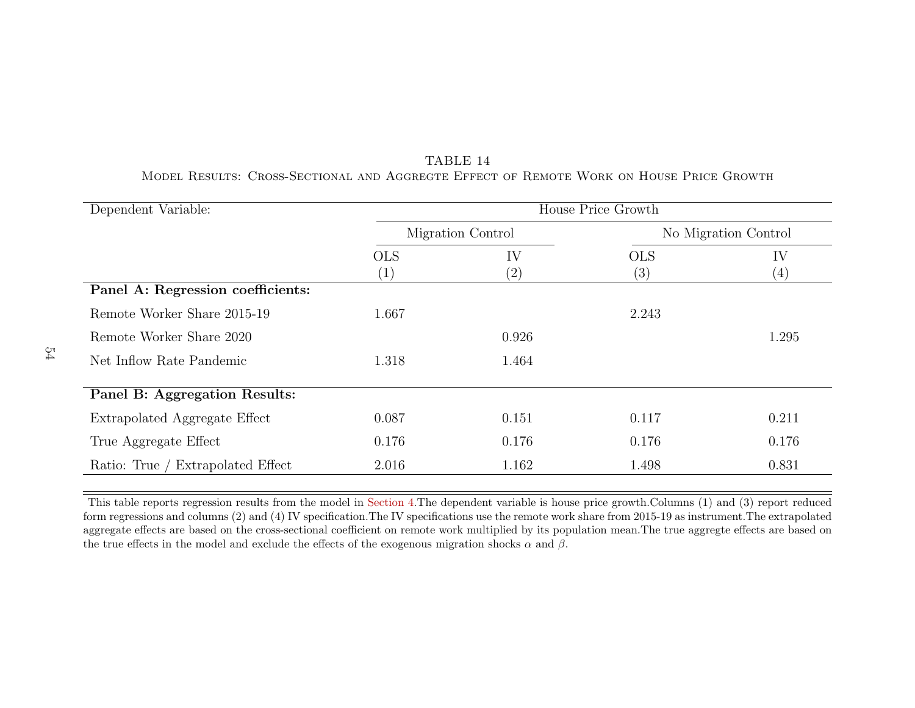| Dependent Variable:               | House Price Growth              |           |                   |                         |  |  |  |  |
|-----------------------------------|---------------------------------|-----------|-------------------|-------------------------|--|--|--|--|
|                                   | Migration Control               |           |                   | No Migration Control    |  |  |  |  |
|                                   | <b>OLS</b><br>$\left( 1\right)$ | IV<br>(2, | <b>OLS</b><br>(3) | IV<br>$\left( 4\right)$ |  |  |  |  |
| Panel A: Regression coefficients: |                                 |           |                   |                         |  |  |  |  |
| Remote Worker Share 2015-19       | 1.667                           |           | 2.243             |                         |  |  |  |  |
| Remote Worker Share 2020          |                                 | 0.926     |                   | 1.295                   |  |  |  |  |
| Net Inflow Rate Pandemic          | 1.318                           | 1.464     |                   |                         |  |  |  |  |
| Panel B: Aggregation Results:     |                                 |           |                   |                         |  |  |  |  |
| Extrapolated Aggregate Effect     | 0.087                           | 0.151     | 0.117             | 0.211                   |  |  |  |  |
| True Aggregate Effect             | 0.176                           | 0.176     | 0.176             | 0.176                   |  |  |  |  |
| Ratio: True / Extrapolated Effect | 2.016                           | 1.162     | 1.498             | 0.831                   |  |  |  |  |

<span id="page-55-0"></span>TABLE 14Model Results: Cross-Sectional and Aggregte Effect of Remote Work on House Price Growth

This table reports regression results from the model in [Section](#page-22-1) 4.The dependent variable is house price growth.Columns (1) and (3) report reduced form regressions and columns (2) and (4) IV specification.The IV specifications use the remote work share from 2015-19 as instrument.The extrapolated aggregate effects are based on the cross-sectional coefficient on remote work multiplied by its population mean.The true aggregte effects are based onthe true effects in the model and exclude the effects of the exogenous migration shocks  $\alpha$  and  $\beta$ .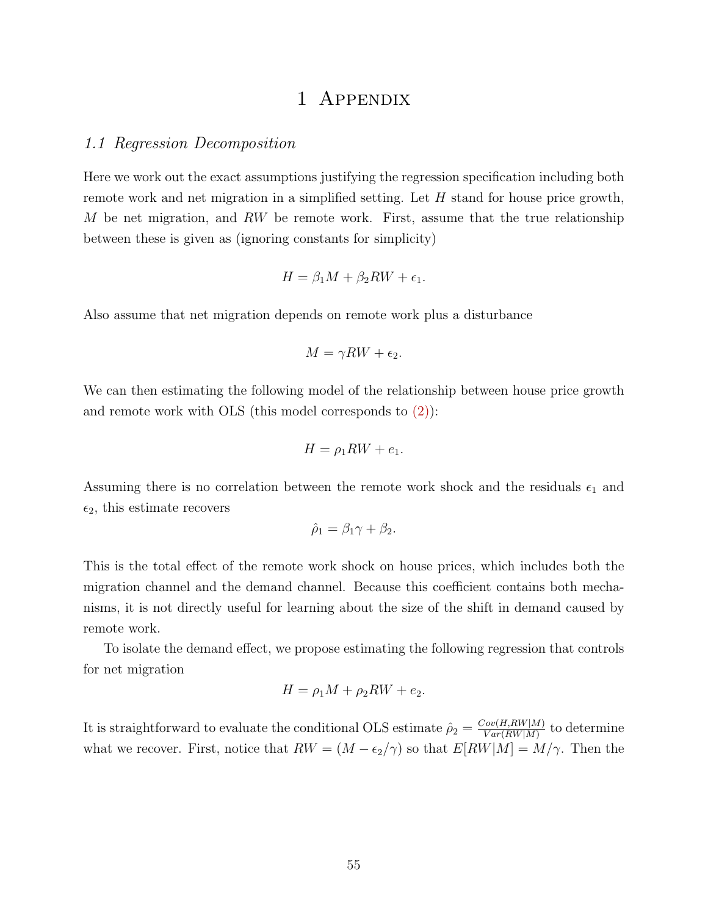## 1 Appendix

#### <span id="page-56-0"></span>1.1 Regression Decomposition

Here we work out the exact assumptions justifying the regression specification including both remote work and net migration in a simplified setting. Let H stand for house price growth, M be net migration, and RW be remote work. First, assume that the true relationship between these is given as (ignoring constants for simplicity)

$$
H = \beta_1 M + \beta_2 R W + \epsilon_1.
$$

Also assume that net migration depends on remote work plus a disturbance

$$
M = \gamma RW + \epsilon_2.
$$

We can then estimating the following model of the relationship between house price growth and remote work with OLS (this model corresponds to [\(2\)\)](#page-10-1):

$$
H = \rho_1 RW + e_1.
$$

Assuming there is no correlation between the remote work shock and the residuals  $\epsilon_1$  and  $\epsilon_2$ , this estimate recovers

$$
\hat{\rho}_1 = \beta_1 \gamma + \beta_2.
$$

This is the total effect of the remote work shock on house prices, which includes both the migration channel and the demand channel. Because this coefficient contains both mechanisms, it is not directly useful for learning about the size of the shift in demand caused by remote work.

To isolate the demand effect, we propose estimating the following regression that controls for net migration

$$
H = \rho_1 M + \rho_2 R W + e_2.
$$

It is straightforward to evaluate the conditional OLS estimate  $\hat{\rho}_2 = \frac{Cov(H,RW|M)}{Var(BW|M)}$  $\frac{Vov(H, RW|M)}{Var(RW|M)}$  to determine what we recover. First, notice that  $RW = (M - \epsilon_2/\gamma)$  so that  $E[RW|M] = M/\gamma$ . Then the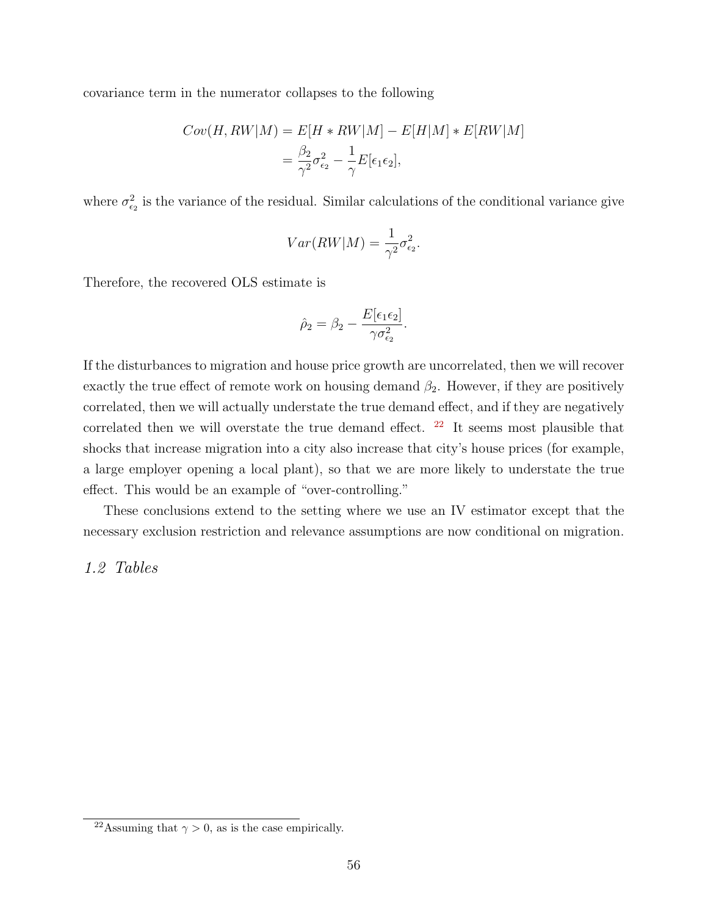covariance term in the numerator collapses to the following

$$
Cov(H, RW|M) = E[H * RW|M] - E[H|M] * E[RW|M]
$$
  
= 
$$
\frac{\beta_2}{\gamma^2} \sigma_{\epsilon_2}^2 - \frac{1}{\gamma} E[\epsilon_1 \epsilon_2],
$$

where  $\sigma_{\epsilon_2}^2$  is the variance of the residual. Similar calculations of the conditional variance give

$$
Var(RW|M) = \frac{1}{\gamma^2} \sigma_{\epsilon_2}^2.
$$

Therefore, the recovered OLS estimate is

$$
\hat{\rho}_2 = \beta_2 - \frac{E[\epsilon_1 \epsilon_2]}{\gamma \sigma_{\epsilon_2}^2}.
$$

If the disturbances to migration and house price growth are uncorrelated, then we will recover exactly the true effect of remote work on housing demand  $\beta_2$ . However, if they are positively correlated, then we will actually understate the true demand effect, and if they are negatively correlated then we will overstate the true demand effect.  $22$  It seems most plausible that shocks that increase migration into a city also increase that city's house prices (for example, a large employer opening a local plant), so that we are more likely to understate the true effect. This would be an example of "over-controlling."

These conclusions extend to the setting where we use an IV estimator except that the necessary exclusion restriction and relevance assumptions are now conditional on migration.

## 1.2 Tables

<span id="page-57-0"></span><sup>&</sup>lt;sup>22</sup>Assuming that  $\gamma > 0$ , as is the case empirically.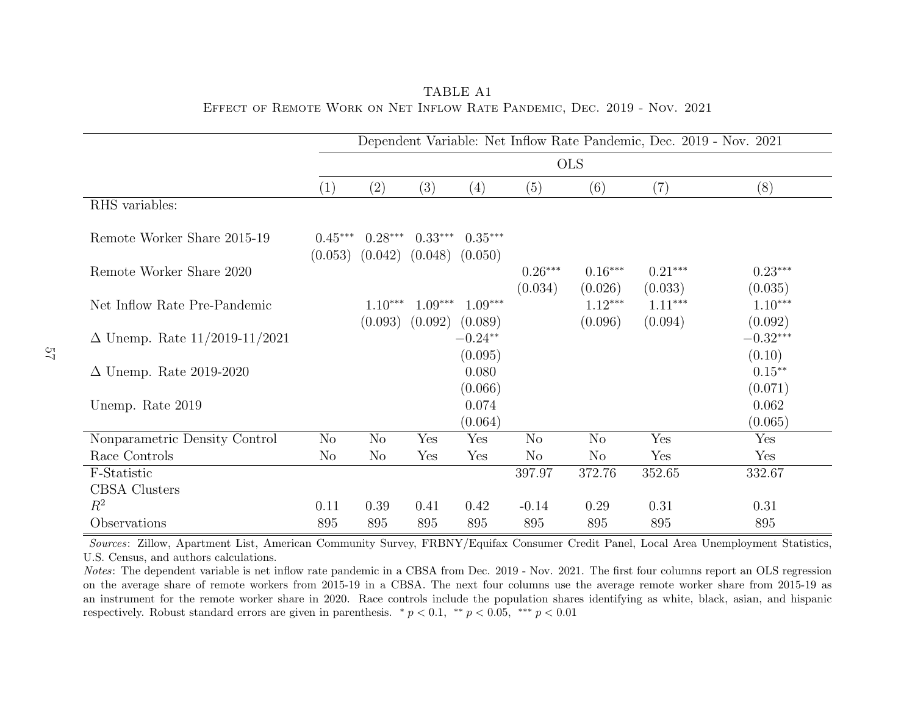|                                      | Dependent Variable: Net Inflow Rate Pandemic, Dec. 2019 - Nov. 2021 |                                                      |                     |                             |                |                |           |                                 |
|--------------------------------------|---------------------------------------------------------------------|------------------------------------------------------|---------------------|-----------------------------|----------------|----------------|-----------|---------------------------------|
|                                      | <b>OLS</b>                                                          |                                                      |                     |                             |                |                |           |                                 |
|                                      | (1)                                                                 | $\left( 2\right)$                                    | (3)                 | $\left( 4\right)$           | (5)            | (6)            | (7)       | (8)                             |
| RHS variables:                       |                                                                     |                                                      |                     |                             |                |                |           |                                 |
| Remote Worker Share 2015-19          | $0.45***$                                                           | $0.28***$<br>$(0.053)$ $(0.042)$ $(0.048)$ $(0.050)$ | $0.33***$           | $0.35***$                   |                |                |           |                                 |
| Remote Worker Share 2020             |                                                                     |                                                      |                     |                             | $0.26***$      | $0.16***$      | $0.21***$ | $0.23***$                       |
|                                      |                                                                     |                                                      |                     |                             | (0.034)        | (0.026)        | (0.033)   | (0.035)                         |
| Net Inflow Rate Pre-Pandemic         |                                                                     | $1.10***$                                            | $1.09***$           | $1.09***$                   |                | $1.12***$      | $1.11***$ | $1.10***$                       |
| $\Delta$ Unemp. Rate 11/2019-11/2021 |                                                                     | (0.093)                                              | $(0.092)$ $(0.089)$ | $-0.24**$<br>(0.095)        |                | (0.096)        | (0.094)   | (0.092)<br>$-0.32***$<br>(0.10) |
| $\Delta$ Unemp. Rate 2019-2020       |                                                                     |                                                      |                     | 0.080                       |                |                |           | $0.15***$                       |
| Unemp. Rate 2019                     |                                                                     |                                                      |                     | (0.066)<br>0.074<br>(0.064) |                |                |           | (0.071)<br>0.062<br>(0.065)     |
| Nonparametric Density Control        | N <sub>o</sub>                                                      | No                                                   | Yes                 | Yes                         | $\rm No$       | N <sub>o</sub> | Yes       | Yes                             |
| Race Controls                        | $\rm No$                                                            | $\rm No$                                             | Yes                 | Yes                         | N <sub>o</sub> | $\rm No$       | Yes       | Yes                             |
| F-Statistic                          |                                                                     |                                                      |                     |                             | 397.97         | 372.76         | 352.65    | 332.67                          |
| <b>CBSA</b> Clusters                 |                                                                     |                                                      |                     |                             |                |                |           |                                 |
| $R^2$                                | 0.11                                                                | 0.39                                                 | 0.41                | 0.42                        | $-0.14$        | 0.29           | 0.31      | 0.31                            |
| Observations                         | 895                                                                 | 895                                                  | 895                 | 895                         | 895            | 895            | 895       | 895                             |

<span id="page-58-0"></span>TABLE A1Effect of Remote Work on Net Inflow Rate Pandemic, Dec. 2019 - Nov. 2021

Notes: The dependent variable is net inflow rate pandemic in a CBSA from Dec. 2019 - Nov. 2021. The first four columns report an OLS regression on the average share of remote workers from 2015-19 in <sup>a</sup> CBSA. The next four columns use the average remote worker share from 2015-19 as an instrument for the remote worker share in 2020. Race controls include the population shares identifying as white, black, asian, and hispanicrespectively. Robust standard errors are given in parenthesis.  $\binom{*}{p} < 0.1$ ,  $\binom{**}{p} < 0.05$ ,  $\binom{***}{p} < 0.01$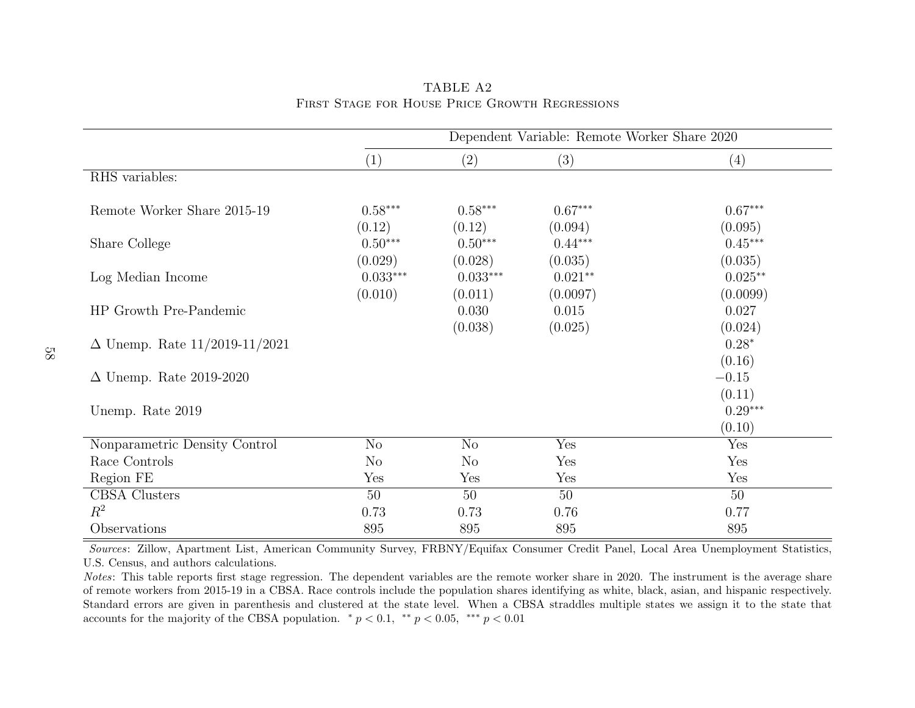|                                      | Dependent Variable: Remote Worker Share 2020 |                      |                      |                      |  |  |  |
|--------------------------------------|----------------------------------------------|----------------------|----------------------|----------------------|--|--|--|
|                                      | (1)                                          | (2)                  | (3)                  | (4)                  |  |  |  |
| RHS variables:                       |                                              |                      |                      |                      |  |  |  |
| Remote Worker Share 2015-19          | $0.58***$<br>(0.12)                          | $0.58***$<br>(0.12)  | $0.67***$<br>(0.094) | $0.67***$<br>(0.095) |  |  |  |
| Share College                        | $0.50***$<br>(0.029)                         | $0.50***$<br>(0.028) | $0.44***$<br>(0.035) | $0.45***$<br>(0.035) |  |  |  |
| Log Median Income                    | $0.033***$                                   | $0.033***$           | $0.021**$            | $0.025**$            |  |  |  |
| HP Growth Pre-Pandemic               | (0.010)                                      | (0.011)<br>0.030     | (0.0097)<br>0.015    | (0.0099)<br>0.027    |  |  |  |
| $\Delta$ Unemp. Rate 11/2019-11/2021 |                                              | (0.038)              | (0.025)              | (0.024)<br>$0.28*$   |  |  |  |
| $\Delta$ Unemp. Rate 2019-2020       |                                              |                      |                      | (0.16)<br>$-0.15$    |  |  |  |
| Unemp. Rate 2019                     |                                              |                      |                      | (0.11)<br>$0.29***$  |  |  |  |
| Nonparametric Density Control        | No                                           | N <sub>o</sub>       | Yes                  | (0.10)<br>Yes        |  |  |  |
| Race Controls                        | N <sub>o</sub>                               | N <sub>o</sub>       | Yes                  | Yes                  |  |  |  |
| Region FE                            | Yes                                          | Yes                  | Yes                  | Yes                  |  |  |  |
| CBSA Clusters                        | 50                                           | 50                   | 50                   | 50                   |  |  |  |
| $R^2$                                | 0.73                                         | 0.73                 | 0.76                 | 0.77                 |  |  |  |
| Observations                         | 895                                          | 895                  | 895                  | 895                  |  |  |  |

<span id="page-59-0"></span>TABLE A2First Stage for House Price Growth Regressions

Notes: This table reports first stage regression. The dependent variables are the remote worker share in 2020. The instrument is the average share of remote workers from 2015-19 in <sup>a</sup> CBSA. Race controls include the population shares identifying as white, black, asian, and hispanic respectively. Standard errors are given in parenthesis and clustered at the state level. When <sup>a</sup> CBSA straddles multiple states we assign it to the state thataccounts for the majority of the CBSA population.  $\binom{*}{p} < 0.1$ ,  $\binom{*}{p} < 0.05$ ,  $\binom{***}{p} < 0.01$